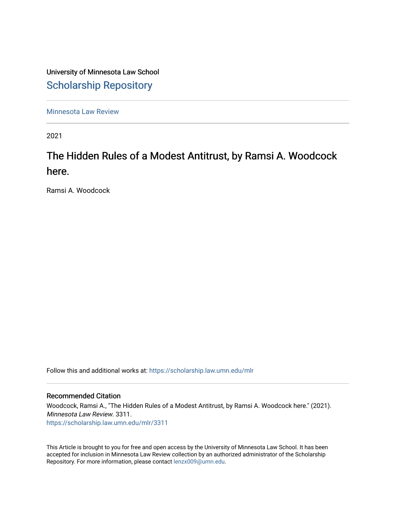University of Minnesota Law School [Scholarship Repository](https://scholarship.law.umn.edu/) 

[Minnesota Law Review](https://scholarship.law.umn.edu/mlr) 

2021

# The Hidden Rules of a Modest Antitrust, by Ramsi A. Woodcock here.

Ramsi A. Woodcock

Follow this and additional works at: [https://scholarship.law.umn.edu/mlr](https://scholarship.law.umn.edu/mlr?utm_source=scholarship.law.umn.edu%2Fmlr%2F3311&utm_medium=PDF&utm_campaign=PDFCoverPages)

#### Recommended Citation

Woodcock, Ramsi A., "The Hidden Rules of a Modest Antitrust, by Ramsi A. Woodcock here." (2021). Minnesota Law Review. 3311. [https://scholarship.law.umn.edu/mlr/3311](https://scholarship.law.umn.edu/mlr/3311?utm_source=scholarship.law.umn.edu%2Fmlr%2F3311&utm_medium=PDF&utm_campaign=PDFCoverPages)

This Article is brought to you for free and open access by the University of Minnesota Law School. It has been accepted for inclusion in Minnesota Law Review collection by an authorized administrator of the Scholarship Repository. For more information, please contact [lenzx009@umn.edu.](mailto:lenzx009@umn.edu)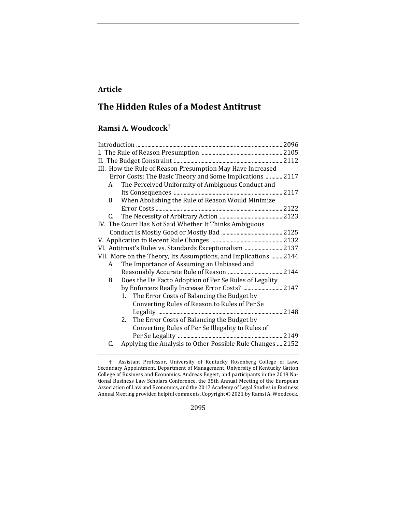## **Article**

# **The Hidden Rules of a Modest Antitrust**

### **Ramsi A. Woodcock†**

| III. How the Rule of Reason Presumption May Have Increased       |
|------------------------------------------------------------------|
| Error Costs: The Basic Theory and Some Implications  2117        |
| The Perceived Uniformity of Ambiguous Conduct and<br>А.          |
|                                                                  |
| When Abolishing the Rule of Reason Would Minimize<br>В.          |
|                                                                  |
| C.                                                               |
| IV. The Court Has Not Said Whether It Thinks Ambiguous           |
|                                                                  |
|                                                                  |
| VI. Antitrust's Rules vs. Standards Exceptionalism  2137         |
| VII. More on the Theory, Its Assumptions, and Implications  2144 |
| The Importance of Assuming an Unbiased and<br>А.                 |
|                                                                  |
| Does the De Facto Adoption of Per Se Rules of Legality<br>B.     |
| by Enforcers Really Increase Error Costs?  2147                  |
| 1. The Error Costs of Balancing the Budget by                    |
| Converting Rules of Reason to Rules of Per Se                    |
|                                                                  |
| The Error Costs of Balancing the Budget by<br>2.                 |
| Converting Rules of Per Se Illegality to Rules of                |
|                                                                  |
| Applying the Analysis to Other Possible Rule Changes  2152<br>C. |

2095

<sup>†</sup> Assistant Professor, University of Kentucky Rosenberg College of Law, Secondary Appointment, Department of Management, University of Kentucky Gatton College of Business and Economics. Andreas Engert, and participants in the 2019 National Business Law Scholars Conference, the 35th Annual Meeting of the European Association of Law and Economics, and the 2017 Academy of Legal Studies in Business Annual Meeting provided helpful comments. Copyright  $\odot$  2021 by Ramsi A. Woodcock.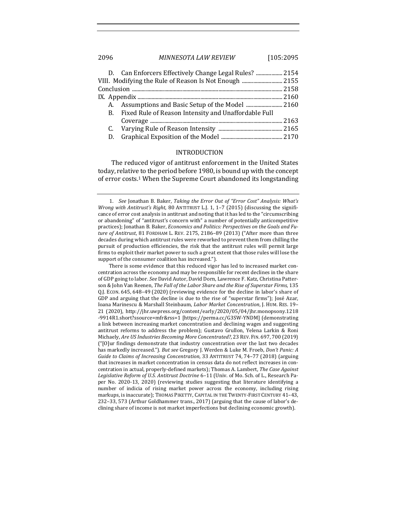#### 2096 *MINNESOTA LAW REVIEW* [105:2095

| VIII. Modifying the Rule of Reason Is Not Enough  2155  |  |
|---------------------------------------------------------|--|
|                                                         |  |
|                                                         |  |
|                                                         |  |
| B. Fixed Rule of Reason Intensity and Unaffordable Full |  |
|                                                         |  |
|                                                         |  |
| D.                                                      |  |
|                                                         |  |

#### INTRODUCTION

The reduced vigor of antitrust enforcement in the United States today, relative to the period before 1980, is bound up with the concept of error costs.<sup>1</sup> When the Supreme Court abandoned its longstanding

<sup>1.</sup> *See* Jonathan B. Baker, *Taking the Error Out of "Error Cost" Analysis: What's Wrong with Antitrust's Right*, 80 ANTITRUST L.J. 1, 1-7 (2015) (discussing the significance of error cost analysis in antitrust and noting that it has led to the "circumscribing or abandoning" of "antitrust's concern with" a number of potentially anticompetitive practices); Jonathan B. Baker, *Economics and Politics: Perspectives on the Goals and Fu*ture of Antitrust, 81 FORDHAM L. REV. 2175, 2186-89 (2013) ("After more than three decades during which antitrust rules were reworked to prevent them from chilling the pursuit of production efficiencies, the risk that the antitrust rules will permit large firms to exploit their market power to such a great extent that those rules will lose the support of the consumer coalition has increased.").

There is some evidence that this reduced vigor has led to increased market concentration across the economy and may be responsible for recent declines in the share of GDP going to labor. See David Autor, David Dorn, Lawrence F. Katz, Christina Patterson & John Van Reenen, *The Fall of the Labor Share and the Rise of Superstar Firms*, 135 Q.J. ECON. 645, 648-49 (2020) (reviewing evidence for the decline in labor's share of GDP and arguing that the decline is due to the rise of "superstar firms"); José Azar, Ioana Marinescu & Marshall Steinbaum, *Labor Market Concentration*, J. HUM. RES. 19– 21 (2020), http://jhr.uwpress.org/content/early/2020/05/04/jhr.monopsony.1218 -9914R1.short?ssource=mfr&rss=1 [https://perma.cc/G3SW-YNDM] (demonstrating a link between increasing market concentration and declining wages and suggesting antitrust reforms to address the problem); Gustavo Grullon, Yelena Larkin & Roni Michaely, *Are US Industries Becoming More Concentrated?*, 23 REV. FIN. 697, 700 (2019)  ${\lceil \cdot}$  [O]ur findings demonstrate that industry concentration over the last two decades has markedly increased."). But see Gregory J. Werden & Luke M. Froeb, *Don't Panic: A Guide to Claims of Increasing Concentration*, 33 ANTITRUST 74, 74-77 (2018) (arguing that increases in market concentration in census data do not reflect increases in concentration in actual, properly-defined markets); Thomas A. Lambert, *The Case Against* Legislative Reform of U.S. Antitrust Doctrine 6-11 (Univ. of Mo. Sch. of L., Research Paper No. 2020-13, 2020) (reviewing studies suggesting that literature identifying a number of indicia of rising market power across the economy, including rising markups, is inaccurate); THOMAS PIKETTY, CAPITAL IN THE TWENTY-FIRST CENTURY 41-43, 232-33, 573 (Arthur Goldhammer trans., 2017) (arguing that the cause of labor's declining share of income is not market imperfections but declining economic growth).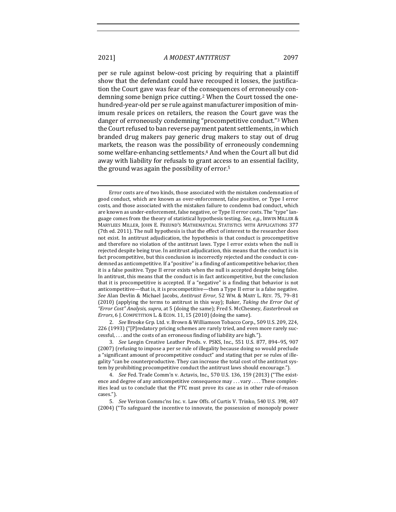per se rule against below-cost pricing by requiring that a plaintiff show that the defendant could have recouped it losses, the justification the Court gave was fear of the consequences of erroneously condemning some benign price cutting.<sup>2</sup> When the Court tossed the onehundred-year-old per se rule against manufacturer imposition of minimum resale prices on retailers, the reason the Court gave was the danger of erroneously condemning "procompetitive conduct."<sup>3</sup> When the Court refused to ban reverse payment patent settlements, in which branded drug makers pay generic drug makers to stay out of drug markets, the reason was the possibility of erroneously condemning some welfare-enhancing settlements.<sup>4</sup> And when the Court all but did away with liability for refusals to grant access to an essential facility, the ground was again the possibility of error.<sup>5</sup>

2. *See* Brooke Grp. Ltd. v. Brown & Williamson Tobacco Corp., 509 U.S. 209, 224, 226 (1993) ("[P]redatory pricing schemes are rarely tried, and even more rarely successful, ... and the costs of an erroneous finding of liability are high.").

3. *See* Leegin Creative Leather Prods. v. PSKS, Inc., 551 U.S. 877, 894-95, 907 (2007) (refusing to impose a per se rule of illegality because doing so would preclude a "significant amount of procompetitive conduct" and stating that per se rules of illegality "can be counterproductive. They can increase the total cost of the antitrust system by prohibiting procompetitive conduct the antitrust laws should encourage.").

4. *See* Fed. Trade Comm'n v. Actavis, Inc., 570 U.S. 136, 159 (2013) ("The existence and degree of any anticompetitive consequence may ... vary ... . These complexities lead us to conclude that the FTC must prove its case as in other rule-of-reason cases.").

5. *See* Verizon Commc'ns Inc. v. Law Offs. of Curtis V. Trinko, 540 U.S. 398, 407 (2004) ("To safeguard the incentive to innovate, the possession of monopoly power

Error costs are of two kinds, those associated with the mistaken condemnation of good conduct, which are known as over-enforcement, false positive, or Type I error costs, and those associated with the mistaken failure to condemn bad conduct, which are known as under-enforcement, false negative, or Type II error costs. The "type" language comes from the theory of statistical hypothesis testing. *See, e.g.*, IRWIN MILLER & MARYLEES MILLER, JOHN E. FREUND'S MATHEMATICAL STATISTICS WITH APPLICATIONS 377 (7th ed. 2011). The null hypothesis is that the effect of interest to the researcher does not exist. In antitrust adjudication, the hypothesis is that conduct is procompetitive and therefore no violation of the antitrust laws. Type I error exists when the null is rejected despite being true. In antitrust adjudication, this means that the conduct is in fact procompetitive, but this conclusion is incorrectly rejected and the conduct is condemned as anticompetitive. If a "positive" is a finding of anticompetitive behavior, then it is a false positive. Type II error exists when the null is accepted despite being false. In antitrust, this means that the conduct is in fact anticompetitive, but the conclusion that it is procompetitive is accepted. If a "negative" is a finding that behavior is not anticompetitive—that is, it is procompetitive—then a Type II error is a false negative. *See* Alan Devlin & Michael Jacobs, *Antitrust Error*, 52 WM. & MARY L. REV. 75, 79–81 (2010) (applying the terms to antitrust in this way); Baker, *Taking the Error Out of* "Error Cost" Analysis, supra, at 5 (doing the same); Fred S. McChesney, *Easterbrook on Errors*, 6 J. COMPETITION L. & ECON. 11, 15 (2010) (doing the same).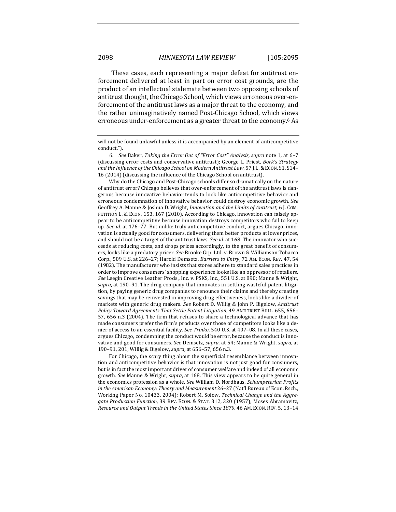These cases, each representing a major defeat for antitrust enforcement delivered at least in part on error cost grounds, are the product of an intellectual stalemate between two opposing schools of antitrust thought, the Chicago School, which views erroneous over-enforcement of the antitrust laws as a major threat to the economy, and the rather unimaginatively named Post-Chicago School, which views erroneous under-enforcement as a greater threat to the economy.<sup>6</sup> As

Why do the Chicago and Post-Chicago schools differ so dramatically on the nature of antitrust error? Chicago believes that over-enforcement of the antitrust laws is dangerous because innovative behavior tends to look like anticompetitive behavior and erroneous condemnation of innovative behavior could destroy economic growth. See Geoffrey A. Manne & Joshua D. Wright, *Innovation and the Limits of Antitrust*, 6 J. COM-PETITION L. & ECON. 153, 167 (2010). According to Chicago, innovation can falsely appear to be anticompetitive because innovation destroys competitors who fail to keep up. See id. at 176-77. But unlike truly anticompetitive conduct, argues Chicago, innovation is actually good for consumers, delivering them better products at lower prices, and should not be a target of the antitrust laws. See *id.* at 168. The innovator who succeeds at reducing costs, and drops prices accordingly, to the great benefit of consumers, looks like a predatory pricer. See Brooke Grp. Ltd. v. Brown & Williamson Tobacco Corp., 509 U.S. at 226-27; Harold Demsetz, *Barriers to Entry*, 72 AM. ECON. REV. 47, 54 (1982). The manufacturer who insists that stores adhere to standard sales practices in order to improve consumers' shopping experience looks like an oppressor of retailers. See Leegin Creative Leather Prods., Inc. v. PSKS, Inc., 551 U.S. at 890; Manne & Wright, supra, at 190-91. The drug company that innovates in settling wasteful patent litigation, by paying generic drug companies to renounce their claims and thereby creating savings that may be reinvested in improving drug effectiveness, looks like a divider of markets with generic drug makers. *See* Robert D. Willig & John P. Bigelow, *Antitrust Policy Toward Agreements That Settle Patent Litigation*, 49 ANTITRUST BULL. 655, 656– 57, 656 n.3 (2004). The firm that refuses to share a technological advance that has made consumers prefer the firm's products over those of competitors looks like a denier of access to an essential facility. *See Trinko*, 540 U.S. at 407-08. In all these cases, argues Chicago, condemning the conduct would be error, because the conduct is innovative and good for consumers. *See* Demsetz, *supra*, at 54; Manne & Wright, *supra*, at 190-91, 201; Willig & Bigelow, *supra*, at 656-57, 656 n.3.

For Chicago, the scary thing about the superficial resemblance between innovation and anticompetitive behavior is that innovation is not just good for consumers, but is in fact the most important driver of consumer welfare and indeed of all economic growth. *See* Manne & Wright, *supra*, at 168. This view appears to be quite general in the economics profession as a whole. See William D. Nordhaus, *Schumpeterian Profits in* the American Economy: Theory and Measurement 26–27 (Nat'l Bureau of Econ. Rsch., Working Paper No. 10433, 2004); Robert M. Solow, *Technical Change and the Aggre*gate Production Function, 39 REV. ECON. & STAT. 312, 320 (1957); Moses Abramovitz, *Resource and Output Trends in the United States Since 1870, 46 AM. ECON. REV.* 5, 13-14

will not be found unlawful unless it is accompanied by an element of anticompetitive conduct.").

<sup>6.</sup> *See* Baker, *Taking the Error Out of "Error Cost" Analysis, supra* note 1, at 6-7 (discussing error costs and conservative antitrust); George L. Priest, *Bork's Strategy and the Influence of the Chicago School on Modern Antitrust Law*, 57 J.L. & ECON. S1, S14– 16 (2014) (discussing the influence of the Chicago School on antitrust).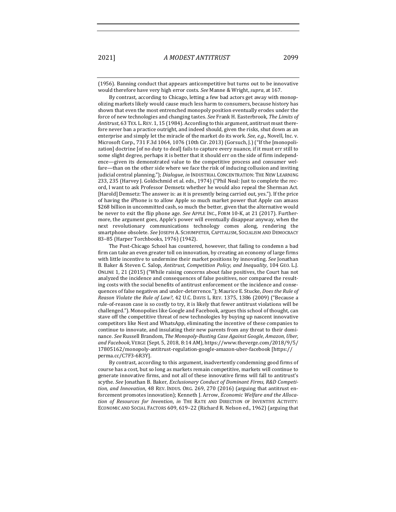$(1956)$ . Banning conduct that appears anticompetitive but turns out to be innovative would therefore have very high error costs. See Manne & Wright, *supra*, at 167.

By contrast, according to Chicago, letting a few bad actors get away with monopolizing markets likely would cause much less harm to consumers, because history has shown that even the most entrenched monopoly position eventually erodes under the force of new technologies and changing tastes. See Frank H. Easterbrook, *The Limits of* Antitrust, 63 TEX. L. REV. 1, 15 (1984). According to this argument, antitrust must therefore never ban a practice outright, and indeed should, given the risks, shut down as an enterprise and simply let the miracle of the market do its work. *See, e.g.*, Novell, Inc. v. Microsoft Corp., 731 F.3d 1064, 1076 (10th Cir. 2013) (Gorsuch, J.) ("If the [monopolization] doctrine [of no duty to deal] fails to capture every nuance, if it must err still to some slight degree, perhaps it is better that it should err on the side of firm independence—given its demonstrated value to the competitive process and consumer welfare—than on the other side where we face the risk of inducing collusion and inviting judicial central planning."); Dialogue, in INDUSTRIAL CONCENTRATION: THE NEW LEARNING 233, 235 (Harvey J. Goldschmid et al. eds., 1974) ("Phil Neal: Just to complete the record, I want to ask Professor Demsetz whether he would also repeal the Sherman Act. [Harold] Demsetz: The answer is: as it is presently being carried out, yes."]. If the price of having the iPhone is to allow Apple so much market power that Apple can amass \$268 billion in uncommitted cash, so much the better, given that the alternative would be never to exit the flip phone age. See APPLE INC., FORM 10-K, at 21 (2017). Furthermore, the argument goes, Apple's power will eventually disappear anyway, when the next revolutionary communications technology comes along, rendering the smartphone obsolete. See JOSEPH A. SCHUMPETER, CAPITALISM, SOCIALISM AND DEMOCRACY 83-85 (Harper Torchbooks, 1976) (1942).

The Post-Chicago School has countered, however, that failing to condemn a bad firm can take an even greater toll on innovation, by creating an economy of large firms with little incentive to undermine their market positions by innovating. See Jonathan B. Baker & Steven C. Salop, *Antitrust, Competition Policy, and Inequality*, 104 GEO. L.J. ONLINE 1, 21 (2015) ("While raising concerns about false positives, the Court has not analyzed the incidence and consequences of false positives, nor compared the resulting costs with the social benefits of antitrust enforcement or the incidence and consequences of false negatives and under-deterrence."); Maurice E. Stucke, *Does the Rule of Reason Violate the Rule of Law?*, 42 U.C. DAVIS L. REV. 1375, 1386 (2009) ("Because a rule-of-reason case is so costly to try, it is likely that fewer antitrust violations will be challenged."). Monopolies like Google and Facebook, argues this school of thought, can stave off the competitive threat of new technologies by buying up nascent innovative competitors like Nest and WhatsApp, eliminating the incentive of these companies to continue to innovate, and insulating their new parents from any threat to their dominance. See Russell Brandom, *The Monopoly-Busting Case Against Google, Amazon, Uber, and Facebook*, VERGE (Sept. 5, 2018, 8:14 AM), https://www.theverge.com/2018/9/5/ 17805162/monopoly-antitrust-regulation-google-amazon-uber-facebook [https:// perma.cc/C7F3-6R3Y].

By contrast, according to this argument, inadvertently condemning good firms of course has a cost, but so long as markets remain competitive, markets will continue to generate innovative firms, and not all of these innovative firms will fall to antitrust's scythe. See Jonathan B. Baker, *Exclusionary Conduct of Dominant Firms, R&D Competition,* and *Innovation*, 48 REV. INDUS. ORG. 269, 270 (2016) (arguing that antitrust enforcement promotes innovation); Kenneth J. Arrow, *Economic Welfare and the Allocation of Resources for Invention, in* THE RATE AND DIRECTION OF INVENTIVE ACTIVITY: ECONOMIC AND SOCIAL FACTORS 609, 619-22 (Richard R. Nelson ed., 1962) (arguing that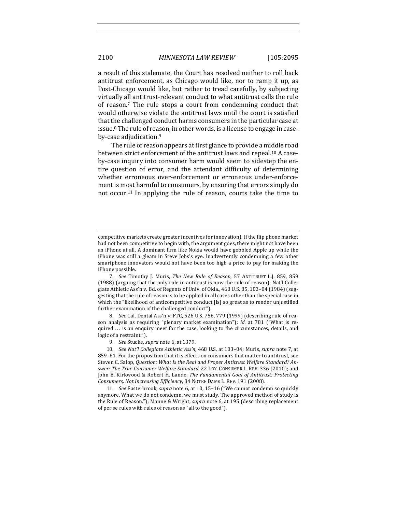a result of this stalemate, the Court has resolved neither to roll back antitrust enforcement, as Chicago would like, nor to ramp it up, as Post-Chicago would like, but rather to tread carefully, by subjecting virtually all antitrust-relevant conduct to what antitrust calls the rule of reason.<sup>7</sup> The rule stops a court from condemning conduct that would otherwise violate the antitrust laws until the court is satisfied that the challenged conduct harms consumers in the particular case at issue.<sup>8</sup> The rule of reason, in other words, is a license to engage in caseby-case adjudication.<sup>9</sup>

The rule of reason appears at first glance to provide a middle road between strict enforcement of the antitrust laws and repeal.<sup>10</sup> A caseby-case inquiry into consumer harm would seem to sidestep the entire question of error, and the attendant difficulty of determining whether erroneous over-enforcement or erroneous under-enforcement is most harmful to consumers, by ensuring that errors simply do not occur.<sup>11</sup> In applying the rule of reason, courts take the time to

7. *See* Timothy J. Muris, *The New Rule of Reason*, 57 ANTITRUST L.J. 859, 859 (1988) (arguing that the only rule in antitrust is now the rule of reason); Nat'l Collegiate Athletic Ass'n v. Bd. of Regents of Univ. of Okla., 468 U.S. 85, 103-04 (1984) (suggesting that the rule of reason is to be applied in all cases other than the special case in which the "likelihood of anticompetitive conduct [is] so great as to render unjustified further examination of the challenged conduct").

8. *See* Cal. Dental Ass'n v. FTC, 526 U.S. 756, 779 (1999) (describing rule of reason analysis as requiring "plenary market examination"); *id.* at 781 ("What is required  $\dots$  is an enquiry meet for the case, looking to the circumstances, details, and logic of a restraint.").

9. *See* Stucke, *supra* note 6, at 1379.

10. *See Nat'l Collegiate Athletic Ass'n*, 468 U.S. at 103-04; Muris, *supra* note 7, at 859-61. For the proposition that it is effects on consumers that matter to antitrust, see Steven C. Salop, *Question: What Is the Real and Proper Antitrust Welfare Standard? Answer: The True Consumer Welfare Standard*, 22 Loy. CONSUMER L. REV. 336 (2010); and John B. Kirkwood & Robert H. Lande, *The Fundamental Goal of Antitrust: Protecting Consumers, Not Increasing Efficiency*, 84 NOTRE DAME L. REV. 191 (2008).

11. *See* Easterbrook, *supra* note 6, at 10, 15-16 ("We cannot condemn so quickly anymore. What we do not condemn, we must study. The approved method of study is the Rule of Reason."); Manne & Wright, *supra* note 6, at 195 (describing replacement of per se rules with rules of reason as "all to the good").

competitive markets create greater incentives for innovation). If the flip phone market had not been competitive to begin with, the argument goes, there might not have been an iPhone at all. A dominant firm like Nokia would have gobbled Apple up while the iPhone was still a gleam in Steve Jobs's eye. Inadvertently condemning a few other smartphone innovators would not have been too high a price to pay for making the iPhone possible.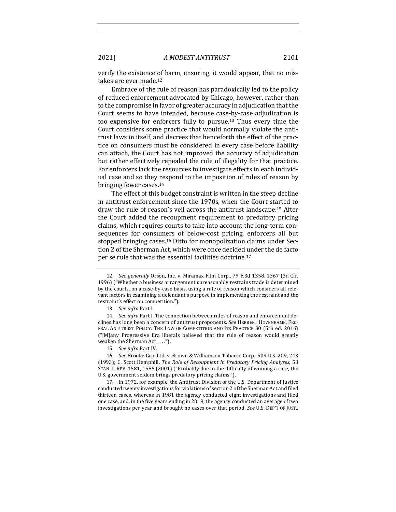verify the existence of harm, ensuring, it would appear, that no mistakes are ever made.<sup>12</sup>

Embrace of the rule of reason has paradoxically led to the policy of reduced enforcement advocated by Chicago, however, rather than to the compromise in favor of greater accuracy in adjudication that the Court seems to have intended, because case-by-case adjudication is too expensive for enforcers fully to pursue.<sup>13</sup> Thus every time the Court considers some practice that would normally violate the antitrust laws in itself, and decrees that henceforth the effect of the practice on consumers must be considered in every case before liability can attach, the Court has not improved the accuracy of adjudication but rather effectively repealed the rule of illegality for that practice. For enforcers lack the resources to investigate effects in each individual case and so they respond to the imposition of rules of reason by bringing fewer cases.<sup>14</sup>

The effect of this budget constraint is written in the steep decline in antitrust enforcement since the 1970s, when the Court started to draw the rule of reason's veil across the antitrust landscape.<sup>15</sup> After the Court added the recoupment requirement to predatory pricing claims, which requires courts to take into account the long-term consequences for consumers of below-cost pricing, enforcers all but stopped bringing cases.<sup>16</sup> Ditto for monopolization claims under Section 2 of the Sherman Act, which were once decided under the de facto per se rule that was the essential facilities doctrine.<sup>17</sup>

15. *See infra* Part IV.

17. In 1972, for example, the Antitrust Division of the U.S. Department of Justice conducted twenty investigations for violations of section 2 of the Sherman Act and filed thirteen cases, whereas in 1981 the agency conducted eight investigations and filed one case, and, in the five years ending in 2019, the agency conducted an average of two investigations per year and brought no cases over that period. See U.S. DEP'T OF JUST.,

<sup>12.</sup> *See generally* Orson, Inc. v. Miramax Film Corp., 79 F.3d 1358, 1367 (3d Cir. 1996) ("Whether a business arrangement unreasonably restrains trade is determined by the courts, on a case-by-case basis, using a rule of reason which considers all relevant factors in examining a defendant's purpose in implementing the restraint and the restraint's effect on competition.").

<sup>13.</sup> *See infra* Part I.

<sup>14.</sup> *See infra* Part I. The connection between rules of reason and enforcement declines has long been a concern of antitrust proponents. See HERBERT HOVENKAMP, FED-ERAL ANTITRUST POLICY: THE LAW OF COMPETITION AND ITS PRACTICE 80 (5th ed. 2016)  $("[M]$ any Progressive Era liberals believed that the rule of reason would greatly weaken the Sherman Act . . . .").

<sup>16.</sup> *See* Brooke Grp. Ltd. v. Brown & Williamson Tobacco Corp., 509 U.S. 209, 243 (1993); C. Scott Hemphill, *The Role of Recoupment in Predatory Pricing Analyses*, 53 STAN. L. REV. 1581, 1585 (2001) ("Probably due to the difficulty of winning a case, the U.S. government seldom brings predatory pricing claims.").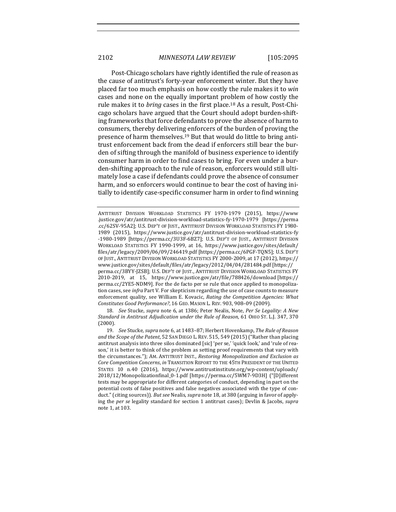Post-Chicago scholars have rightly identified the rule of reason as the cause of antitrust's forty-year enforcement winter. But they have placed far too much emphasis on how costly the rule makes it to win cases and none on the equally important problem of how costly the rule makes it to *bring* cases in the first place.<sup>18</sup> As a result, Post-Chicago scholars have argued that the Court should adopt burden-shifting frameworks that force defendants to prove the absence of harm to consumers, thereby delivering enforcers of the burden of proving the presence of harm themselves.<sup>19</sup> But that would do little to bring antitrust enforcement back from the dead if enforcers still bear the burden of sifting through the manifold of business experience to identify consumer harm in order to find cases to bring. For even under a burden-shifting approach to the rule of reason, enforcers would still ultimately lose a case if defendants could prove the absence of consumer harm, and so enforcers would continue to bear the cost of having initially to identify case-specific consumer harm in order to find winning

18. *See* Stucke, *supra* note 6, at 1386; Peter Nealis, Note, *Per Se Legality: A New* Standard in Antitrust Adjudication under the Rule of Reason, 61 OHIO ST. L.J. 347, 370 (2000).

ANTITRUST DIVISION WORKLOAD STATISTICS FY 1970-1979 (2015), https://www .justice.gov/atr/antitrust-division-workload-statistics-fy-1970-1979 [https://perma .cc/62SV-95A2]; U.S. DEP'T OF JUST., ANTITRUST DIVISION WORKLOAD STATISTICS FY 1980-1989 (2015), https://www.justice.gov/atr/antitrust-division-workload-statistics-fy -1980-1989 [https://perma.cc/3U3F-6BZ7]; U.S. DEP'T OF JUST., ANTITRUST DIVISION WORKLOAD STATISTICS FY 1990-1999, at 16, https://www.justice.gov/sites/default/ files/atr/legacy/2009/06/09/246419.pdf [https://perma.cc/6PGF-TQN5]; U.S. DEP'T OF JUST., ANTITRUST DIVISION WORKLOAD STATISTICS FY 2000-2009, at 17 (2012), https:// www.justice.gov/sites/default/files/atr/legacy/2012/04/04/281484.pdf [https:// perma.cc/3BYY-[ZSB]; U.S. DEP'T OF JUST., ANTITRUST DIVISION WORKLOAD STATISTICS FY 2010-2019, at 15, https://www.justice.gov/atr/file/788426/download [https:// perma.cc/2YE5-NDM9]. For the de facto per se rule that once applied to monopolization cases, see *infra* Part V. For skepticism regarding the use of case counts to measure enforcement quality, see William E. Kovacic, *Rating the Competition Agencies: What* Constitutes Good Performance?, 16 GEO. MASON L. REV. 903, 908-09 (2009).

<sup>19.</sup> *See* Stucke, *supra* note 6, at 1483-87; Herbert Hovenkamp, The Rule of Reason and the Scope of the Patent, 52 SAN DIEGO L. REV. 515, 549 (2015) ("Rather than placing antitrust analysis into three silos dominated [sic] 'per se,' 'quick look,' and 'rule of reason,' it is better to think of the problem as setting proof requirements that vary with the circumstances."); AM. ANTITRUST INST., *Restoring Monopolization and Exclusion as Core Competition Concerns, in* TRANSITION REPORT TO THE 45TH PRESIDENT OF THE UNITED STATES 10 n.40 (2016), https://www.antitrustinstitute.org/wp-content/uploads/ 2018/12/Monopolizationfinal\_0-1.pdf [https://perma.cc/5WM7-9D3H] ("[D]ifferent tests may be appropriate for different categories of conduct, depending in part on the potential costs of false positives and false negatives associated with the type of conduct." (citing sources)). *But see* Nealis, *supra* note 18, at 380 (arguing in favor of applying the *per se* legality standard for section 1 antitrust cases); Devlin & Jacobs, *supra* note 1, at 103.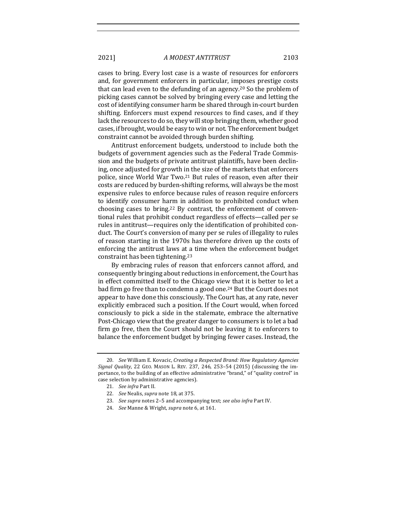cases to bring. Every lost case is a waste of resources for enforcers and, for government enforcers in particular, imposes prestige costs that can lead even to the defunding of an agency.<sup>20</sup> So the problem of picking cases cannot be solved by bringing every case and letting the cost of identifying consumer harm be shared through in-court burden shifting. Enforcers must expend resources to find cases, and if they lack the resources to do so, they will stop bringing them, whether good cases, if brought, would be easy to win or not. The enforcement budget constraint cannot be avoided through burden shifting.

Antitrust enforcement budgets, understood to include both the budgets of government agencies such as the Federal Trade Commission and the budgets of private antitrust plaintiffs, have been declining, once adjusted for growth in the size of the markets that enforcers police, since World War Two.<sup>21</sup> But rules of reason, even after their costs are reduced by burden-shifting reforms, will always be the most expensive rules to enforce because rules of reason require enforcers to identify consumer harm in addition to prohibited conduct when choosing cases to bring.<sup>22</sup> By contrast, the enforcement of conventional rules that prohibit conduct regardless of effects-called per se rules in antitrust—requires only the identification of prohibited conduct. The Court's conversion of many per se rules of illegality to rules of reason starting in the 1970s has therefore driven up the costs of enforcing the antitrust laws at a time when the enforcement budget constraint has been tightening.<sup>23</sup>

By embracing rules of reason that enforcers cannot afford, and consequently bringing about reductions in enforcement, the Court has in effect committed itself to the Chicago view that it is better to let a bad firm go free than to condemn a good one.<sup>24</sup> But the Court does not appear to have done this consciously. The Court has, at any rate, never explicitly embraced such a position. If the Court would, when forced consciously to pick a side in the stalemate, embrace the alternative Post-Chicago view that the greater danger to consumers is to let a bad firm go free, then the Court should not be leaving it to enforcers to balance the enforcement budget by bringing fewer cases. Instead, the

<sup>20.</sup> *See* William E. Kovacic, *Creating a Respected Brand: How Regulatory Agencies Signal Quality*, 22 GEO. MASON L. REV. 237, 246, 253-54 (2015) (discussing the importance, to the building of an effective administrative "brand," of "quality control" in case selection by administrative agencies).

<sup>21.</sup> *See infra* Part II.

<sup>22.</sup> *See* Nealis, *supra* note 18, at 375.

<sup>23.</sup> *See supra* notes 2-5 and accompanying text; see also infra Part IV.

<sup>24.</sup> *See* Manne & Wright, *supra* note 6, at 161.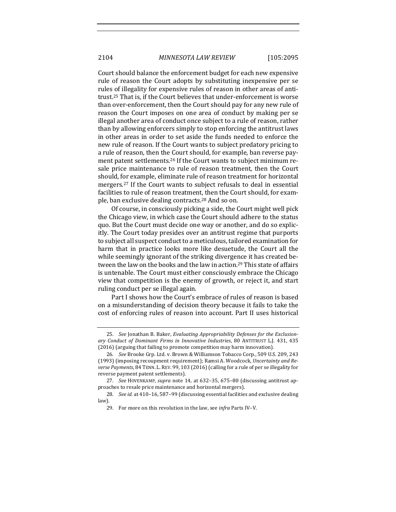Court should balance the enforcement budget for each new expensive rule of reason the Court adopts by substituting inexpensive per se rules of illegality for expensive rules of reason in other areas of antitrust.<sup>25</sup> That is, if the Court believes that under-enforcement is worse than over-enforcement, then the Court should pay for any new rule of reason the Court imposes on one area of conduct by making per se illegal another area of conduct once subject to a rule of reason, rather than by allowing enforcers simply to stop enforcing the antitrust laws in other areas in order to set aside the funds needed to enforce the new rule of reason. If the Court wants to subject predatory pricing to a rule of reason, then the Court should, for example, ban reverse payment patent settlements.<sup>26</sup> If the Court wants to subject minimum resale price maintenance to rule of reason treatment, then the Court should, for example, eliminate rule of reason treatment for horizontal mergers.<sup>27</sup> If the Court wants to subject refusals to deal in essential facilities to rule of reason treatment, then the Court should, for example, ban exclusive dealing contracts.<sup>28</sup> And so on.

Of course, in consciously picking a side, the Court might well pick the Chicago view, in which case the Court should adhere to the status quo. But the Court must decide one way or another, and do so explicitly. The Court today presides over an antitrust regime that purports to subject all suspect conduct to a meticulous, tailored examination for harm that in practice looks more like desuetude, the Court all the while seemingly ignorant of the striking divergence it has created between the law on the books and the law in action.<sup>29</sup> This state of affairs is untenable. The Court must either consciously embrace the Chicago view that competition is the enemy of growth, or reject it, and start ruling conduct per se illegal again.

Part I shows how the Court's embrace of rules of reason is based on a misunderstanding of decision theory because it fails to take the cost of enforcing rules of reason into account. Part II uses historical

<sup>25.</sup> See Jonathan B. Baker, *Evaluating Appropriability Defenses for the Exclusion*ary Conduct of Dominant Firms in Innovative Industries, 80 ANTITRUST L.J. 431, 435 (2016) (arguing that failing to promote competition may harm innovation).

<sup>26.</sup> *See* Brooke Grp. Ltd. v. Brown & Williamson Tobacco Corp., 509 U.S. 209, 243 (1993) (imposing recoupment requirement); Ramsi A. Woodcock, Uncertainty and Reverse Payments, 84 TENN. L. REV. 99, 103 (2016) (calling for a rule of per se illegality for reverse payment patent settlements).

<sup>27.</sup> *See* HOVENKAMP, *supra* note 14, at 632-35, 675-80 (discussing antitrust approaches to resale price maintenance and horizontal mergers).

<sup>28.</sup> *See id.* at 410–16, 587–99 (discussing essential facilities and exclusive dealing law).

<sup>29.</sup> For more on this revolution in the law, see *infra* Parts IV-V.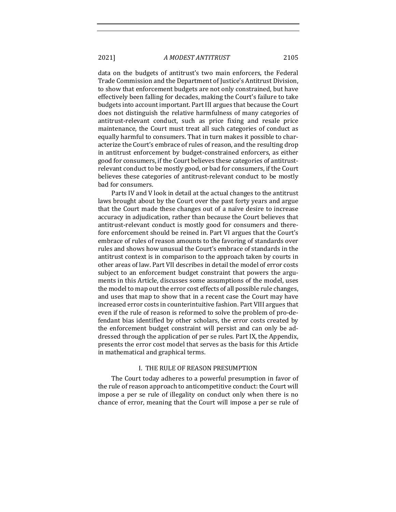data on the budgets of antitrust's two main enforcers, the Federal Trade Commission and the Department of Justice's Antitrust Division, to show that enforcement budgets are not only constrained, but have effectively been falling for decades, making the Court's failure to take budgets into account important. Part III argues that because the Court does not distinguish the relative harmfulness of many categories of antitrust-relevant conduct, such as price fixing and resale price maintenance, the Court must treat all such categories of conduct as equally harmful to consumers. That in turn makes it possible to characterize the Court's embrace of rules of reason, and the resulting drop in antitrust enforcement by budget-constrained enforcers, as either good for consumers, if the Court believes these categories of antitrustrelevant conduct to be mostly good, or bad for consumers, if the Court believes these categories of antitrust-relevant conduct to be mostly bad for consumers.

Parts IV and V look in detail at the actual changes to the antitrust laws brought about by the Court over the past forty years and argue that the Court made these changes out of a naïve desire to increase accuracy in adjudication, rather than because the Court believes that antitrust-relevant conduct is mostly good for consumers and therefore enforcement should be reined in. Part VI argues that the Court's embrace of rules of reason amounts to the favoring of standards over rules and shows how unusual the Court's embrace of standards in the antitrust context is in comparison to the approach taken by courts in other areas of law. Part VII describes in detail the model of error costs subject to an enforcement budget constraint that powers the arguments in this Article, discusses some assumptions of the model, uses the model to map out the error cost effects of all possible rule changes, and uses that map to show that in a recent case the Court may have increased error costs in counterintuitive fashion. Part VIII argues that even if the rule of reason is reformed to solve the problem of pro-defendant bias identified by other scholars, the error costs created by the enforcement budget constraint will persist and can only be addressed through the application of per se rules. Part IX, the Appendix, presents the error cost model that serves as the basis for this Article in mathematical and graphical terms.

#### I. THE RULE OF REASON PRESUMPTION

The Court today adheres to a powerful presumption in favor of the rule of reason approach to anticompetitive conduct: the Court will impose a per se rule of illegality on conduct only when there is no chance of error, meaning that the Court will impose a per se rule of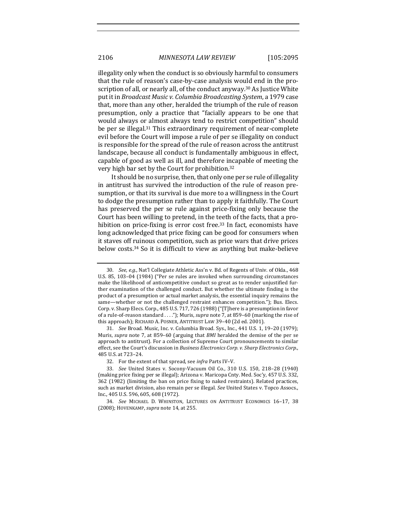illegality only when the conduct is so obviously harmful to consumers that the rule of reason's case-by-case analysis would end in the proscription of all, or nearly all, of the conduct anyway.<sup>30</sup> As Justice White put it in *Broadcast Music v. Columbia Broadcasting System*, a 1979 case that, more than any other, heralded the triumph of the rule of reason presumption, only a practice that "facially appears to be one that would always or almost always tend to restrict competition" should be per se illegal.<sup>31</sup> This extraordinary requirement of near-complete evil before the Court will impose a rule of per se illegality on conduct is responsible for the spread of the rule of reason across the antitrust landscape, because all conduct is fundamentally ambiguous in effect, capable of good as well as ill, and therefore incapable of meeting the very high bar set by the Court for prohibition.<sup>32</sup>

It should be no surprise, then, that only one per se rule of illegality in antitrust has survived the introduction of the rule of reason presumption, or that its survival is due more to a willingness in the Court to dodge the presumption rather than to apply it faithfully. The Court has preserved the per se rule against price-fixing only because the Court has been willing to pretend, in the teeth of the facts, that a prohibition on price-fixing is error cost free.<sup>33</sup> In fact, economists have long acknowledged that price fixing can be good for consumers when it staves off ruinous competition, such as price wars that drive prices below costs.<sup>34</sup> So it is difficult to view as anything but make-believe

<sup>30.</sup> *See, e.g.*, Nat'l Collegiate Athletic Ass'n v. Bd. of Regents of Univ. of Okla., 468 U.S. 85, 103-04 (1984) ("Per se rules are invoked when surrounding circumstances make the likelihood of anticompetitive conduct so great as to render unjustified further examination of the challenged conduct. But whether the ultimate finding is the product of a presumption or actual market analysis, the essential inquiry remains the same—whether or not the challenged restraint enhances competition."); Bus. Elecs. Corp. v. Sharp Elecs. Corp., 485 U.S. 717, 726 (1988) ("[T]here is a presumption in favor of a rule-of-reason standard ...."); Muris, *supra* note 7, at 859-60 (marking the rise of this approach); RICHARD A. POSNER, ANTITRUST LAW 39-40 (2d ed. 2001).

<sup>31.</sup> *See* Broad. Music, Inc. v. Columbia Broad. Sys., Inc., 441 U.S. 1, 19-20 (1979); Muris, *supra* note 7, at 859-60 (arguing that *BMI* heralded the demise of the per se approach to antitrust). For a collection of Supreme Court pronouncements to similar effect, see the Court's discussion in *Business Electronics Corp.v. Sharp Electronics Corp.*, 485 U.S. at 723–24.

<sup>32.</sup> For the extent of that spread, see *infra* Parts IV-V.

<sup>33.</sup> *See* United States v. Socony-Vacuum Oil Co., 310 U.S. 150, 218-28 (1940) (making price fixing per se illegal); Arizona v. Maricopa Cnty. Med. Soc'y, 457 U.S. 332, 362 (1982) (limiting the ban on price fixing to naked restraints). Related practices, such as market division, also remain per se illegal. See United States v. Topco Assocs., Inc., 405 U.S. 596, 605, 608 (1972).

<sup>34.</sup> *See* MICHAEL D. WHINSTON, LECTURES ON ANTITRUST ECONOMICS 16-17, 38 (2008); HOVENKAMP, *supra* note 14, at 255.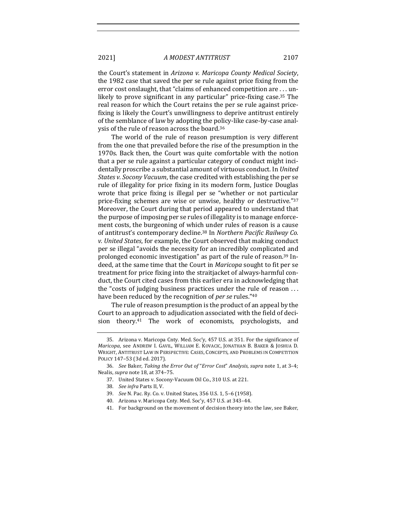the Court's statement in *Arizona v. Maricopa County Medical Society*, the 1982 case that saved the per se rule against price fixing from the error cost onslaught, that "claims of enhanced competition are . . . unlikely to prove significant in any particular" price-fixing case.<sup>35</sup> The real reason for which the Court retains the per se rule against pricefixing is likely the Court's unwillingness to deprive antitrust entirely of the semblance of law by adopting the policy-like case-by-case analysis of the rule of reason across the board.<sup>36</sup>

The world of the rule of reason presumption is very different from the one that prevailed before the rise of the presumption in the 1970s. Back then, the Court was quite comfortable with the notion that a per se rule against a particular category of conduct might incidentally proscribe a substantial amount of virtuous conduct. In *United States v. Socony Vacuum*, the case credited with establishing the per se rule of illegality for price fixing in its modern form, Justice Douglas wrote that price fixing is illegal per se "whether or not particular price-fixing schemes are wise or unwise, healthy or destructive."37 Moreover, the Court during that period appeared to understand that the purpose of imposing per se rules of illegality is to manage enforcement costs, the burgeoning of which under rules of reason is a cause of antitrust's contemporary decline.<sup>38</sup> In *Northern Pacific Railway Co. v. United States,* for example, the Court observed that making conduct per se illegal "avoids the necessity for an incredibly complicated and prolonged economic investigation" as part of the rule of reason.<sup>39</sup> Indeed, at the same time that the Court in *Maricopa* sought to fit per se treatment for price fixing into the strait acket of always-harmful conduct, the Court cited cases from this earlier era in acknowledging that the "costs of judging business practices under the rule of reason  $\dots$ have been reduced by the recognition of *per se* rules."<sup>40</sup>

The rule of reason presumption is the product of an appeal by the Court to an approach to adjudication associated with the field of decision theory.<sup>41</sup> The work of economists, psychologists, and

<sup>35.</sup> Arizona v. Maricopa Cnty. Med. Soc'y, 457 U.S. at 351. For the significance of *Maricopa*, see ANDREW I. GAVIL, WILLIAM E. KOVACIC, JONATHAN B. BAKER & JOSHUA D. WRIGHT, ANTITRUST LAW IN PERSPECTIVE: CASES, CONCEPTS, AND PROBLEMS IN COMPETITION POLICY 147-53 (3d ed. 2017).

<sup>36.</sup> *See* Baker, *Taking the Error Out of "Error Cost" Analysis, supra* note 1, at 3-4; Nealis, *supra* note 18, at 374-75.

<sup>37.</sup> United States v. Socony-Vacuum Oil Co., 310 U.S. at 221.

<sup>38.</sup> *See infra Parts II, V.* 

<sup>39.</sup> *See* N. Pac. Ry. Co. v. United States, 356 U.S. 1, 5-6 (1958).

<sup>40.</sup> Arizona v. Maricopa Cnty. Med. Soc'y, 457 U.S. at 343-44.

<sup>41.</sup> For background on the movement of decision theory into the law, see Baker,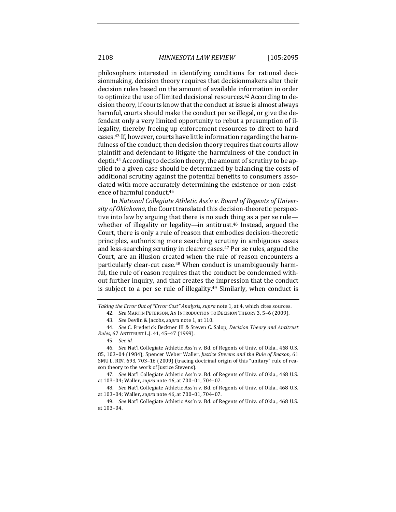philosophers interested in identifying conditions for rational decisionmaking, decision theory requires that decisionmakers alter their decision rules based on the amount of available information in order to optimize the use of limited decisional resources.<sup>42</sup> According to decision theory, if courts know that the conduct at issue is almost always harmful, courts should make the conduct per se illegal, or give the defendant only a very limited opportunity to rebut a presumption of illegality, thereby freeing up enforcement resources to direct to hard cases.<sup>43</sup> If, however, courts have little information regarding the harmfulness of the conduct, then decision theory requires that courts allow plaintiff and defendant to litigate the harmfulness of the conduct in depth.<sup>44</sup> According to decision theory, the amount of scrutiny to be applied to a given case should be determined by balancing the costs of additional scrutiny against the potential benefits to consumers associated with more accurately determining the existence or non-existence of harmful conduct.<sup>45</sup>

In *National Collegiate Athletic Ass'n v. Board of Regents of Univer*sity of Oklahoma, the Court translated this decision-theoretic perspective into law by arguing that there is no such thing as a per se rulewhether of illegality or legality—in antitrust.<sup>46</sup> Instead, argued the Court, there is only a rule of reason that embodies decision-theoretic principles, authorizing more searching scrutiny in ambiguous cases and less-searching scrutiny in clearer cases.<sup>47</sup> Per se rules, argued the Court, are an illusion created when the rule of reason encounters a particularly clear-cut case.<sup>48</sup> When conduct is unambiguously harmful, the rule of reason requires that the conduct be condemned without further inquiry, and that creates the impression that the conduct is subject to a per se rule of illegality.<sup>49</sup> Similarly, when conduct is

Taking the Error Out of "Error Cost" Analysis, supra note 1, at 4, which cites sources.

42. *See* MARTIN PETERSON, AN INTRODUCTION TO DECISION THEORY 3, 5-6 (2009).

43. *See* Devlin & Jacobs, *supra* note 1, at 110.

44. *See* C. Frederick Beckner III & Steven C. Salop, *Decision Theory and Antitrust Rules*, 67 ANTITRUST L.J. 41, 45–47 (1999).

47. *See* Nat'l Collegiate Athletic Ass'n v. Bd. of Regents of Univ. of Okla., 468 U.S. at 103-04; Waller, *supra* note 46, at 700-01, 704-07.

48. *See* Nat'l Collegiate Athletic Ass'n v. Bd. of Regents of Univ. of Okla., 468 U.S. at 103-04; Waller, *supra* note 46, at 700-01, 704-07.

49. *See* Nat'l Collegiate Athletic Ass'n v. Bd. of Regents of Univ. of Okla., 468 U.S. at 103-04.

<sup>45.</sup> *See id.*

<sup>46.</sup> *See* Nat'l Collegiate Athletic Ass'n v. Bd. of Regents of Univ. of Okla., 468 U.S. 85, 103-04 (1984); Spencer Weber Waller, *Justice Stevens and the Rule of Reason*, 61 SMU L. REV. 693, 703-16 (2009) (tracing doctrinal origin of this "unitary" rule of reason theory to the work of Justice Stevens).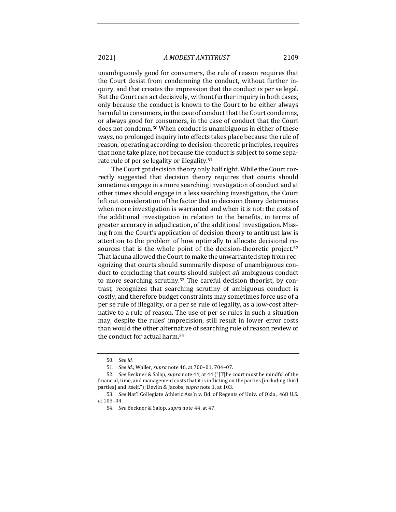unambiguously good for consumers, the rule of reason requires that the Court desist from condemning the conduct, without further inquiry, and that creates the impression that the conduct is per se legal. But the Court can act decisively, without further inquiry in both cases, only because the conduct is known to the Court to be either always harmful to consumers, in the case of conduct that the Court condemns, or always good for consumers, in the case of conduct that the Court does not condemn.<sup>50</sup> When conduct is unambiguous in either of these ways, no prolonged inquiry into effects takes place because the rule of reason, operating according to decision-theoretic principles, requires that none take place, not because the conduct is subject to some separate rule of per se legality or illegality.<sup>51</sup>

The Court got decision theory only half right. While the Court correctly suggested that decision theory requires that courts should sometimes engage in a more searching investigation of conduct and at other times should engage in a less searching investigation, the Court left out consideration of the factor that in decision theory determines when more investigation is warranted and when it is not: the costs of the additional investigation in relation to the benefits, in terms of greater accuracy in adjudication, of the additional investigation. Missing from the Court's application of decision theory to antitrust law is attention to the problem of how optimally to allocate decisional resources that is the whole point of the decision-theoretic project.<sup>52</sup> That lacuna allowed the Court to make the unwarranted step from recognizing that courts should summarily dispose of unambiguous conduct to concluding that courts should subject *all* ambiguous conduct to more searching scrutiny.<sup>53</sup> The careful decision theorist, by contrast, recognizes that searching scrutiny of ambiguous conduct is costly, and therefore budget constraints may sometimes force use of a per se rule of illegality, or a per se rule of legality, as a low-cost alternative to a rule of reason. The use of per se rules in such a situation may, despite the rules' imprecision, still result in lower error costs than would the other alternative of searching rule of reason review of the conduct for actual harm.<sup>54</sup>

<sup>50.</sup> *See id.*

<sup>51.</sup> *See id.*; Waller, *supra* note 46, at 700-01, 704-07.

<sup>52.</sup> *See* Beckner & Salop, *supra* note 44, at 44 ("[T]he court must be mindful of the financial, time, and management costs that it is inflicting on the parties [including third parties] and itself."); Devlin & Jacobs, *supra* note 1, at 103.

<sup>53.</sup> *See* Nat'l Collegiate Athletic Ass'n v. Bd. of Regents of Univ. of Okla., 468 U.S. at 103-04.

<sup>54.</sup> *See* Beckner & Salop, *supra* note 44, at 47.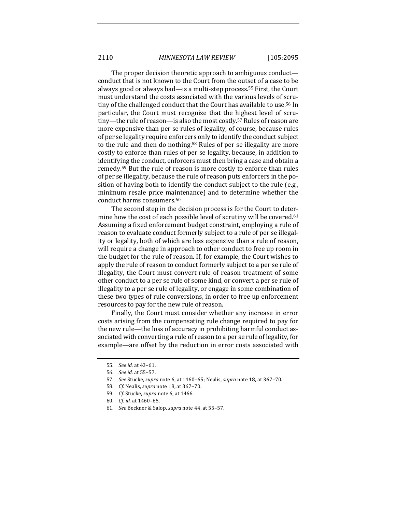The proper decision theoretic approach to ambiguous conduct conduct that is not known to the Court from the outset of a case to be always good or always bad—is a multi-step process.<sup>55</sup> First, the Court must understand the costs associated with the various levels of scrutiny of the challenged conduct that the Court has available to use.<sup>56</sup> In particular, the Court must recognize that the highest level of scrutiny—the rule of reason—is also the most costly.<sup>57</sup> Rules of reason are more expensive than per se rules of legality, of course, because rules of per se legality require enforcers only to identify the conduct subject to the rule and then do nothing.<sup>58</sup> Rules of per se illegality are more costly to enforce than rules of per se legality, because, in addition to identifying the conduct, enforcers must then bring a case and obtain a remedy.<sup>59</sup> But the rule of reason is more costly to enforce than rules of per se illegality, because the rule of reason puts enforcers in the position of having both to identify the conduct subject to the rule (e.g., minimum resale price maintenance) and to determine whether the conduct harms consumers.<sup>60</sup>

The second step in the decision process is for the Court to determine how the cost of each possible level of scrutiny will be covered.<sup>61</sup> Assuming a fixed enforcement budget constraint, employing a rule of reason to evaluate conduct formerly subject to a rule of per se illegality or legality, both of which are less expensive than a rule of reason, will require a change in approach to other conduct to free up room in the budget for the rule of reason. If, for example, the Court wishes to apply the rule of reason to conduct formerly subject to a per se rule of illegality, the Court must convert rule of reason treatment of some other conduct to a per se rule of some kind, or convert a per se rule of illegality to a per se rule of legality, or engage in some combination of these two types of rule conversions, in order to free up enforcement resources to pay for the new rule of reason.

Finally, the Court must consider whether any increase in error costs arising from the compensating rule change required to pay for the new rule—the loss of accuracy in prohibiting harmful conduct associated with converting a rule of reason to a per se rule of legality, for example—are offset by the reduction in error costs associated with

<sup>55.</sup> *See id.* at 43–61.

<sup>56.</sup> *See id.* at 55–57.

<sup>57.</sup> *See* Stucke, *supra* note 6, at 1460–65; Nealis, *supra* note 18, at 367–70.

<sup>58.</sup> *Cf.* Nealis, *supra* note 18, at 367-70.

<sup>59.</sup> *Cf.* Stucke, *supra* note 6, at 1466.

<sup>60.</sup> *Cf. id.* at 1460–65.

<sup>61.</sup> *See* Beckner & Salop, *supra* note 44, at 55-57.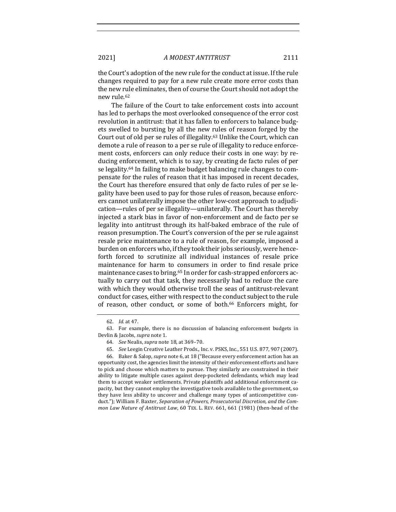the Court's adoption of the new rule for the conduct at issue. If the rule changes required to pay for a new rule create more error costs than the new rule eliminates, then of course the Court should not adopt the new rule.<sup>62</sup>

The failure of the Court to take enforcement costs into account has led to perhaps the most overlooked consequence of the error cost revolution in antitrust: that it has fallen to enforcers to balance budgets swelled to bursting by all the new rules of reason forged by the Court out of old per se rules of illegality.<sup>63</sup> Unlike the Court, which can demote a rule of reason to a per se rule of illegality to reduce enforcement costs, enforcers can only reduce their costs in one way: by reducing enforcement, which is to say, by creating de facto rules of per se legality.<sup>64</sup> In failing to make budget balancing rule changes to compensate for the rules of reason that it has imposed in recent decades, the Court has therefore ensured that only de facto rules of per se legality have been used to pay for those rules of reason, because enforcers cannot unilaterally impose the other low-cost approach to adjudication—rules of per se illegality—unilaterally. The Court has thereby injected a stark bias in favor of non-enforcement and de facto per se legality into antitrust through its half-baked embrace of the rule of reason presumption. The Court's conversion of the per se rule against resale price maintenance to a rule of reason, for example, imposed a burden on enforcers who, if they took their jobs seriously, were henceforth forced to scrutinize all individual instances of resale price maintenance for harm to consumers in order to find resale price maintenance cases to bring.<sup>65</sup> In order for cash-strapped enforcers actually to carry out that task, they necessarily had to reduce the care with which they would otherwise troll the seas of antitrust-relevant conduct for cases, either with respect to the conduct subject to the rule of reason, other conduct, or some of both.<sup>66</sup> Enforcers might, for

<sup>62.</sup> *Id.* at 47.

<sup>63.</sup> For example, there is no discussion of balancing enforcement budgets in Devlin & Jacobs, *supra* note 1.

<sup>64.</sup> *See* Nealis, *supra* note 18, at 369-70.

<sup>65.</sup> *See* Leegin Creative Leather Prods., Inc. v. PSKS, Inc., 551 U.S. 877, 907 (2007).

<sup>66.</sup> Baker & Salop, *supra* note 6, at 18 ("Because every enforcement action has an opportunity cost, the agencies limit the intensity of their enforcement efforts and have to pick and choose which matters to pursue. They similarly are constrained in their ability to litigate multiple cases against deep-pocketed defendants, which may lead them to accept weaker settlements. Private plaintiffs add additional enforcement capacity, but they cannot employ the investigative tools available to the government, so they have less ability to uncover and challenge many types of anticompetitive conduct."); William F. Baxter, *Separation of Powers, Prosecutorial Discretion, and the Common Law Nature of Antitrust Law*, 60 TEX. L. REV. 661, 661 (1981) (then-head of the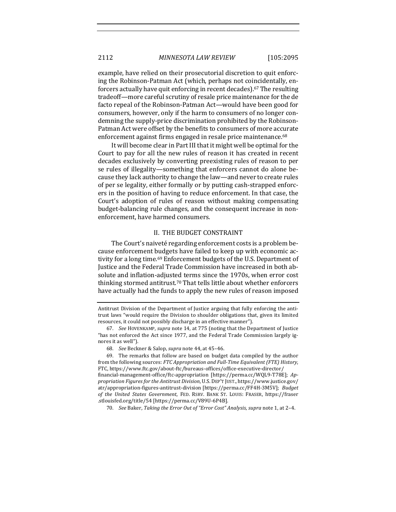example, have relied on their prosecutorial discretion to quit enforcing the Robinson-Patman Act (which, perhaps not coincidentally, enforcers actually have quit enforcing in recent decades).<sup>67</sup> The resulting tradeoff—more careful scrutiny of resale price maintenance for the de facto repeal of the Robinson-Patman Act—would have been good for consumers, however, only if the harm to consumers of no longer condemning the supply-price discrimination prohibited by the Robinson-Patman Act were offset by the benefits to consumers of more accurate enforcement against firms engaged in resale price maintenance.<sup>68</sup>

It will become clear in Part III that it might well be optimal for the Court to pay for all the new rules of reason it has created in recent decades exclusively by converting preexisting rules of reason to per se rules of illegality—something that enforcers cannot do alone because they lack authority to change the law—and never to create rules of per se legality, either formally or by putting cash-strapped enforcers in the position of having to reduce enforcement. In that case, the Court's adoption of rules of reason without making compensating budget-balancing rule changes, and the consequent increase in nonenforcement, have harmed consumers.

#### II. THE BUDGET CONSTRAINT

The Court's naiveté regarding enforcement costs is a problem because enforcement budgets have failed to keep up with economic activity for a long time.<sup>69</sup> Enforcement budgets of the U.S. Department of Justice and the Federal Trade Commission have increased in both absolute and inflation-adjusted terms since the 1970s, when error cost thinking stormed antitrust.<sup>70</sup> That tells little about whether enforcers have actually had the funds to apply the new rules of reason imposed

Antitrust Division of the Department of Justice arguing that fully enforcing the antitrust laws "would require the Division to shoulder obligations that, given its limited resources, it could not possibly discharge in an effective manner").

<sup>67.</sup> *See* HOVENKAMP, *supra* note 14, at 775 (noting that the Department of Justice "has not enforced the Act since 1977, and the Federal Trade Commission largely ignores it as well").

<sup>68.</sup> *See* Beckner & Salop, *supra* note 44, at 45-46.

<sup>69.</sup> The remarks that follow are based on budget data compiled by the author from the following sources: *FTC Appropriation and Full-Time Equivalent (FTE) History*, FTC, https://www.ftc.gov/about-ftc/bureaus-offices/office-executive-director/ financial-management-office/ftc-appropriation [https://perma.cc/WQL9-T78E]; *Appropriation Figures for the Antitrust Division*, U.S. DEP'T JUST., https://www.justice.gov/ atr/appropriation-figures-antitrust-division [https://perma.cc/FF4H-3M5V]; *Budget*  of the United States Government, FED. RSRV. BANK ST. LOUIS: FRASER, https://fraser .stlouisfed.org/title/54 [https://perma.cc/V89U-6P4B].

<sup>70.</sup> *See* Baker, *Taking the Error Out of "Error Cost" Analysis, supra* note 1, at 2-4.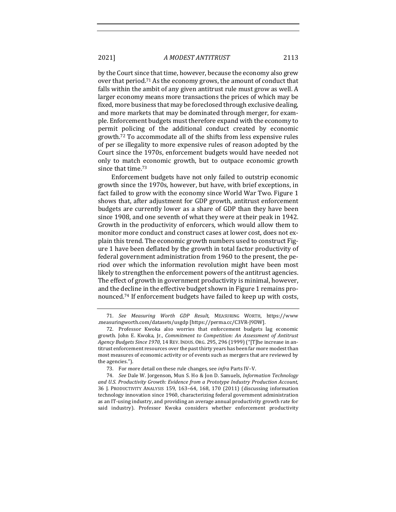by the Court since that time, however, because the economy also grew over that period.<sup>71</sup> As the economy grows, the amount of conduct that falls within the ambit of any given antitrust rule must grow as well. A larger economy means more transactions the prices of which may be fixed, more business that may be foreclosed through exclusive dealing, and more markets that may be dominated through merger, for example. Enforcement budgets must therefore expand with the economy to permit policing of the additional conduct created by economic growth.<sup>72</sup> To accommodate all of the shifts from less expensive rules of per se illegality to more expensive rules of reason adopted by the Court since the 1970s, enforcement budgets would have needed not only to match economic growth, but to outpace economic growth since that time.<sup>73</sup>

Enforcement budgets have not only failed to outstrip economic growth since the 1970s, however, but have, with brief exceptions, in fact failed to grow with the economy since World War Two. Figure 1 shows that, after adjustment for GDP growth, antitrust enforcement budgets are currently lower as a share of GDP than they have been since 1908, and one seventh of what they were at their peak in 1942. Growth in the productivity of enforcers, which would allow them to monitor more conduct and construct cases at lower cost, does not explain this trend. The economic growth numbers used to construct Figure 1 have been deflated by the growth in total factor productivity of federal government administration from 1960 to the present, the period over which the information revolution might have been most likely to strengthen the enforcement powers of the antitrust agencies. The effect of growth in government productivity is minimal, however, and the decline in the effective budget shown in Figure 1 remains pronounced.<sup>74</sup> If enforcement budgets have failed to keep up with costs,

<sup>71.</sup> *See Measuring Worth GDP Result*, MEASURING WORTH, https://www .measuringworth.com/datasets/usgdp [https://perma.cc/C3VR-J9DW].

<sup>72.</sup> Professor Kwoka also worries that enforcement budgets lag economic growth. John E. Kwoka, Jr., *Commitment to Competition: An Assessment of Antitrust Agency Budgets Since 1970, 14 REV. INDUS. ORG. 295, 296 (1999)* ("[T]he increase in antitrust enforcement resources over the past thirty years has been far more modest than most measures of economic activity or of events such as mergers that are reviewed by the agencies.").

<sup>73.</sup> For more detail on these rule changes, see *infra* Parts IV-V.

<sup>74.</sup> *See* Dale W. Jorgenson, Mun S. Ho & Jon D. Samuels, *Information Technology* and U.S. Productivity Growth: Evidence from a Prototype Industry Production Account, 36 J. PRODUCTIVITY ANALYSIS 159, 163–64, 168, 170 (2011) (discussing information technology innovation since 1960, characterizing federal government administration as an IT-using industry, and providing an average annual productivity growth rate for said industry). Professor Kwoka considers whether enforcement productivity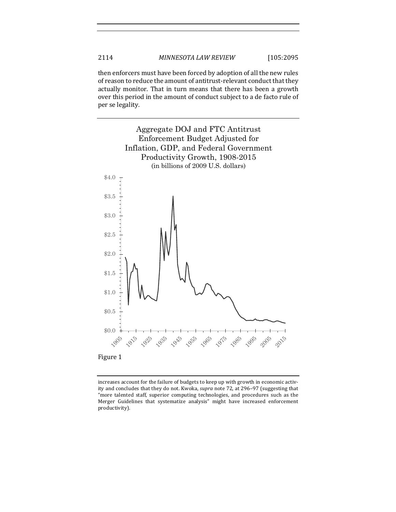then enforcers must have been forced by adoption of all the new rules of reason to reduce the amount of antitrust-relevant conduct that they actually monitor. That in turn means that there has been a growth over this period in the amount of conduct subject to a de facto rule of per se legality.



increases account for the failure of budgets to keep up with growth in economic activity and concludes that they do not. Kwoka, *supra* note 72, at 296-97 (suggesting that "more talented staff, superior computing technologies, and procedures such as the Merger Guidelines that systematize analysis" might have increased enforcement productivity).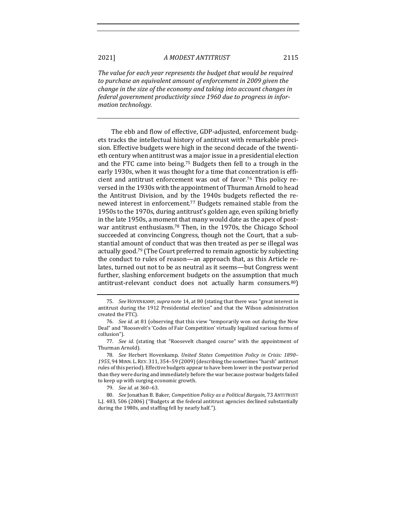The value for each year represents the budget that would be required to purchase an equivalent amount of enforcement in 2009 given the *change* in the size of the economy and taking into account changes in federal government productivity since 1960 due to progress in infor*mation technology.*

The ebb and flow of effective, GDP-adjusted, enforcement budgets tracks the intellectual history of antitrust with remarkable precision. Effective budgets were high in the second decade of the twentieth century when antitrust was a major issue in a presidential election and the FTC came into being.<sup>75</sup> Budgets then fell to a trough in the early 1930s, when it was thought for a time that concentration is efficient and antitrust enforcement was out of favor.<sup>76</sup> This policy reversed in the 1930s with the appointment of Thurman Arnold to head the Antitrust Division, and by the 1940s budgets reflected the renewed interest in enforcement.<sup>77</sup> Budgets remained stable from the 1950s to the 1970s, during antitrust's golden age, even spiking briefly in the late 1950s, a moment that many would date as the apex of postwar antitrust enthusiasm.<sup>78</sup> Then, in the 1970s, the Chicago School succeeded at convincing Congress, though not the Court, that a substantial amount of conduct that was then treated as per se illegal was actually good.<sup>79</sup> (The Court preferred to remain agnostic by subjecting the conduct to rules of reason—an approach that, as this Article relates, turned out not to be as neutral as it seems—but Congress went further, slashing enforcement budgets on the assumption that much antitrust-relevant conduct does not actually harm consumers.<sup>80</sup>)

<sup>75.</sup> *See* HOVENKAMP, *supra* note 14, at 80 (stating that there was "great interest in antitrust during the 1912 Presidential election" and that the Wilson administration created the FTC).

<sup>76.</sup> See id. at 81 (observing that this view "temporarily won out during the New Deal" and "Roosevelt's 'Codes of Fair Competition' virtually legalized various forms of collusion").

<sup>77.</sup> *See id.* (stating that "Roosevelt changed course" with the appointment of Thurman Arnold).

<sup>78.</sup> *See* Herbert Hovenkamp, *United States Competition Policy in Crisis: 1890–* 1955, 94 MINN. L. REV. 311, 354-59 (2009) (describing the sometimes "harsh" antitrust rules of this period). Effective budgets appear to have been lower in the postwar period than they were during and immediately before the war because postwar budgets failed to keep up with surging economic growth.

<sup>79.</sup> *See id.* at 360–63.

<sup>80.</sup> *See* Jonathan B. Baker, *Competition Policy as a Political Bargain*, 73 ANTITRUST L.J. 483, 506 (2006) ("Budgets at the federal antitrust agencies declined substantially during the 1980s, and staffing fell by nearly half.").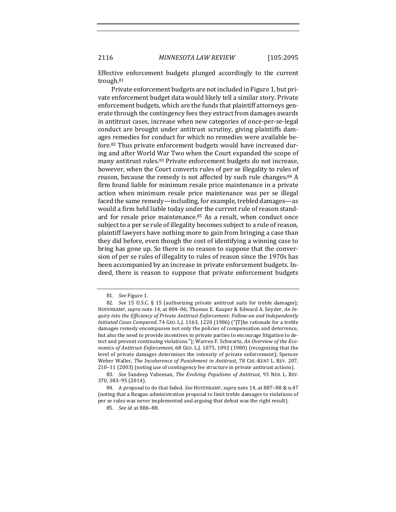2116 *MINNESOTA LAW REVIEW* [105:2095

Effective enforcement budgets plunged accordingly to the current trough.81

Private enforcement budgets are not included in Figure 1, but private enforcement budget data would likely tell a similar story. Private enforcement budgets, which are the funds that plaintiff attorneys generate through the contingency fees they extract from damages awards in antitrust cases, increase when new categories of once-per-se-legal conduct are brought under antitrust scrutiny, giving plaintiffs damages remedies for conduct for which no remedies were available before.<sup>82</sup> Thus private enforcement budgets would have increased during and after World War Two when the Court expanded the scope of many antitrust rules.<sup>83</sup> Private enforcement budgets do not increase, however, when the Court converts rules of per se illegality to rules of reason, because the remedy is not affected by such rule changes. $84$  A firm found liable for minimum resale price maintenance in a private action when minimum resale price maintenance was per se illegal faced the same remedy—including, for example, trebled damages—as would a firm held liable today under the current rule of reason standard for resale price maintenance. $85$  As a result, when conduct once subject to a per se rule of illegality becomes subject to a rule of reason, plaintiff lawyers have nothing more to gain from bringing a case than they did before, even though the cost of identifying a winning case to bring has gone up. So there is no reason to suppose that the conversion of per se rules of illegality to rules of reason since the 1970s has been accompanied by an increase in private enforcement budgets. Indeed, there is reason to suppose that private enforcement budgets

<sup>81.</sup> See Figure 1.

<sup>82.</sup> *See* 15 U.S.C. § 15 (authorizing private antitrust suits for treble damages); HOVENKAMP, *supra* note 14, at 804-06; Thomas E. Kauper & Edward A. Snyder, An In*quiry* into the *Efficiency* of *Private Antitrust Enforcement: Follow-on and Independently Initiated Cases Compared,* 74 GEO. L.J. 1163, 1220 (1986) ("[T]he rationale for a treble damages remedy encompasses not only the policies of compensation and deterrence, but also the need to provide incentives to private parties to encourage litigation to detect and prevent continuing violations."); Warren F. Schwartz, An Overview of the Eco*nomics of Antitrust Enforcement*, 68 GEO. L.J. 1075, 1092 (1980) (recognizing that the level of private damages determines the intensity of private enforcement); Spencer Weber Waller, *The Incoherence of Punishment in Antitrust*, 78 CHI.-KENT L. REV. 207, 210-11 (2003) (noting use of contingency fee structure in private antitrust actions).

<sup>83.</sup> *See* Sandeep Vaheesan, *The Evolving Populisms of Antitrust*, 93 NEB. L. REV. 370, 383–95 (2014).

<sup>84.</sup> A proposal to do that failed. See HOVENKAMP, supra note 14, at 887-88 & n.47 (noting that a Reagan administration proposal to limit treble damages to violations of per se rules was never implemented and arguing that defeat was the right result).

<sup>85.</sup> *See id.* at 886–88.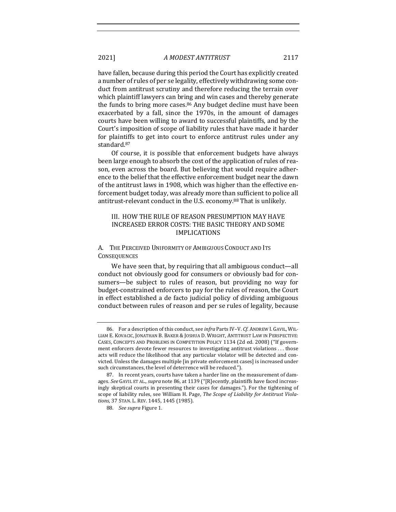have fallen, because during this period the Court has explicitly created a number of rules of per se legality, effectively withdrawing some conduct from antitrust scrutiny and therefore reducing the terrain over which plaintiff lawyers can bring and win cases and thereby generate the funds to bring more cases. $86$  Any budget decline must have been exacerbated by a fall, since the 1970s, in the amount of damages courts have been willing to award to successful plaintiffs, and by the Court's imposition of scope of liability rules that have made it harder for plaintiffs to get into court to enforce antitrust rules under any standard.87

Of course, it is possible that enforcement budgets have always been large enough to absorb the cost of the application of rules of reason, even across the board. But believing that would require adherence to the belief that the effective enforcement budget near the dawn of the antitrust laws in 1908, which was higher than the effective enforcement budget today, was already more than sufficient to police all antitrust-relevant conduct in the U.S. economy.<sup>88</sup> That is unlikely.

#### III. HOW THE RULE OF REASON PRESUMPTION MAY HAVE INCREASED ERROR COSTS: THE BASIC THEORY AND SOME IMPLICATIONS

#### A. THE PERCEIVED UNIFORMITY OF AMBIGUOUS CONDUCT AND ITS **CONSEQUENCES**

We have seen that, by requiring that all ambiguous conduct—all conduct not obviously good for consumers or obviously bad for consumers—be subject to rules of reason, but providing no way for budget-constrained enforcers to pay for the rules of reason, the Court in effect established a de facto judicial policy of dividing ambiguous conduct between rules of reason and per se rules of legality, because

<sup>86.</sup> For a description of this conduct, see *infra* Parts IV–V. *Cf.* ANDREW I. GAVIL, WIL-LIAM E. KOVACIC, JONATHAN B. BAKER & JOSHUA D. WRIGHT, ANTITRUST LAW IN PERSPECTIVE: CASES, CONCEPTS AND PROBLEMS IN COMPETITION POLICY 1134 (2d ed. 2008) ("If government enforcers devote fewer resources to investigating antitrust violations ... those acts will reduce the likelihood that any particular violator will be detected and convicted. Unless the damages multiple [in private enforcement cases] is increased under such circumstances, the level of deterrence will be reduced.").

<sup>87.</sup> In recent years, courts have taken a harder line on the measurement of damages. See GAVIL ET AL., *supra* note 86, at 1139 ("[R]ecently, plaintiffs have faced increasingly skeptical courts in presenting their cases for damages."). For the tightening of scope of liability rules, see William H. Page, *The Scope of Liability for Antitrust Viola*tions, 37 STAN. L. REV. 1445, 1445 (1985).

<sup>88.</sup> *See supra* Figure 1.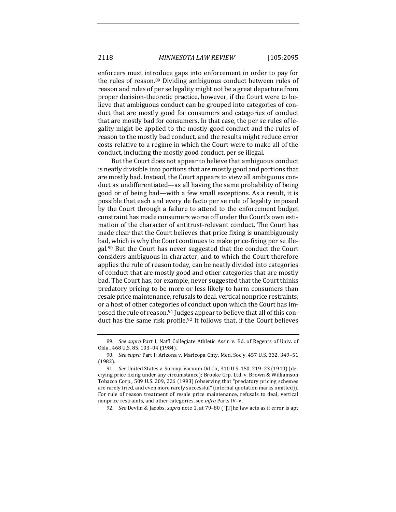enforcers must introduce gaps into enforcement in order to pay for the rules of reason.<sup>89</sup> Dividing ambiguous conduct between rules of reason and rules of per se legality might not be a great departure from proper decision-theoretic practice, however, if the Court were to believe that ambiguous conduct can be grouped into categories of conduct that are mostly good for consumers and categories of conduct that are mostly bad for consumers. In that case, the per se rules of legality might be applied to the mostly good conduct and the rules of reason to the mostly bad conduct, and the results might reduce error costs relative to a regime in which the Court were to make all of the conduct, including the mostly good conduct, per se illegal.

But the Court does not appear to believe that ambiguous conduct is neatly divisible into portions that are mostly good and portions that are mostly bad. Instead, the Court appears to view all ambiguous conduct as undifferentiated—as all having the same probability of being good or of being bad—with a few small exceptions. As a result, it is possible that each and every de facto per se rule of legality imposed by the Court through a failure to attend to the enforcement budget constraint has made consumers worse off under the Court's own estimation of the character of antitrust-relevant conduct. The Court has made clear that the Court believes that price fixing is unambiguously bad, which is why the Court continues to make price-fixing per se illegal.<sup>90</sup> But the Court has never suggested that the conduct the Court considers ambiguous in character, and to which the Court therefore applies the rule of reason today, can be neatly divided into categories of conduct that are mostly good and other categories that are mostly bad. The Court has, for example, never suggested that the Court thinks predatory pricing to be more or less likely to harm consumers than resale price maintenance, refusals to deal, vertical nonprice restraints, or a host of other categories of conduct upon which the Court has imposed the rule of reason.<sup>91</sup> Judges appear to believe that all of this conduct has the same risk profile.<sup>92</sup> It follows that, if the Court believes

<sup>89.</sup> *See supra* Part I; Nat'l Collegiate Athletic Ass'n v. Bd. of Regents of Univ. of Okla., 468 U.S. 85, 103-04 (1984).

<sup>90.</sup> *See supra* Part I; Arizona v. Maricopa Cnty. Med. Soc'y, 457 U.S. 332, 349-51 (1982).

<sup>91.</sup> *See* United States v. Socony-Vacuum Oil Co., 310 U.S. 150, 219-23 (1940) (decrying price fixing under any circumstance); Brooke Grp. Ltd. v. Brown & Williamson Tobacco Corp., 509 U.S. 209, 226 (1993) (observing that "predatory pricing schemes are rarely tried, and even more rarely successful" (internal quotation marks omitted)). For rule of reason treatment of resale price maintenance, refusals to deal, vertical nonprice restraints, and other categories, see *infra* Parts IV-V.

<sup>92.</sup> *See* Devlin & Jacobs, *supra* note 1, at 79-80 ("[T]he law acts as if error is apt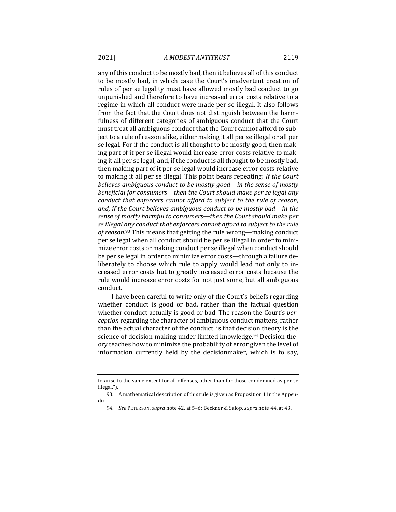any of this conduct to be mostly bad, then it believes all of this conduct to be mostly bad, in which case the Court's inadvertent creation of rules of per se legality must have allowed mostly bad conduct to go unpunished and therefore to have increased error costs relative to a regime in which all conduct were made per se illegal. It also follows from the fact that the Court does not distinguish between the harmfulness of different categories of ambiguous conduct that the Court must treat all ambiguous conduct that the Court cannot afford to subject to a rule of reason alike, either making it all per se illegal or all per se legal. For if the conduct is all thought to be mostly good, then making part of it per se illegal would increase error costs relative to making it all per se legal, and, if the conduct is all thought to be mostly bad, then making part of it per se legal would increase error costs relative to making it all per se illegal. This point bears repeating: If the Court *believes ambiguous conduct to be mostly good—in the sense of mostly beneficial for consumers—then the Court should make per se legal any conduct that enforcers cannot afford to subject to the rule of reason,* and, if the Court believes ambiguous conduct to be mostly bad—in the sense of mostly harmful to consumers—then the Court should make per se illegal any conduct that enforcers cannot afford to subject to the rule of reason.<sup>93</sup> This means that getting the rule wrong—making conduct per se legal when all conduct should be per se illegal in order to minimize error costs or making conduct per se illegal when conduct should be per se legal in order to minimize error costs—through a failure deliberately to choose which rule to apply would lead not only to increased error costs but to greatly increased error costs because the rule would increase error costs for not just some, but all ambiguous conduct.

I have been careful to write only of the Court's beliefs regarding whether conduct is good or bad, rather than the factual question whether conduct actually is good or bad. The reason the Court's *perception* regarding the character of ambiguous conduct matters, rather than the actual character of the conduct, is that decision theory is the science of decision-making under limited knowledge.<sup>94</sup> Decision theory teaches how to minimize the probability of error given the level of information currently held by the decisionmaker, which is to say,

to arise to the same extent for all offenses, other than for those condemned as per se illegal.").

<sup>93.</sup> A mathematical description of this rule is given as Proposition 1 in the Appendix.

<sup>94.</sup> *See* PETERSON, *supra* note 42, at 5-6; Beckner & Salop, *supra* note 44, at 43.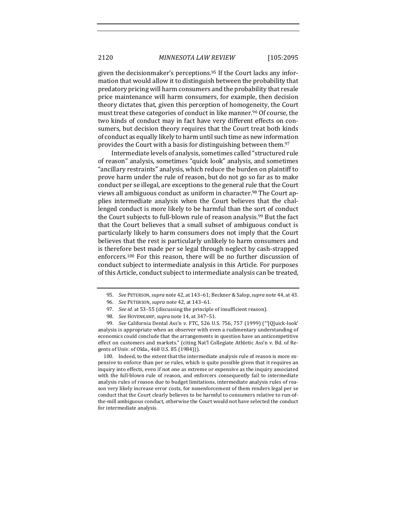given the decisionmaker's perceptions.<sup>95</sup> If the Court lacks any information that would allow it to distinguish between the probability that predatory pricing will harm consumers and the probability that resale price maintenance will harm consumers, for example, then decision theory dictates that, given this perception of homogeneity, the Court must treat these categories of conduct in like manner.<sup>96</sup> Of course, the two kinds of conduct may in fact have very different effects on consumers, but decision theory requires that the Court treat both kinds of conduct as equally likely to harm until such time as new information provides the Court with a basis for distinguishing between them.<sup>97</sup>

Intermediate levels of analysis, sometimes called "structured rule of reason" analysis, sometimes "quick look" analysis, and sometimes "ancillary restraints" analysis, which reduce the burden on plaintiff to prove harm under the rule of reason, but do not go so far as to make conduct per se illegal, are exceptions to the general rule that the Court views all ambiguous conduct as uniform in character.<sup>98</sup> The Court applies intermediate analysis when the Court believes that the challenged conduct is more likely to be harmful than the sort of conduct the Court subjects to full-blown rule of reason analysis.<sup>99</sup> But the fact that the Court believes that a small subset of ambiguous conduct is particularly likely to harm consumers does not imply that the Court believes that the rest is particularly unlikely to harm consumers and is therefore best made per se legal through neglect by cash-strapped enforcers.<sup>100</sup> For this reason, there will be no further discussion of conduct subject to intermediate analysis in this Article. For purposes of this Article, conduct subject to intermediate analysis can be treated,

100. Indeed, to the extent that the intermediate analysis rule of reason is more expensive to enforce than per se rules, which is quite possible given that it requires an inquiry into effects, even if not one as extreme or expensive as the inquiry associated with the full-blown rule of reason, and enforcers consequently fail to intermediate analysis rules of reason due to budget limitations, intermediate analysis rules of reason very likely increase error costs, for nonenforcement of them renders legal per se conduct that the Court clearly believes to be harmful to consumers relative to run-ofthe-mill ambiguous conduct, otherwise the Court would not have selected the conduct for intermediate analysis.

<sup>95.</sup> *See* PETERSON, *supra* note 42, at 143-61; Beckner & Salop, *supra* note 44, at 43.

<sup>96.</sup> *See* PETERSON, *supra* note 42, at 143-61.

<sup>97.</sup> *See id.* at 53-55 (discussing the principle of insufficient reason).

<sup>98.</sup> *See* HOVENKAMP, *supra* note 14, at 347-51.

<sup>99.</sup> *See* California Dental Ass'n v. FTC, 526 U.S. 756, 757 (1999) ("[Q]uick-look' analysis is appropriate when an observer with even a rudimentary understanding of economics could conclude that the arrangements in question have an anticompetitive effect on customers and markets." (citing Nat'l Collegiate Athletic Ass'n v. Bd. of Regents of Univ. of Okla., 468 U.S. 85 (1984))).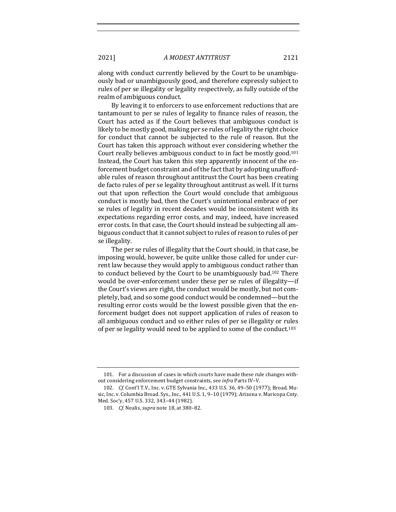along with conduct currently believed by the Court to be unambiguously bad or unambiguously good, and therefore expressly subject to rules of per se illegality or legality respectively, as fully outside of the realm of ambiguous conduct.

By leaving it to enforcers to use enforcement reductions that are tantamount to per se rules of legality to finance rules of reason, the Court has acted as if the Court believes that ambiguous conduct is likely to be mostly good, making per se rules of legality the right choice for conduct that cannot be subjected to the rule of reason. But the Court has taken this approach without ever considering whether the Court really believes ambiguous conduct to in fact be mostly good.<sup>101</sup> Instead, the Court has taken this step apparently innocent of the enforcement budget constraint and of the fact that by adopting unaffordable rules of reason throughout antitrust the Court has been creating de facto rules of per se legality throughout antitrust as well. If it turns out that upon reflection the Court would conclude that ambiguous conduct is mostly bad, then the Court's unintentional embrace of per se rules of legality in recent decades would be inconsistent with its expectations regarding error costs, and may, indeed, have increased error costs. In that case, the Court should instead be subjecting all ambiguous conduct that it cannot subject to rules of reason to rules of per se illegality.

The per se rules of illegality that the Court should, in that case, be imposing would, however, be quite unlike those called for under current law because they would apply to ambiguous conduct rather than to conduct believed by the Court to be unambiguously bad.<sup>102</sup> There would be over-enforcement under these per se rules of illegality—if the Court's views are right, the conduct would be mostly, but not completely, bad, and so some good conduct would be condemned—but the resulting error costs would be the lowest possible given that the enforcement budget does not support application of rules of reason to all ambiguous conduct and so either rules of per se illegality or rules of per se legality would need to be applied to some of the conduct.<sup>103</sup>

<sup>101.</sup> For a discussion of cases in which courts have made these rule changes without considering enforcement budget constraints, see *infra* Parts IV-V.

<sup>102.</sup> *Cf.* Cont'l T.V., Inc. v. GTE Sylvania Inc., 433 U.S. 36, 49-50 (1977); Broad. Music, Inc. v. Columbia Broad. Sys., Inc.,  $441$  U.S.  $1, 9-10$  (1979); Arizona v. Maricopa Cnty. Med. Soc'y, 457 U.S. 332, 343-44 (1982).

<sup>103.</sup> *Cf.* Nealis, *supra* note 18, at 380-82.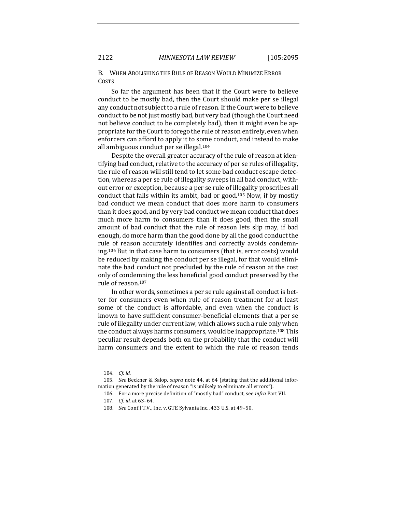B. WHEN ABOLISHING THE RULE OF REASON WOULD MINIMIZE ERROR COSTS

So far the argument has been that if the Court were to believe conduct to be mostly bad, then the Court should make per se illegal any conduct not subject to a rule of reason. If the Court were to believe conduct to be not just mostly bad, but very bad (though the Court need not believe conduct to be completely bad), then it might even be appropriate for the Court to forego the rule of reason entirely, even when enforcers can afford to apply it to some conduct, and instead to make all ambiguous conduct per se illegal.<sup>104</sup>

Despite the overall greater accuracy of the rule of reason at identifying bad conduct, relative to the accuracy of per se rules of illegality, the rule of reason will still tend to let some bad conduct escape detection, whereas a per se rule of illegality sweeps in all bad conduct, without error or exception, because a per se rule of illegality proscribes all conduct that falls within its ambit, bad or good.<sup>105</sup> Now, if by mostly bad conduct we mean conduct that does more harm to consumers than it does good, and by very bad conduct we mean conduct that does much more harm to consumers than it does good, then the small amount of bad conduct that the rule of reason lets slip may, if bad enough, do more harm than the good done by all the good conduct the rule of reason accurately identifies and correctly avoids condemning.<sup>106</sup> But in that case harm to consumers (that is, error costs) would be reduced by making the conduct per se illegal, for that would eliminate the bad conduct not precluded by the rule of reason at the cost only of condemning the less beneficial good conduct preserved by the rule of reason.<sup>107</sup>

In other words, sometimes a per se rule against all conduct is better for consumers even when rule of reason treatment for at least some of the conduct is affordable, and even when the conduct is known to have sufficient consumer-beneficial elements that a per se rule of illegality under current law, which allows such a rule only when the conduct always harms consumers, would be inappropriate.<sup>108</sup> This peculiar result depends both on the probability that the conduct will harm consumers and the extent to which the rule of reason tends

<sup>104.</sup> *Cf. id.*

<sup>105.</sup> *See* Beckner & Salop, *supra* note 44, at 64 (stating that the additional information generated by the rule of reason "is unlikely to eliminate all errors").

<sup>106.</sup> For a more precise definition of "mostly bad" conduct, see *infra* Part VII.

<sup>107.</sup> *Cf. id.* at 63-64.

<sup>108.</sup> *See* Cont'l T.V., Inc. v. GTE Sylvania Inc., 433 U.S. at 49-50.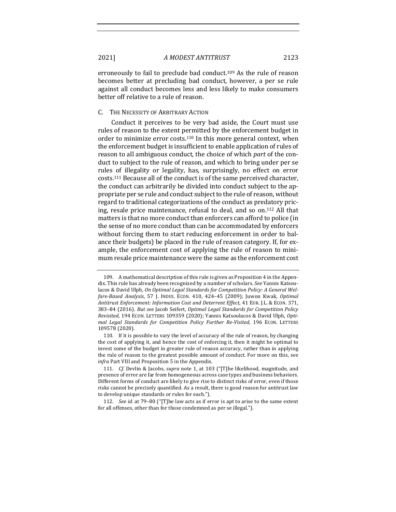erroneously to fail to preclude bad conduct.<sup>109</sup> As the rule of reason becomes better at precluding bad conduct, however, a per se rule against all conduct becomes less and less likely to make consumers better off relative to a rule of reason.

#### C. THE NECESSITY OF ARBITRARY ACTION

Conduct it perceives to be very bad aside, the Court must use rules of reason to the extent permitted by the enforcement budget in order to minimize error costs.<sup>110</sup> In this more general context, when the enforcement budget is insufficient to enable application of rules of reason to all ambiguous conduct, the choice of which *part* of the conduct to subject to the rule of reason, and which to bring under per se rules of illegality or legality, has, surprisingly, no effect on error costs.<sup>111</sup> Because all of the conduct is of the same perceived character, the conduct can arbitrarily be divided into conduct subject to the appropriate per se rule and conduct subject to the rule of reason, without regard to traditional categorizations of the conduct as predatory pricing, resale price maintenance, refusal to deal, and so on.<sup>112</sup> All that matters is that no more conduct than enforcers can afford to police (in the sense of no more conduct than can be accommodated by enforcers without forcing them to start reducing enforcement in order to balance their budgets) be placed in the rule of reason category. If, for example, the enforcement cost of applying the rule of reason to minimum resale price maintenance were the same as the enforcement cost

112. *See id.* at 79-80 ("[T]he law acts as if error is apt to arise to the same extent for all offenses, other than for those condemned as per se illegal.").

<sup>109.</sup> A mathematical description of this rule is given as Proposition 4 in the Appendix. This rule has already been recognized by a number of scholars. *See* Yannis Katsoulacos & David Ulph, On Optimal Legal Standards for Competition Policy: A General Wel*fare-Based Analysis*, 57 J. INDUS. ECON. 410, 424-45 (2009); Juwon Kwak, *Optimal* Antitrust Enforcement: Information Cost and Deterrent Effect, 41 EUR. J.L. & ECON. 371, 383-84 (2016). *But see* Jacob Seifert, *Optimal Legal Standards for Competition Policy Revisited*, 194 ECON. LETTERS 109359 (2020); Yannis Katsoulacos & David Ulph, Opti*mal Legal Standards for Competition Policy Further Re-Visited, 196 ECON. LETTERS* 109578 (2020).

<sup>110.</sup> If it is possible to vary the level of accuracy of the rule of reason, by changing the cost of applying it, and hence the cost of enforcing it, then it might be optimal to invest some of the budget in greater rule of reason accuracy, rather than in applying the rule of reason to the greatest possible amount of conduct. For more on this, see *infra* Part VIII and Proposition 5 in the Appendix.

<sup>111.</sup> *Cf.* Devlin & Jacobs, *supra* note 1, at 103 ("[T]he likelihood, magnitude, and presence of error are far from homogeneous across case types and business behaviors. Different forms of conduct are likely to give rise to distinct risks of error, even if those risks cannot be precisely quantified. As a result, there is good reason for antitrust law to develop unique standards or rules for each.").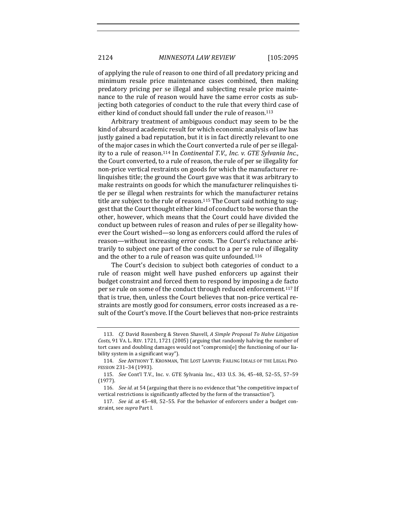of applying the rule of reason to one third of all predatory pricing and minimum resale price maintenance cases combined, then making predatory pricing per se illegal and subjecting resale price maintenance to the rule of reason would have the same error costs as subjecting both categories of conduct to the rule that every third case of either kind of conduct should fall under the rule of reason.<sup>113</sup>

Arbitrary treatment of ambiguous conduct may seem to be the kind of absurd academic result for which economic analysis of law has justly gained a bad reputation, but it is in fact directly relevant to one of the major cases in which the Court converted a rule of per se illegality to a rule of reason.<sup>114</sup> In *Continental T.V., Inc. v. GTE Sylvania Inc.*, the Court converted, to a rule of reason, the rule of per se illegality for non-price vertical restraints on goods for which the manufacturer relinquishes title; the ground the Court gave was that it was arbitrary to make restraints on goods for which the manufacturer relinquishes title per se illegal when restraints for which the manufacturer retains title are subject to the rule of reason.<sup>115</sup> The Court said nothing to suggest that the Court thought either kind of conduct to be worse than the other, however, which means that the Court could have divided the conduct up between rules of reason and rules of per se illegality however the Court wished—so long as enforcers could afford the rules of reason—without increasing error costs. The Court's reluctance arbitrarily to subject one part of the conduct to a per se rule of illegality and the other to a rule of reason was quite unfounded.<sup>116</sup>

The Court's decision to subject both categories of conduct to a rule of reason might well have pushed enforcers up against their budget constraint and forced them to respond by imposing a de facto per se rule on some of the conduct through reduced enforcement.<sup>117</sup> If that is true, then, unless the Court believes that non-price vertical restraints are mostly good for consumers, error costs increased as a result of the Court's move. If the Court believes that non-price restraints

<sup>113.</sup> *Cf.* David Rosenberg & Steven Shavell, *A Simple Proposal To Halve Litigation* Costs, 91 VA. L. REV. 1721, 1721 (2005) (arguing that randomly halving the number of tort cases and doubling damages would not "compromis[e] the functioning of our liability system in a significant way").

<sup>114.</sup> *See* ANTHONY T. KRONMAN, THE LOST LAWYER: FAILING IDEALS OF THE LEGAL PRO-FESSION 231-34 (1993).

<sup>115.</sup> *See* Cont'l T.V., Inc. v. GTE Sylvania Inc., 433 U.S. 36, 45-48, 52-55, 57-59 (1977).

<sup>116.</sup> *See id.* at 54 (arguing that there is no evidence that "the competitive impact of vertical restrictions is significantly affected by the form of the transaction").

<sup>117.</sup> *See id.* at 45-48, 52-55. For the behavior of enforcers under a budget constraint, see *supra* Part I.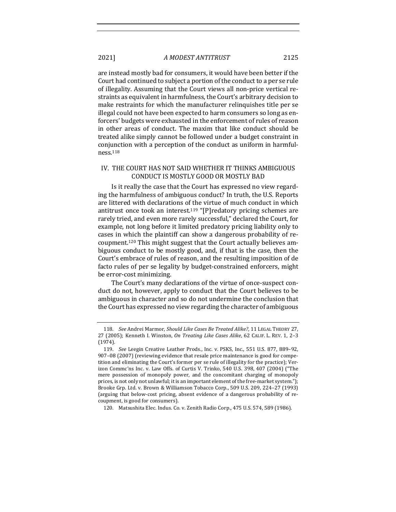are instead mostly bad for consumers, it would have been better if the Court had continued to subject a portion of the conduct to a per se rule of illegality. Assuming that the Court views all non-price vertical restraints as equivalent in harmfulness, the Court's arbitrary decision to make restraints for which the manufacturer relinquishes title per se illegal could not have been expected to harm consumers so long as enforcers' budgets were exhausted in the enforcement of rules of reason in other areas of conduct. The maxim that like conduct should be treated alike simply cannot be followed under a budget constraint in conjunction with a perception of the conduct as uniform in harmfulness.118

#### IV. THE COURT HAS NOT SAID WHETHER IT THINKS AMBIGUOUS CONDUCT IS MOSTLY GOOD OR MOSTLY BAD

Is it really the case that the Court has expressed no view regarding the harmfulness of ambiguous conduct? In truth, the U.S. Reports are littered with declarations of the virtue of much conduct in which antitrust once took an interest.<sup>119</sup> "[P]redatory pricing schemes are rarely tried, and even more rarely successful," declared the Court, for example, not long before it limited predatory pricing liability only to cases in which the plaintiff can show a dangerous probability of recoupment.<sup>120</sup> This might suggest that the Court actually believes ambiguous conduct to be mostly good, and, if that is the case, then the Court's embrace of rules of reason, and the resulting imposition of de facto rules of per se legality by budget-constrained enforcers, might be error-cost minimizing.

The Court's many declarations of the virtue of once-suspect conduct do not, however, apply to conduct that the Court believes to be ambiguous in character and so do not undermine the conclusion that the Court has expressed no view regarding the character of ambiguous

<sup>118.</sup> *See* Andrei Marmor, *Should Like Cases Be Treated Alike?*, 11 LEGAL THEORY 27, 27 (2005); Kenneth I. Winston, On Treating Like Cases Alike, 62 CALIF. L. REV. 1, 2-3 (1974).

<sup>119.</sup> *See* Leegin Creative Leather Prods., Inc. v. PSKS, Inc., 551 U.S. 877, 889-92, 907-08 (2007) (reviewing evidence that resale price maintenance is good for competition and eliminating the Court's former per se rule of illegality for the practice); Verizon Commc'ns Inc. v. Law Offs. of Curtis V. Trinko, 540 U.S. 398, 407 (2004) ("The mere possession of monopoly power, and the concomitant charging of monopoly prices, is not only not unlawful; it is an important element of the free-market system."); Brooke Grp. Ltd. v. Brown & Williamson Tobacco Corp., 509 U.S. 209, 224-27 (1993) (arguing that below-cost pricing, absent evidence of a dangerous probability of recoupment, is good for consumers).

<sup>120.</sup> Matsushita Elec. Indus. Co. v. Zenith Radio Corp., 475 U.S. 574, 589 (1986).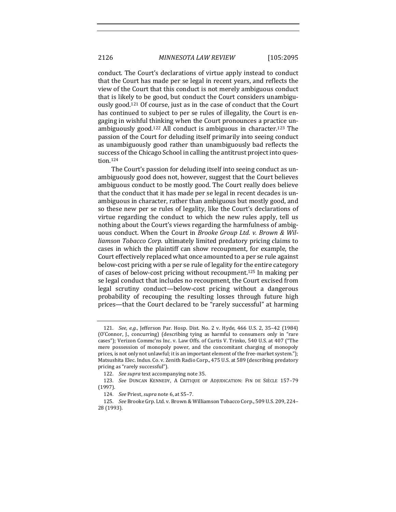conduct. The Court's declarations of virtue apply instead to conduct that the Court has made per se legal in recent years, and reflects the view of the Court that this conduct is not merely ambiguous conduct that is likely to be good, but conduct the Court considers unambiguously good.<sup>121</sup> Of course, just as in the case of conduct that the Court has continued to subject to per se rules of illegality, the Court is engaging in wishful thinking when the Court pronounces a practice unambiguously good.<sup>122</sup> All conduct is ambiguous in character.<sup>123</sup> The passion of the Court for deluding itself primarily into seeing conduct as unambiguously good rather than unambiguously bad reflects the success of the Chicago School in calling the antitrust project into question.124

The Court's passion for deluding itself into seeing conduct as unambiguously good does not, however, suggest that the Court believes ambiguous conduct to be mostly good. The Court really does believe that the conduct that it has made per se legal in recent decades is unambiguous in character, rather than ambiguous but mostly good, and so these new per se rules of legality, like the Court's declarations of virtue regarding the conduct to which the new rules apply, tell us nothing about the Court's views regarding the harmfulness of ambiguous conduct. When the Court in *Brooke Group Ltd. v. Brown & Williamson Tobacco Corp.* ultimately limited predatory pricing claims to cases in which the plaintiff can show recoupment, for example, the Court effectively replaced what once amounted to a per se rule against below-cost pricing with a per se rule of legality for the entire category of cases of below-cost pricing without recoupment.<sup>125</sup> In making per se legal conduct that includes no recoupment, the Court excised from legal scrutiny conduct—below-cost pricing without a dangerous probability of recouping the resulting losses through future high prices—that the Court declared to be "rarely successful" at harming

<sup>121.</sup> *See, e.g.*, Jefferson Par. Hosp. Dist. No. 2 v. Hyde, 466 U.S. 2, 35-42 (1984) (O'Connor, J., concurring) (describing tying as harmful to consumers only in "rare cases"); Verizon Commc'ns Inc. v. Law Offs. of Curtis V. Trinko, 540 U.S. at 407 ("The mere possession of monopoly power, and the concomitant charging of monopoly prices, is not only not unlawful; it is an important element of the free-market system."); Matsushita Elec. Indus. Co. v. Zenith Radio Corp., 475 U.S. at 589 (describing predatory pricing as "rarely successful").

<sup>122.</sup> *See supra* text accompanying note 35.

<sup>123.</sup> *See* DUNCAN KENNEDY, A CRITIQUE OF ADJUDICATION: FIN DE SIÈCLE 157-79 (1997).

<sup>124.</sup> *See* Priest, *supra* note 6, at S5-7.

<sup>125.</sup> *See* Brooke Grp. Ltd. v. Brown & Williamson Tobacco Corp., 509 U.S. 209, 224-28 (1993).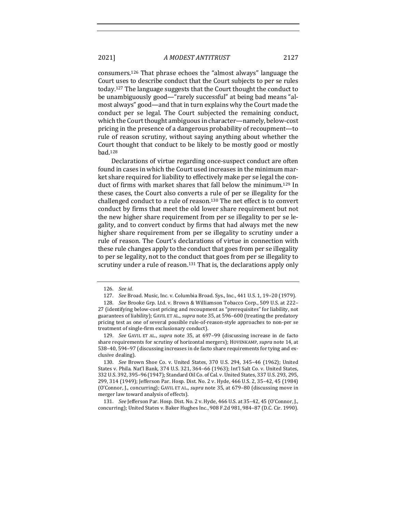consumers.<sup>126</sup> That phrase echoes the "almost always" language the Court uses to describe conduct that the Court subjects to per se rules today.<sup>127</sup> The language suggests that the Court thought the conduct to be unambiguously good—"rarely successful" at being bad means "almost always" good—and that in turn explains why the Court made the conduct per se legal. The Court subjected the remaining conduct, which the Court thought ambiguous in character—namely, below-cost pricing in the presence of a dangerous probability of recoupment—to rule of reason scrutiny, without saying anything about whether the Court thought that conduct to be likely to be mostly good or mostly bad. 128

Declarations of virtue regarding once-suspect conduct are often found in cases in which the Court used increases in the minimum market share required for liability to effectively make per se legal the conduct of firms with market shares that fall below the minimum.<sup>129</sup> In these cases, the Court also converts a rule of per se illegality for the challenged conduct to a rule of reason.<sup>130</sup> The net effect is to convert conduct by firms that meet the old lower share requirement but not the new higher share requirement from per se illegality to per se legality, and to convert conduct by firms that had always met the new higher share requirement from per se illegality to scrutiny under a rule of reason. The Court's declarations of virtue in connection with these rule changes apply to the conduct that goes from per se illegality to per se legality, not to the conduct that goes from per se illegality to scrutiny under a rule of reason.<sup>131</sup> That is, the declarations apply only

<sup>126.</sup> *See id.*

<sup>127.</sup> *See* Broad. Music, Inc. v. Columbia Broad. Sys., Inc., 441 U.S. 1, 19-20 (1979).

<sup>128.</sup> *See* Brooke Grp. Ltd. v. Brown & Williamson Tobacco Corp., 509 U.S. at 222-27 (identifying below-cost pricing and recoupment as "prerequisites" for liability, not guarantees of liability); GAVIL ET AL., *supra* note 35, at 596-600 (treating the predatory pricing test as one of several possible rule-of-reason-style approaches to non-per se treatment of single-firm exclusionary conduct).

<sup>129.</sup> *See* GAVIL ET AL., *supra* note 35, at 697-99 (discussing increase in de facto share requirements for scrutiny of horizontal mergers); HOVENKAMP, *supra* note 14, at 538-40, 594-97 (discussing increases in de facto share requirements for tying and exclusive dealing).

<sup>130.</sup> *See* Brown Shoe Co. v. United States, 370 U.S. 294, 345-46 (1962); United States v. Phila. Nat'l Bank, 374 U.S. 321, 364-66 (1963); Int'l Salt Co. v. United States, 332 U.S. 392, 395-96 (1947); Standard Oil Co. of Cal. v. United States, 337 U.S. 293, 295, 299, 314 (1949); Jefferson Par. Hosp. Dist. No. 2 v. Hyde, 466 U.S. 2, 35–42, 45 (1984) (O'Connor, J., concurring); GAVIL ET AL., *supra* note 35, at 679-80 (discussing move in merger law toward analysis of effects).

<sup>131.</sup> *See* Jefferson Par. Hosp. Dist. No. 2 v. Hyde, 466 U.S. at 35-42, 45 (O'Connor, J., concurring); United States v. Baker Hughes Inc., 908 F.2d 981, 984-87 (D.C. Cir. 1990).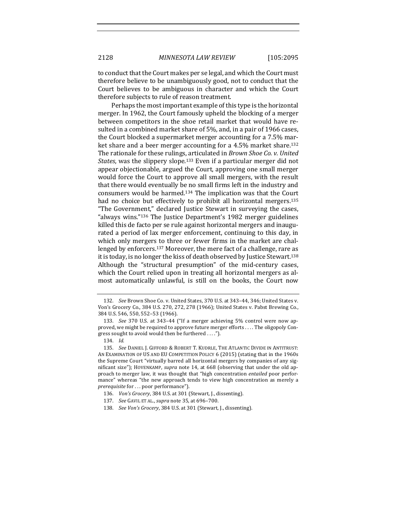to conduct that the Court makes per se legal, and which the Court must therefore believe to be unambiguously good, not to conduct that the Court believes to be ambiguous in character and which the Court therefore subjects to rule of reason treatment.

Perhaps the most important example of this type is the horizontal merger. In 1962, the Court famously upheld the blocking of a merger between competitors in the shoe retail market that would have resulted in a combined market share of 5%, and, in a pair of 1966 cases, the Court blocked a supermarket merger accounting for a 7.5% market share and a beer merger accounting for a 4.5% market share.<sup>132</sup> The rationale for these rulings, articulated in *Brown Shoe Co. v. United States*, was the slippery slope.<sup>133</sup> Even if a particular merger did not appear objectionable, argued the Court, approving one small merger would force the Court to approve all small mergers, with the result that there would eventually be no small firms left in the industry and consumers would be harmed. $134$  The implication was that the Court had no choice but effectively to prohibit all horizontal mergers.<sup>135</sup> "The Government," declared Justice Stewart in surveying the cases, "always wins."<sup>136</sup> The Justice Department's 1982 merger guidelines killed this de facto per se rule against horizontal mergers and inaugurated a period of lax merger enforcement, continuing to this day, in which only mergers to three or fewer firms in the market are challenged by enforcers.<sup>137</sup> Moreover, the mere fact of a challenge, rare as it is today, is no longer the kiss of death observed by Justice Stewart.<sup>138</sup> Although the "structural presumption" of the mid-century cases, which the Court relied upon in treating all horizontal mergers as almost automatically unlawful, is still on the books, the Court now

<sup>132.</sup> *See* Brown Shoe Co. v. United States, 370 U.S. at 343-44, 346; United States v. Von's Grocery Co., 384 U.S. 270, 272, 278 (1966); United States v. Pabst Brewing Co., 384 U.S. 546, 550, 552-53 (1966).

<sup>133.</sup> *See* 370 U.S. at 343-44 ("If a merger achieving 5% control were now approved, we might be required to approve future merger efforts . . . . The oligopoly Congress sought to avoid would then be furthered  $\dots$ .").

<sup>134.</sup> *Id.*

<sup>135.</sup> *See* DANIEL J. GIFFORD & ROBERT T. KUDRLE, THE ATLANTIC DIVIDE IN ANTITRUST: AN EXAMINATION OF US AND EU COMPETITION POLICY 6 (2015) (stating that in the 1960s the Supreme Court "virtually barred all horizontal mergers by companies of any significant size"); HOVENKAMP, *supra* note 14, at 668 (observing that under the old approach to merger law, it was thought that "high concentration *entailed* poor performance" whereas "the new approach tends to view high concentration as merely a *prerequisite* for . . . poor performance").

<sup>136.</sup> *Von's Grocery*, 384 U.S. at 301 (Stewart, J., dissenting).

<sup>137.</sup> *See* GAVIL ET AL., *supra* note 35, at 696-700.

<sup>138.</sup> *See Von's Grocery*, 384 U.S. at 301 (Stewart, J., dissenting).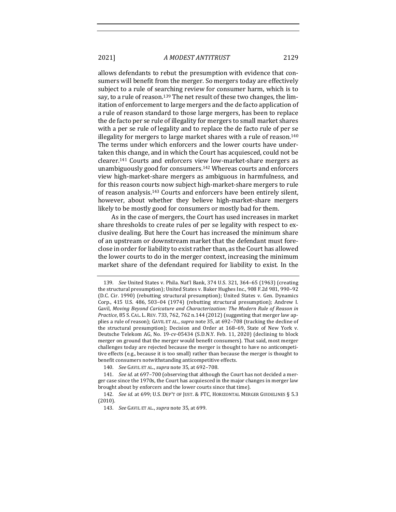allows defendants to rebut the presumption with evidence that consumers will benefit from the merger. So mergers today are effectively subject to a rule of searching review for consumer harm, which is to say, to a rule of reason.<sup>139</sup> The net result of these two changes, the limitation of enforcement to large mergers and the de facto application of a rule of reason standard to those large mergers, has been to replace the de facto per se rule of illegality for mergers to small market shares with a per se rule of legality and to replace the de facto rule of per se illegality for mergers to large market shares with a rule of reason.<sup>140</sup> The terms under which enforcers and the lower courts have undertaken this change, and in which the Court has acquiesced, could not be clearer.<sup>141</sup> Courts and enforcers view low-market-share mergers as unambiguously good for consumers.<sup>142</sup> Whereas courts and enforcers view high-market-share mergers as ambiguous in harmfulness, and for this reason courts now subject high-market-share mergers to rule of reason analysis.<sup>143</sup> Courts and enforcers have been entirely silent, however, about whether they believe high-market-share mergers likely to be mostly good for consumers or mostly bad for them.

As in the case of mergers, the Court has used increases in market share thresholds to create rules of per se legality with respect to exclusive dealing. But here the Court has increased the minimum share of an upstream or downstream market that the defendant must foreclose in order for liability to exist rather than, as the Court has allowed the lower courts to do in the merger context, increasing the minimum market share of the defendant required for liability to exist. In the

<sup>139.</sup> *See* United States v. Phila. Nat'l Bank, 374 U.S. 321, 364-65 (1963) (creating the structural presumption); United States v. Baker Hughes Inc., 908 F.2d 981, 990-92 (D.C. Cir. 1990) (rebutting structural presumption); United States v. Gen. Dynamics Corp., 415 U.S. 486, 503-04 (1974) (rebutting structural presumption); Andrew I. Gavil, Moving Beyond Caricature and Characterization: The Modern Rule of Reason in *Practice*, 85 S. CAL. L. REV. 733, 762, 762 n.144 (2012) (suggesting that merger law applies a rule of reason); GAVIL ET AL., *supra* note 35, at 692-708 (tracking the decline of the structural presumption); Decision and Order at  $168-69$ , State of New York v. Deutsche Telekom AG, No. 19-cv-05434 (S.D.N.Y. Feb. 11, 2020) (declining to block merger on ground that the merger would benefit consumers). That said, most merger challenges today are rejected because the merger is thought to have no anticompetitive effects (e.g., because it is too small) rather than because the merger is thought to benefit consumers notwithstanding anticompetitive effects.

<sup>140.</sup> *See* GAVIL ET AL., *supra* note 35, at 692-708.

<sup>141.</sup> *See id.* at 697-700 (observing that although the Court has not decided a merger case since the 1970s, the Court has acquiesced in the major changes in merger law brought about by enforcers and the lower courts since that time).

<sup>142.</sup> *See id.* at 699; U.S. DEP'T OF JUST. & FTC, HORIZONTAL MERGER GUIDELINES § 5.3 (2010).

<sup>143.</sup> *See* GAVIL ET AL., *supra* note 35, at 699.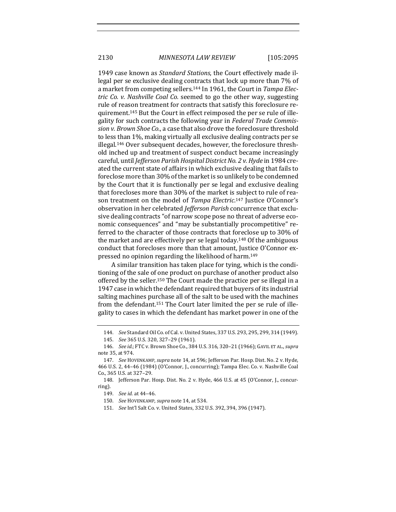2130 *MINNESOTA LAW REVIEW* [105:2095

1949 case known as *Standard Stations*, the Court effectively made illegal per se exclusive dealing contracts that lock up more than 7% of a market from competing sellers.<sup>144</sup> In 1961, the Court in Tampa Elec*tric* Co. *v.* Nashville Coal Co. seemed to go the other way, suggesting rule of reason treatment for contracts that satisfy this foreclosure requirement.<sup>145</sup> But the Court in effect reimposed the per se rule of illegality for such contracts the following year in *Federal Trade Commis*sion v. Brown Shoe Co., a case that also drove the foreclosure threshold to less than 1%, making virtually all exclusive dealing contracts per se illegal.<sup>146</sup> Over subsequent decades, however, the foreclosure threshold inched up and treatment of suspect conduct became increasingly careful, until *Jefferson Parish Hospital District No. 2 v. Hyde* in 1984 created the current state of affairs in which exclusive dealing that fails to foreclose more than 30% of the market is so unlikely to be condemned by the Court that it is functionally per se legal and exclusive dealing that forecloses more than 30% of the market is subject to rule of reason treatment on the model of Tampa Electric.<sup>147</sup> Justice O'Connor's observation in her celebrated *Jefferson Parish* concurrence that exclusive dealing contracts "of narrow scope pose no threat of adverse economic consequences" and "may be substantially procompetitive" referred to the character of those contracts that foreclose up to 30% of the market and are effectively per se legal today.<sup>148</sup> Of the ambiguous conduct that forecloses more than that amount, Justice O'Connor expressed no opinion regarding the likelihood of harm.<sup>149</sup>

A similar transition has taken place for tying, which is the conditioning of the sale of one product on purchase of another product also offered by the seller.<sup>150</sup> The Court made the practice per se illegal in a 1947 case in which the defendant required that buyers of its industrial salting machines purchase all of the salt to be used with the machines from the defendant.<sup>151</sup> The Court later limited the per se rule of illegality to cases in which the defendant has market power in one of the

<sup>144.</sup> *See* Standard Oil Co. of Cal. v. United States, 337 U.S. 293, 295, 299, 314 (1949).

<sup>145.</sup> *See* 365 U.S. 320, 327–29 (1961).

<sup>146.</sup> *See id.*; FTC v. Brown Shoe Co., 384 U.S. 316, 320-21 (1966); GAVIL ET AL., supra note 35, at 974.

<sup>147.</sup> *See* HOVENKAMP, *supra* note 14, at 596; Jefferson Par. Hosp. Dist. No. 2 v. Hyde, 466 U.S. 2, 44-46 (1984) (O'Connor, J., concurring); Tampa Elec. Co. v. Nashville Coal Co., 365 U.S. at 327-29.

<sup>148.</sup> Jefferson Par. Hosp. Dist. No. 2 v. Hyde, 466 U.S. at 45 (O'Connor, J., concurring).

<sup>149.</sup> *See id.* at 44–46.

<sup>150.</sup> See HOVENKAMP, *supra* note 14, at 534.

<sup>151.</sup> *See* Int'l Salt Co. v. United States, 332 U.S. 392, 394, 396 (1947).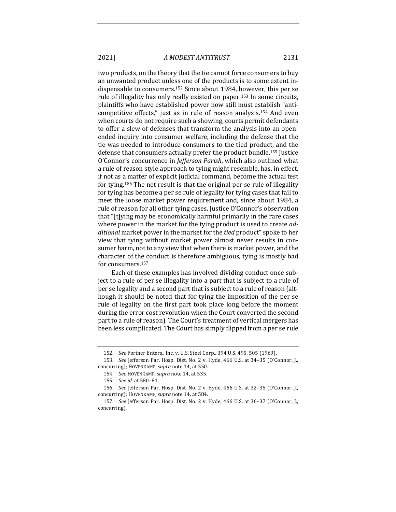two products, on the theory that the tie cannot force consumers to buy an unwanted product unless one of the products is to some extent indispensable to consumers.<sup>152</sup> Since about 1984, however, this per se rule of illegality has only really existed on paper.<sup>153</sup> In some circuits, plaintiffs who have established power now still must establish "anticompetitive effects," just as in rule of reason analysis.<sup>154</sup> And even when courts do not require such a showing, courts permit defendants to offer a slew of defenses that transform the analysis into an openended inquiry into consumer welfare, including the defense that the tie was needed to introduce consumers to the tied product, and the defense that consumers actually prefer the product bundle.<sup>155</sup> Justice O'Connor's concurrence in *Jefferson Parish*, which also outlined what a rule of reason style approach to tying might resemble, has, in effect, if not as a matter of explicit judicial command, become the actual test for tying.<sup>156</sup> The net result is that the original per se rule of illegality for tying has become a per se rule of legality for tying cases that fail to meet the loose market power requirement and, since about 1984, a rule of reason for all other tying cases. Justice O'Connor's observation that "[t]ying may be economically harmful primarily in the rare cases where power in the market for the tying product is used to create *ad*ditional market power in the market for the *tied* product" spoke to her view that tying without market power almost never results in consumer harm, not to any view that when there is market power, and the character of the conduct is therefore ambiguous, tying is mostly bad for consumers.<sup>157</sup>

Each of these examples has involved dividing conduct once subject to a rule of per se illegality into a part that is subject to a rule of per se legality and a second part that is subject to a rule of reason (although it should be noted that for tying the imposition of the per se rule of legality on the first part took place long before the moment during the error cost revolution when the Court converted the second part to a rule of reason). The Court's treatment of vertical mergers has been less complicated. The Court has simply flipped from a per se rule

<sup>152.</sup> *See* Fortner Enters., Inc. v. U.S. Steel Corp., 394 U.S. 495, 505 (1969).

<sup>153.</sup> *See* Jefferson Par. Hosp. Dist. No. 2 v. Hyde, 466 U.S. at 34-35 (O'Connor, J., concurring); HOVENKAMP, *supra* note 14, at 550.

<sup>154.</sup> *See* HOVENKAMP, *supra* note 14, at 535.

<sup>155.</sup> *See id.* at 580–81.

<sup>156.</sup> *See* Jefferson Par. Hosp. Dist. No. 2 v. Hyde, 466 U.S. at 32-35 (O'Connor, J., concurring); HOVENKAMP, *supra* note 14, at 584.

<sup>157.</sup> *See* Jefferson Par. Hosp. Dist. No. 2 v. Hyde, 466 U.S. at 36-37 (O'Connor, I., concurring).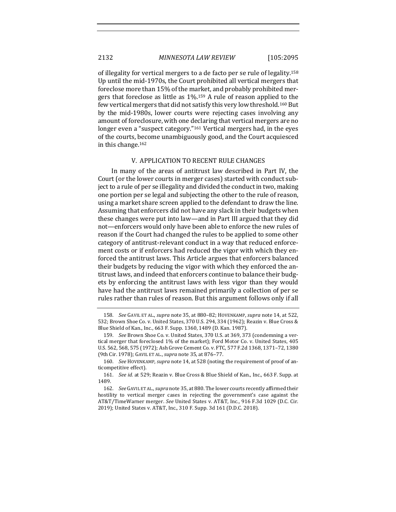of illegality for vertical mergers to a de facto per se rule of legality.<sup>158</sup> Up until the mid-1970s, the Court prohibited all vertical mergers that foreclose more than 15% of the market, and probably prohibited mergers that foreclose as little as  $1\%$ .<sup>159</sup> A rule of reason applied to the few vertical mergers that did not satisfy this very low threshold.<sup>160</sup> But by the mid-1980s, lower courts were rejecting cases involving any amount of foreclosure, with one declaring that vertical mergers are no longer even a "suspect category."<sup>161</sup> Vertical mergers had, in the eyes of the courts, become unambiguously good, and the Court acquiesced in this change.<sup>162</sup>

#### V. APPLICATION TO RECENT RULE CHANGES

In many of the areas of antitrust law described in Part IV, the Court (or the lower courts in merger cases) started with conduct subject to a rule of per se illegality and divided the conduct in two, making one portion per se legal and subjecting the other to the rule of reason, using a market share screen applied to the defendant to draw the line. Assuming that enforcers did not have any slack in their budgets when these changes were put into law—and in Part III argued that they did not—enforcers would only have been able to enforce the new rules of reason if the Court had changed the rules to be applied to some other category of antitrust-relevant conduct in a way that reduced enforcement costs or if enforcers had reduced the vigor with which they enforced the antitrust laws. This Article argues that enforcers balanced their budgets by reducing the vigor with which they enforced the antitrust laws, and indeed that enforcers continue to balance their budgets by enforcing the antitrust laws with less vigor than they would have had the antitrust laws remained primarily a collection of per se rules rather than rules of reason. But this argument follows only if all

<sup>158.</sup> *See* GAVIL ET AL., *supra* note 35, at 880-82; HOVENKAMP, *supra* note 14, at 522, 532; Brown Shoe Co. v. United States, 370 U.S. 294, 334 (1962); Reazin v. Blue Cross & Blue Shield of Kan., Inc., 663 F. Supp. 1360, 1489 (D. Kan. 1987).

<sup>159.</sup> *See* Brown Shoe Co. v. United States, 370 U.S. at 369, 373 (condemning a vertical merger that foreclosed 1% of the market); Ford Motor Co. v. United States, 405 U.S. 562, 568, 575 (1972); Ash Grove Cement Co. v. FTC, 577 F.2d 1368, 1371-72, 1380 (9th Cir. 1978); GAVIL ET AL., *supra* note 35, at 876-77.

<sup>160.</sup> *See* HOVENKAMP, *supra* note 14, at 528 (noting the requirement of proof of anticompetitive effect).

<sup>161.</sup> *See id.* at 529; Reazin v. Blue Cross & Blue Shield of Kan., Inc., 663 F. Supp. at 1489.

<sup>162.</sup> *See* GAVIL ET AL., *supra* note 35, at 880. The lower courts recently affirmed their hostility to vertical merger cases in rejecting the government's case against the AT&T/TimeWarner merger. See United States v. AT&T, Inc., 916 F.3d 1029 (D.C. Cir. 2019); United States v. AT&T, Inc., 310 F. Supp. 3d 161 (D.D.C. 2018).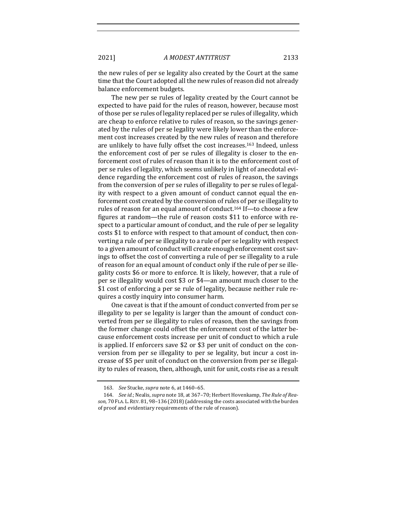the new rules of per se legality also created by the Court at the same time that the Court adopted all the new rules of reason did not already balance enforcement budgets.

The new per se rules of legality created by the Court cannot be expected to have paid for the rules of reason, however, because most of those per se rules of legality replaced per se rules of illegality, which are cheap to enforce relative to rules of reason, so the savings generated by the rules of per se legality were likely lower than the enforcement cost increases created by the new rules of reason and therefore are unlikely to have fully offset the cost increases.<sup>163</sup> Indeed, unless the enforcement cost of per se rules of illegality is closer to the enforcement cost of rules of reason than it is to the enforcement cost of per se rules of legality, which seems unlikely in light of anecdotal evidence regarding the enforcement cost of rules of reason, the savings from the conversion of per se rules of illegality to per se rules of legality with respect to a given amount of conduct cannot equal the enforcement cost created by the conversion of rules of per se illegality to rules of reason for an equal amount of conduct.<sup>164</sup> If—to choose a few figures at random—the rule of reason costs \$11 to enforce with respect to a particular amount of conduct, and the rule of per se legality costs \$1 to enforce with respect to that amount of conduct, then converting a rule of per se illegality to a rule of per se legality with respect to a given amount of conduct will create enough enforcement cost savings to offset the cost of converting a rule of per se illegality to a rule of reason for an equal amount of conduct only if the rule of per se illegality costs \$6 or more to enforce. It is likely, however, that a rule of per se illegality would cost \$3 or \$4—an amount much closer to the \$1 cost of enforcing a per se rule of legality, because neither rule requires a costly inquiry into consumer harm.

One caveat is that if the amount of conduct converted from per se illegality to per se legality is larger than the amount of conduct converted from per se illegality to rules of reason, then the savings from the former change could offset the enforcement cost of the latter because enforcement costs increase per unit of conduct to which a rule is applied. If enforcers save \$2 or \$3 per unit of conduct on the conversion from per se illegality to per se legality, but incur a cost increase of \$5 per unit of conduct on the conversion from per se illegality to rules of reason, then, although, unit for unit, costs rise as a result

<sup>163.</sup> *See* Stucke, *supra* note 6, at 1460-65.

<sup>164.</sup> See id.; Nealis, *supra* note 18, at 367-70; Herbert Hovenkamp, The Rule of Reason, 70 FLA. L. REV. 81, 98-136 (2018) (addressing the costs associated with the burden of proof and evidentiary requirements of the rule of reason).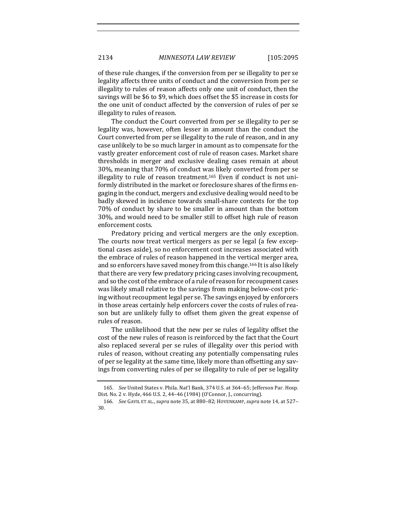of these rule changes, if the conversion from per se illegality to per se legality affects three units of conduct and the conversion from per se illegality to rules of reason affects only one unit of conduct, then the savings will be \$6 to \$9, which does offset the \$5 increase in costs for the one unit of conduct affected by the conversion of rules of per se illegality to rules of reason.

The conduct the Court converted from per se illegality to per se legality was, however, often lesser in amount than the conduct the Court converted from per se illegality to the rule of reason, and in any case unlikely to be so much larger in amount as to compensate for the vastly greater enforcement cost of rule of reason cases. Market share thresholds in merger and exclusive dealing cases remain at about 30%, meaning that 70% of conduct was likely converted from per se illegality to rule of reason treatment.<sup>165</sup> Even if conduct is not uniformly distributed in the market or foreclosure shares of the firms engaging in the conduct, mergers and exclusive dealing would need to be badly skewed in incidence towards small-share contexts for the top 70% of conduct by share to be smaller in amount than the bottom 30%, and would need to be smaller still to offset high rule of reason enforcement costs.

Predatory pricing and vertical mergers are the only exception. The courts now treat vertical mergers as per se legal (a few exceptional cases aside), so no enforcement cost increases associated with the embrace of rules of reason happened in the vertical merger area, and so enforcers have saved money from this change.<sup>166</sup> It is also likely that there are very few predatory pricing cases involving recoupment, and so the cost of the embrace of a rule of reason for recoupment cases was likely small relative to the savings from making below-cost pricing without recoupment legal per se. The savings enjoyed by enforcers in those areas certainly help enforcers cover the costs of rules of reason but are unlikely fully to offset them given the great expense of rules of reason.

The unlikelihood that the new per se rules of legality offset the cost of the new rules of reason is reinforced by the fact that the Court also replaced several per se rules of illegality over this period with rules of reason, without creating any potentially compensating rules of per se legality at the same time, likely more than offsetting any savings from converting rules of per se illegality to rule of per se legality

<sup>165.</sup> *See* United States v. Phila. Nat'l Bank, 374 U.S. at 364-65; Jefferson Par. Hosp. Dist. No. 2 v. Hyde, 466 U.S. 2, 44-46 (1984) (O'Connor, J., concurring).

<sup>166.</sup> *See* GAVIL ET AL., *supra* note 35, at 880-82; HOVENKAMP, *supra* note 14, at 527-30.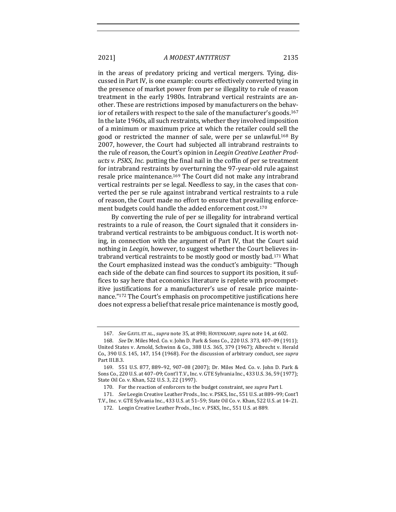in the areas of predatory pricing and vertical mergers. Tying, discussed in Part IV, is one example: courts effectively converted tying in the presence of market power from per se illegality to rule of reason treatment in the early 1980s. Intrabrand vertical restraints are another. These are restrictions imposed by manufacturers on the behavior of retailers with respect to the sale of the manufacturer's goods.<sup>167</sup> In the late 1960s, all such restraints, whether they involved imposition of a minimum or maximum price at which the retailer could sell the good or restricted the manner of sale, were per se unlawful.<sup>168</sup> By 2007, however, the Court had subjected all intrabrand restraints to the rule of reason, the Court's opinion in *Leegin Creative Leather Products v. PSKS, Inc.* putting the final nail in the coffin of per se treatment for intrabrand restraints by overturning the 97-year-old rule against resale price maintenance.<sup>169</sup> The Court did not make any intrabrand vertical restraints per se legal. Needless to say, in the cases that converted the per se rule against intrabrand vertical restraints to a rule of reason, the Court made no effort to ensure that prevailing enforcement budgets could handle the added enforcement cost.<sup>170</sup>

By converting the rule of per se illegality for intrabrand vertical restraints to a rule of reason, the Court signaled that it considers intrabrand vertical restraints to be ambiguous conduct. It is worth noting, in connection with the argument of Part IV, that the Court said nothing in *Leegin*, however, to suggest whether the Court believes intrabrand vertical restraints to be mostly good or mostly bad.<sup>171</sup> What the Court emphasized instead was the conduct's ambiguity: "Though each side of the debate can find sources to support its position, it suffices to say here that economics literature is replete with procompetitive justifications for a manufacturer's use of resale price maintenance."<sup>172</sup> The Court's emphasis on procompetitive justifications here does not express a belief that resale price maintenance is mostly good,

<sup>167.</sup> *See* GAVIL ET AL., *supra* note 35, at 898; HOVENKAMP, *supra* note 14, at 602.

<sup>168.</sup> *See* Dr. Miles Med. Co. v. John D. Park & Sons Co., 220 U.S. 373, 407-09 (1911); United States v. Arnold, Schwinn & Co., 388 U.S. 365, 379 (1967); Albrecht v. Herald Co., 390 U.S. 145, 147, 154 (1968). For the discussion of arbitrary conduct, see *supra* Part III.B.3.

<sup>169. 551</sup> U.S. 877, 889-92, 907-08 (2007); Dr. Miles Med. Co. v. John D. Park & Sons Co., 220 U.S. at 407-09; Cont'l T.V., Inc. v. GTE Sylvania Inc., 433 U.S. 36, 59 (1977); State Oil Co. v. Khan, 522 U.S. 3, 22 (1997).

<sup>170.</sup> For the reaction of enforcers to the budget constraint, see *supra* Part I.

<sup>171.</sup> *See* Leegin Creative Leather Prods., Inc. v. PSKS, Inc., 551 U.S. at 889-99; Cont'l T.V., Inc. v. GTE Sylvania Inc., 433 U.S. at 51-59; State Oil Co. v. Khan, 522 U.S. at 14-21.

<sup>172.</sup> Leegin Creative Leather Prods., Inc. v. PSKS, Inc., 551 U.S. at 889.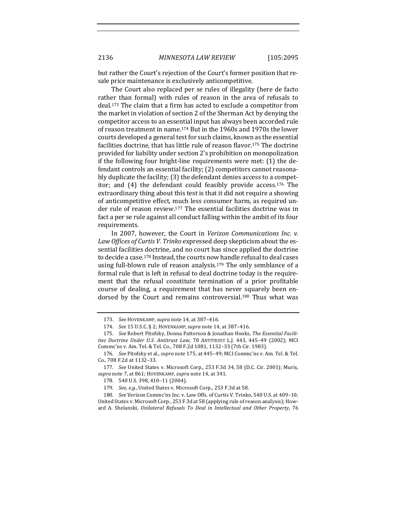but rather the Court's rejection of the Court's former position that resale price maintenance is exclusively anticompetitive.

The Court also replaced per se rules of illegality (here de facto rather than formal) with rules of reason in the area of refusals to deal.<sup>173</sup> The claim that a firm has acted to exclude a competitor from the market in violation of section 2 of the Sherman Act by denying the competitor access to an essential input has always been accorded rule of reason treatment in name.<sup>174</sup> But in the 1960s and 1970s the lower courts developed a general test for such claims, known as the essential facilities doctrine, that has little rule of reason flavor.<sup>175</sup> The doctrine provided for liability under section 2's prohibition on monopolization if the following four bright-line requirements were met:  $(1)$  the defendant controls an essential facility; (2) competitors cannot reasonably duplicate the facility;  $(3)$  the defendant denies access to a competitor; and  $(4)$  the defendant could feasibly provide access.<sup>176</sup> The extraordinary thing about this test is that it did not require a showing of anticompetitive effect, much less consumer harm, as required under rule of reason review.<sup>177</sup> The essential facilities doctrine was in fact a per se rule against all conduct falling within the ambit of its four requirements.

In 2007, however, the Court in *Verizon Communications Inc. v.* Law Offices of Curtis V. Trinko expressed deep skepticism about the essential facilities doctrine, and no court has since applied the doctrine to decide a case.<sup>178</sup> Instead, the courts now handle refusal to deal cases using full-blown rule of reason analysis.<sup>179</sup> The only semblance of a formal rule that is left in refusal to deal doctrine today is the requirement that the refusal constitute termination of a prior profitable course of dealing, a requirement that has never squarely been endorsed by the Court and remains controversial.<sup>180</sup> Thus what was

<sup>173.</sup> *See* HOVENKAMP, *supra* note 14, at 387-416.

<sup>174.</sup> *See* 15 U.S.C. § 2; HOVENKAMP, *supra* note 14, at 387-416.

<sup>175.</sup> See Robert Pitofsky, Donna Patterson & Jonathan Hooks, The Essential Facilities Doctrine Under U.S. Antitrust Law, 70 ANTITRUST L.J. 443, 445-49 (2002); MCI Commc'ns v. Am. Tel. & Tel. Co., 708 F.2d 1081, 1132-33 (7th Cir. 1983).

<sup>176.</sup> *See* Pitofsky et al., *supra* note 175, at 445-49; MCI Commc'ns v. Am. Tel. & Tel. Co., 708 F.2d at 1132-33.

<sup>177.</sup> *See* United States v. Microsoft Corp., 253 F.3d 34, 58 (D.C. Cir. 2001); Muris, supra note 7, at 861; HOVENKAMP, *supra* note 14, at 341.

<sup>178. 540</sup> U.S. 398, 410-11 (2004).

<sup>179.</sup> *See, e.g.*, United States v. Microsoft Corp., 253 F.3d at 58.

<sup>180.</sup> *See* Verizon Commc'ns Inc. v. Law Offs. of Curtis V. Trinko, 540 U.S. at 409-10; United States v. Microsoft Corp., 253 F.3d at 58 (applying rule of reason analysis); Howard A. Shelanski, *Unilateral Refusals To Deal in Intellectual and Other Property*, 76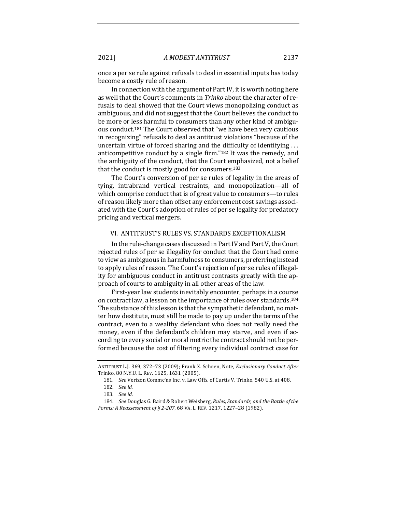once a per se rule against refusals to deal in essential inputs has today become a costly rule of reason.

In connection with the argument of Part IV, it is worth noting here as well that the Court's comments in *Trinko* about the character of refusals to deal showed that the Court views monopolizing conduct as ambiguous, and did not suggest that the Court believes the conduct to be more or less harmful to consumers than any other kind of ambiguous conduct.<sup>181</sup> The Court observed that "we have been very cautious in recognizing" refusals to deal as antitrust violations "because of the uncertain virtue of forced sharing and the difficulty of identifying ... anticompetitive conduct by a single firm." $182$  It was the remedy, and the ambiguity of the conduct, that the Court emphasized, not a belief that the conduct is mostly good for consumers.<sup>183</sup>

The Court's conversion of per se rules of legality in the areas of tying, intrabrand vertical restraints, and monopolization—all of which comprise conduct that is of great value to consumers—to rules of reason likely more than offset any enforcement cost savings associated with the Court's adoption of rules of per se legality for predatory pricing and vertical mergers.

## VI. ANTITRUST'S RULES VS. STANDARDS EXCEPTIONALISM

In the rule-change cases discussed in Part IV and Part V, the Court rejected rules of per se illegality for conduct that the Court had come to view as ambiguous in harmfulness to consumers, preferring instead to apply rules of reason. The Court's rejection of per se rules of illegality for ambiguous conduct in antitrust contrasts greatly with the approach of courts to ambiguity in all other areas of the law.

First-year law students inevitably encounter, perhaps in a course on contract law, a lesson on the importance of rules over standards.<sup>184</sup> The substance of this lesson is that the sympathetic defendant, no matter how destitute, must still be made to pay up under the terms of the contract, even to a wealthy defendant who does not really need the money, even if the defendant's children may starve, and even if according to every social or moral metric the contract should not be performed because the cost of filtering every individual contract case for

ANTITRUST L.J. 369, 372-73 (2009); Frank X. Schoen, Note, *Exclusionary Conduct After* Trinko, 80 N.Y.U. L. REV. 1625, 1631 (2005).

<sup>181.</sup> *See* Verizon Commc'ns Inc. v. Law Offs. of Curtis V. Trinko, 540 U.S. at 408.

<sup>182.</sup> *See id.*

<sup>183.</sup> *See id.*

<sup>184.</sup> *See* Douglas G. Baird & Robert Weisberg, *Rules, Standards, and the Battle of the Forms: A Reassessment of § 2-207, 68 VA. L. REV. 1217, 1227-28 (1982).*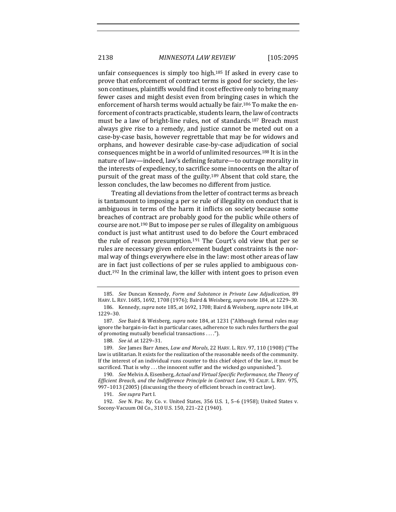unfair consequences is simply too high.<sup>185</sup> If asked in every case to prove that enforcement of contract terms is good for society, the lesson continues, plaintiffs would find it cost effective only to bring many fewer cases and might desist even from bringing cases in which the enforcement of harsh terms would actually be fair.<sup>186</sup> To make the enforcement of contracts practicable, students learn, the law of contracts must be a law of bright-line rules, not of standards.<sup>187</sup> Breach must always give rise to a remedy, and justice cannot be meted out on a case-by-case basis, however regrettable that may be for widows and orphans, and however desirable case-by-case adjudication of social consequences might be in a world of unlimited resources.<sup>188</sup> It is in the nature of law—indeed, law's defining feature—to outrage morality in the interests of expediency, to sacrifice some innocents on the altar of pursuit of the great mass of the guilty.<sup>189</sup> Absent that cold stare, the lesson concludes, the law becomes no different from justice.

Treating all deviations from the letter of contract terms as breach is tantamount to imposing a per se rule of illegality on conduct that is ambiguous in terms of the harm it inflicts on society because some breaches of contract are probably good for the public while others of course are not.<sup>190</sup> But to impose per se rules of illegality on ambiguous conduct is just what antitrust used to do before the Court embraced the rule of reason presumption.<sup>191</sup> The Court's old view that per se rules are necessary given enforcement budget constraints is the normal way of things everywhere else in the law: most other areas of law are in fact just collections of per se rules applied to ambiguous conduct.<sup>192</sup> In the criminal law, the killer with intent goes to prison even

<sup>185.</sup> *See* Duncan Kennedy, Form and Substance in Private Law Adjudication, 89 HARV. L. REV. 1685, 1692, 1708 (1976); Baird & Weisberg, *supra* note 184, at 1229-30.

<sup>186.</sup> Kennedy, *supra* note 185, at 1692, 1708; Baird & Weisberg, *supra* note 184, at 1229–30.

<sup>187.</sup> *See* Baird & Weisberg, *supra* note 184, at 1231 ("Although formal rules may ignore the bargain-in-fact in particular cases, adherence to such rules furthers the goal of promoting mutually beneficial transactions . . . .").

<sup>188.</sup> *See id.* at 1229-31.

<sup>189.</sup> *See* James Barr Ames, *Law and Morals*, 22 HARV. L. REV. 97, 110 (1908) ("The law is utilitarian. It exists for the realization of the reasonable needs of the community. If the interest of an individual runs counter to this chief object of the law, it must be sacrificed. That is why  $\dots$  the innocent suffer and the wicked go unpunished.").

<sup>190.</sup> *See* Melvin A. Eisenberg, *Actual and Virtual Specific Performance, the Theory of Efficient Breach, and the Indifference Principle in Contract Law*, 93 CALIF. L. REV. 975, 997-1013 (2005) (discussing the theory of efficient breach in contract law).

<sup>191.</sup> *See supra* Part I.

<sup>192.</sup> *See* N. Pac. Ry. Co. v. United States, 356 U.S. 1, 5-6 (1958); United States v. Socony-Vacuum Oil Co., 310 U.S. 150, 221-22 (1940).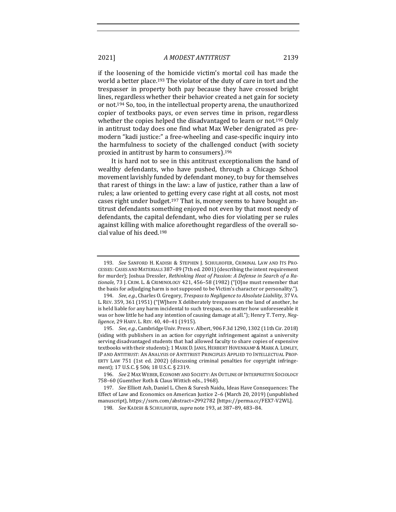if the loosening of the homicide victim's mortal coil has made the world a better place.<sup>193</sup> The violator of the duty of care in tort and the trespasser in property both pay because they have crossed bright lines, regardless whether their behavior created a net gain for society or not.<sup>194</sup> So, too, in the intellectual property arena, the unauthorized copier of textbooks pays, or even serves time in prison, regardless whether the copies helped the disadvantaged to learn or not.<sup>195</sup> Only in antitrust today does one find what Max Weber denigrated as premodern "kadi justice:" a free-wheeling and case-specific inquiry into the harmfulness to society of the challenged conduct (with society proxied in antitrust by harm to consumers).<sup>196</sup>

It is hard not to see in this antitrust exceptionalism the hand of wealthy defendants, who have pushed, through a Chicago School movement lavishly funded by defendant money, to buy for themselves that rarest of things in the law: a law of justice, rather than a law of rules; a law oriented to getting every case right at all costs, not most cases right under budget.<sup>197</sup> That is, money seems to have bought antitrust defendants something enjoyed not even by that most needy of defendants, the capital defendant, who dies for violating per se rules against killing with malice aforethought regardless of the overall social value of his deed.<sup>198</sup>

<sup>193.</sup> See SANFORD H. KADISH & STEPHEN J. SCHULHOFER, CRIMINAL LAW AND ITS PRO-CESSES: CASES AND MATERIALS 387-89 (7th ed. 2001) (describing the intent requirement for murder); Joshua Dressler, Rethinking Heat of Passion: A Defense in Search of a Rationale, 73 J. CRIM. L. & CRIMINOLOGY 421, 456-58 (1982) ("[O]ne must remember that the basis for adjudging harm is not supposed to be Victim's character or personality.").

<sup>194.</sup> *See, e.g.*, Charles O. Gregory, *Trespass to Negligence to Absolute Liability*, 37 VA. L. REV. 359, 361 (1951) ("[W]here X deliberately trespasses on the land of another, he is held liable for any harm incidental to such trespass, no matter how unforeseeable it was or how little he had any intention of causing damage at all."); Henry T. Terry, Neg*ligence*, 29 HARV. L. REV. 40, 40-41 (1915).

<sup>195.</sup> *See, e.g.*, Cambridge Univ. Press v. Albert, 906 F.3d 1290, 1302 (11th Cir. 2018) (siding with publishers in an action for copyright infringement against a university serving disadvantaged students that had allowed faculty to share copies of expensive textbooks with their students); 1 MARK D. JANIS, HERBERT HOVENKAMP & MARK A. LEMLEY, IP AND ANTITRUST: AN ANALYSIS OF ANTITRUST PRINCIPLES APPLIED TO INTELLECTUAL PROP-ERTY LAW 751 (1st ed. 2002) (discussing criminal penalties for copyright infringement); 17 U.S.C. § 506; 18 U.S.C. § 2319.

<sup>196.</sup> *See* 2 MAX WEBER, ECONOMY AND SOCIETY: AN OUTLINE OF INTERPRETIVE SOCIOLOGY 758-60 (Guenther Roth & Claus Wittich eds., 1968).

<sup>197.</sup> *See* Elliott Ash, Daniel L. Chen & Suresh Naidu, Ideas Have Consequences: The Effect of Law and Economics on American Justice  $2-6$  (March 20, 2019) (unpublished manuscript), https://ssrn.com/abstract=2992782 [https://perma.cc/FEX7-V2WL].

<sup>198.</sup> *See* KADISH & SCHULHOFER, *supra* note 193, at 387-89, 483-84.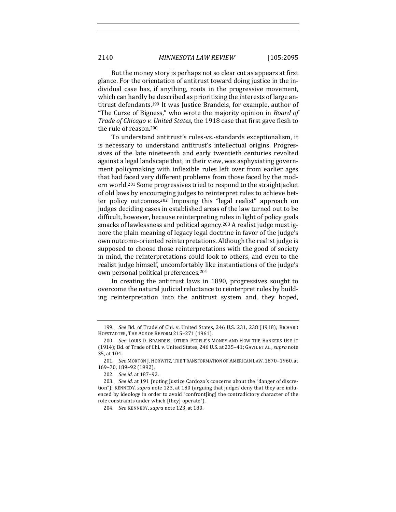But the money story is perhaps not so clear cut as appears at first glance. For the orientation of antitrust toward doing justice in the individual case has, if anything, roots in the progressive movement, which can hardly be described as prioritizing the interests of large antitrust defendants.<sup>199</sup> It was Justice Brandeis, for example, author of "The Curse of Bigness," who wrote the majority opinion in *Board of Trade of Chicago v. United States,* the 1918 case that first gave flesh to

the rule of reason.<sup>200</sup> To understand antitrust's rules-vs.-standards exceptionalism, it is necessary to understand antitrust's intellectual origins. Progressives of the late nineteenth and early twentieth centuries revolted against a legal landscape that, in their view, was asphyxiating government policymaking with inflexible rules left over from earlier ages that had faced very different problems from those faced by the modern world.<sup>201</sup> Some progressives tried to respond to the straightjacket of old laws by encouraging judges to reinterpret rules to achieve better policy outcomes.<sup>202</sup> Imposing this "legal realist" approach on judges deciding cases in established areas of the law turned out to be difficult, however, because reinterpreting rules in light of policy goals smacks of lawlessness and political agency.<sup>203</sup> A realist judge must ignore the plain meaning of legacy legal doctrine in favor of the judge's own outcome-oriented reinterpretations. Although the realist judge is supposed to choose those reinterpretations with the good of society in mind, the reinterpretations could look to others, and even to the realist judge himself, uncomfortably like instantiations of the judge's own personal political preferences.<sup>204</sup>

In creating the antitrust laws in 1890, progressives sought to overcome the natural judicial reluctance to reinterpret rules by building reinterpretation into the antitrust system and, they hoped,

<sup>199.</sup> *See* Bd. of Trade of Chi. v. United States, 246 U.S. 231, 238 (1918); RICHARD HOFSTADTER, THE AGE OF REFORM 215-271 (1961).

<sup>200.</sup> *See* LOUIS D. BRANDEIS, OTHER PEOPLE'S MONEY AND HOW THE BANKERS USE IT (1914); Bd. of Trade of Chi. v. United States, 246 U.S. at 235-41; GAVIL ET AL., *supra* note 35, at 104.

<sup>201.</sup> *See* MORTON J. HORWITZ, THE TRANSFORMATION OF AMERICAN LAW, 1870-1960, at 169–70, 189–92 (1992).

<sup>202.</sup> *See id.* at 187–92.

<sup>203.</sup> *See id.* at 191 (noting Justice Cardozo's concerns about the "danger of discretion"); KENNEDY, *supra* note 123, at 180 (arguing that judges deny that they are influenced by ideology in order to avoid "confront[ing] the contradictory character of the role constraints under which [they] operate").

<sup>204.</sup> *See* KENNEDY, *supra* note 123, at 180.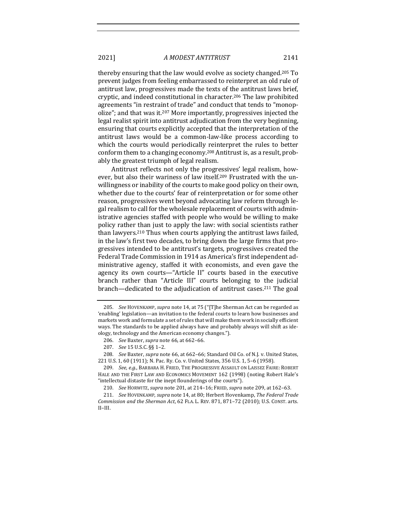thereby ensuring that the law would evolve as society changed.<sup>205</sup> To prevent judges from feeling embarrassed to reinterpret an old rule of antitrust law, progressives made the texts of the antitrust laws brief, cryptic, and indeed constitutional in character.<sup>206</sup> The law prohibited agreements "in restraint of trade" and conduct that tends to "monopolize"; and that was it.<sup>207</sup> More importantly, progressives injected the legal realist spirit into antitrust adjudication from the very beginning, ensuring that courts explicitly accepted that the interpretation of the antitrust laws would be a common-law-like process according to which the courts would periodically reinterpret the rules to better conform them to a changing economy.<sup>208</sup> Antitrust is, as a result, probably the greatest triumph of legal realism.

Antitrust reflects not only the progressives' legal realism, however, but also their wariness of law itself.<sup>209</sup> Frustrated with the unwillingness or inability of the courts to make good policy on their own, whether due to the courts' fear of reinterpretation or for some other reason, progressives went beyond advocating law reform through legal realism to call for the wholesale replacement of courts with administrative agencies staffed with people who would be willing to make policy rather than just to apply the law: with social scientists rather than lawyers.<sup>210</sup> Thus when courts applying the antitrust laws failed, in the law's first two decades, to bring down the large firms that progressives intended to be antitrust's targets, progressives created the Federal Trade Commission in 1914 as America's first independent administrative agency, staffed it with economists, and even gave the agency its own courts—"Article II" courts based in the executive branch rather than "Article III" courts belonging to the judicial branch—dedicated to the adjudication of antitrust cases.<sup>211</sup> The goal

208. *See* Baxter, *supra* note 66, at 662-66; Standard Oil Co. of N.J. v. United States, 221 U.S. 1, 60 (1911); N. Pac. Ry. Co. v. United States, 356 U.S. 1, 5-6 (1958).

209. *See, e.g.*, BARBARA H. FRIED, THE PROGRESSIVE ASSAULT ON LAISSEZ FAIRE: ROBERT HALE AND THE FIRST LAW AND ECONOMICS MOVEMENT 162 (1998) (noting Robert Hale's "intellectual distaste for the inept flounderings of the courts").

210. *See* HORWITZ, *supra* note 201, at 214-16; FRIED, *supra* note 209, at 162-63.

211. *See* HOVENKAMP, *supra* note 14, at 80; Herbert Hovenkamp, *The Federal Trade Commission and the Sherman Act,* 62 FLA. L. REV. 871, 871-72 (2010); U.S. CONST. arts. II–III.

<sup>205.</sup> *See* HOVENKAMP, *supra* note 14, at 75 ("[T]he Sherman Act can be regarded as 'enabling' legislation—an invitation to the federal courts to learn how businesses and markets work and formulate a set of rules that will make them work in socially efficient ways. The standards to be applied always have and probably always will shift as ideology, technology and the American economy changes.").

<sup>206.</sup> *See* Baxter, *supra* note 66, at 662-66.

<sup>207.</sup> *See* 15 U.S.C. §§ 1–2.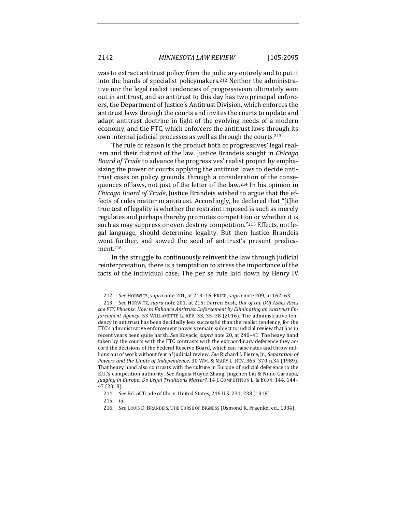was to extract antitrust policy from the judiciary entirely and to put it into the hands of specialist policymakers.<sup>212</sup> Neither the administrative nor the legal realist tendencies of progressivism ultimately won out in antitrust, and so antitrust to this day has two principal enforcers, the Department of Justice's Antitrust Division, which enforces the antitrust laws through the courts and invites the courts to update and adapt antitrust doctrine in light of the evolving needs of a modern economy, and the FTC, which enforcers the antitrust laws through its own internal judicial processes as well as through the courts.<sup>213</sup>

The rule of reason is the product both of progressives' legal realism and their distrust of the law. Justice Brandeis sought in *Chicago Board of Trade* to advance the progressives' realist project by emphasizing the power of courts applying the antitrust laws to decide antitrust cases on policy grounds, through a consideration of the consequences of laws, not just of the letter of the law.<sup>214</sup> In his opinion in *Chicago Board of Trade*, Justice Brandeis wished to argue that the effects of rules matter in antitrust. Accordingly, he declared that "[t]he true test of legality is whether the restraint imposed is such as merely regulates and perhaps thereby promotes competition or whether it is such as may suppress or even destroy competition."<sup>215</sup> Effects, not legal language, should determine legality. But then Justice Brandeis went further, and sowed the seed of antitrust's present predicament.216

In the struggle to continuously reinvent the law through judicial reinterpretation, there is a temptation to stress the importance of the facts of the individual case. The per se rule laid down by Henry IV

<sup>212.</sup> *See* HORWITZ, *supra* note 201, at 213-16; FRIED, *supra* note 209, at 162-63.

<sup>213.</sup> *See* HORWITZ, *supra* note 201, at 215; Darren Bush, Out of the DOJ Ashes Rises the FTC Phoenix: How to Enhance Antitrust Enforcement by Eliminating an Antitrust En*forcement Agency*, 53 WILLAMETTE L. REV. 33, 35-38 (2016). The administrative tendency in antitrust has been decidedly less successful than the realist tendency, for the FTC's administrative enforcement powers remain subject to judicial review that has in recent years been quite harsh. See Kovacic, *supra* note 20, at 240–41. The heavy hand taken by the courts with the FTC contrasts with the extraordinary deference they accord the decisions of the Federal Reserve Board, which can raise rates and throw millions out of work without fear of judicial review. See Richard J. Pierce, Jr., Separation of *Powers and the Limits of Independence,* 30 WM. & MARY L. REV. 365, 370 n.34 (1989). That heavy hand also contrasts with the culture in Europe of judicial deference to the E.U.'s competition authority. See Angela Huyue Zhang, Jingchen Liu & Nuno Garoupa, Judging in Europe: Do Legal Traditions Matter?, 14 J. COMPETITION L. & ECON. 144, 144-47 (2018).

<sup>214.</sup> *See* Bd. of Trade of Chi. v. United States, 246 U.S. 231, 238 (1918).

<sup>215.</sup> *Id.*

<sup>216.</sup> *See* LOUIS D. BRANDEIS, THE CURSE OF BIGNESS (Osmond K. Fraenkel ed., 1934).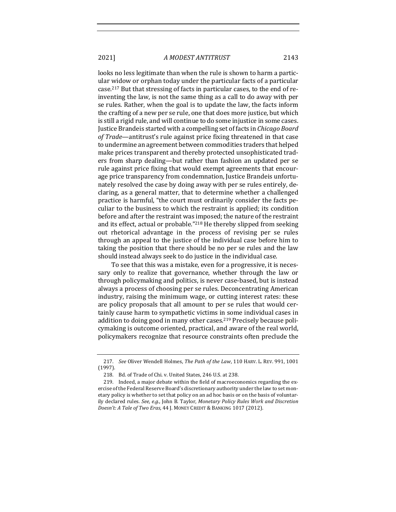looks no less legitimate than when the rule is shown to harm a particular widow or orphan today under the particular facts of a particular case.<sup>217</sup> But that stressing of facts in particular cases, to the end of reinventing the law, is not the same thing as a call to do away with per se rules. Rather, when the goal is to update the law, the facts inform the crafting of a new per se rule, one that does more justice, but which is still a rigid rule, and will continue to do some injustice in some cases. Justice Brandeis started with a compelling set of facts in *Chicago Board* of Trade—antitrust's rule against price fixing threatened in that case to undermine an agreement between commodities traders that helped make prices transparent and thereby protected unsophisticated traders from sharp dealing—but rather than fashion an updated per se rule against price fixing that would exempt agreements that encourage price transparency from condemnation, Justice Brandeis unfortunately resolved the case by doing away with per se rules entirely, declaring, as a general matter, that to determine whether a challenged practice is harmful, "the court must ordinarily consider the facts peculiar to the business to which the restraint is applied; its condition before and after the restraint was imposed; the nature of the restraint and its effect, actual or probable."<sup>218</sup> He thereby slipped from seeking out rhetorical advantage in the process of revising per se rules through an appeal to the justice of the individual case before him to taking the position that there should be no per se rules and the law should instead always seek to do justice in the individual case.

To see that this was a mistake, even for a progressive, it is necessary only to realize that governance, whether through the law or through policymaking and politics, is never case-based, but is instead always a process of choosing per se rules. Deconcentrating American industry, raising the minimum wage, or cutting interest rates: these are policy proposals that all amount to per se rules that would certainly cause harm to sympathetic victims in some individual cases in addition to doing good in many other cases.<sup>219</sup> Precisely because policymaking is outcome oriented, practical, and aware of the real world, policymakers recognize that resource constraints often preclude the

<sup>217.</sup> *See* Oliver Wendell Holmes, *The Path of the Law*, 110 HARV. L. REV. 991, 1001 (1997).

<sup>218.</sup> Bd. of Trade of Chi. v. United States, 246 U.S. at 238.

<sup>219.</sup> Indeed, a major debate within the field of macroeconomics regarding the exercise of the Federal Reserve Board's discretionary authority under the law to set monetary policy is whether to set that policy on an ad hoc basis or on the basis of voluntarily declared rules. See, e.g., John B. Taylor, *Monetary Policy Rules Work and Discretion* Doesn't: A Tale of Two Eras, 44 J. MONEY CREDIT & BANKING 1017 (2012).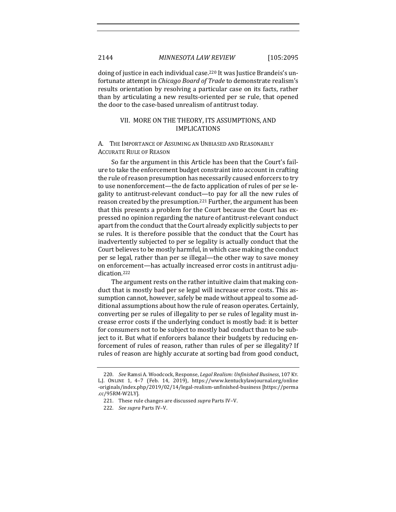doing of justice in each individual case.<sup>220</sup> It was Justice Brandeis's unfortunate attempt in *Chicago Board of Trade* to demonstrate realism's results orientation by resolving a particular case on its facts, rather than by articulating a new results-oriented per se rule, that opened the door to the case-based unrealism of antitrust today.

## VII. MORE ON THE THEORY, ITS ASSUMPTIONS, AND IMPLICATIONS

A. THE IMPORTANCE OF ASSUMING AN UNBIASED AND REASONABLY **ACCURATE RULE OF REASON** 

So far the argument in this Article has been that the Court's failure to take the enforcement budget constraint into account in crafting the rule of reason presumption has necessarily caused enforcers to try to use nonenforcement—the de facto application of rules of per se legality to antitrust-relevant conduct—to pay for all the new rules of reason created by the presumption.<sup>221</sup> Further, the argument has been that this presents a problem for the Court because the Court has expressed no opinion regarding the nature of antitrust-relevant conduct apart from the conduct that the Court already explicitly subjects to per se rules. It is therefore possible that the conduct that the Court has inadvertently subjected to per se legality is actually conduct that the Court believes to be mostly harmful, in which case making the conduct per se legal, rather than per se illegal—the other way to save money on enforcement—has actually increased error costs in antitrust adjudication.222

The argument rests on the rather intuitive claim that making conduct that is mostly bad per se legal will increase error costs. This assumption cannot, however, safely be made without appeal to some additional assumptions about how the rule of reason operates. Certainly, converting per se rules of illegality to per se rules of legality must increase error costs if the underlying conduct is mostly bad: it is better for consumers not to be subject to mostly bad conduct than to be subject to it. But what if enforcers balance their budgets by reducing enforcement of rules of reason, rather than rules of per se illegality? If rules of reason are highly accurate at sorting bad from good conduct,

<sup>220.</sup> *See* Ramsi A. Woodcock, Response, *Legal Realism: Unfinished Business*, 107 Ky. L.J. ONLINE 1, 4-7 (Feb. 14, 2019), https://www.kentuckylawjournal.org/online -originals/index.php/2019/02/14/legal-realism-unfinished-business [https://perma .cc/95RM-W2LY].

<sup>221.</sup> These rule changes are discussed *supra* Parts IV-V.

<sup>222.</sup> *See supra* Parts IV-V.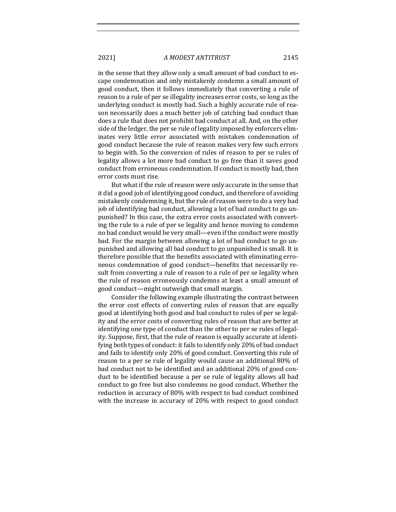in the sense that they allow only a small amount of bad conduct to escape condemnation and only mistakenly condemn a small amount of good conduct, then it follows immediately that converting a rule of reason to a rule of per se illegality increases error costs, so long as the underlying conduct is mostly bad. Such a highly accurate rule of reason necessarily does a much better job of catching bad conduct than does a rule that does not prohibit bad conduct at all. And, on the other side of the ledger, the per se rule of legality imposed by enforcers eliminates very little error associated with mistaken condemnation of good conduct because the rule of reason makes very few such errors to begin with. So the conversion of rules of reason to per se rules of legality allows a lot more bad conduct to go free than it saves good conduct from erroneous condemnation. If conduct is mostly bad, then error costs must rise.

But what if the rule of reason were only accurate in the sense that it did a good job of identifying good conduct, and therefore of avoiding mistakenly condemning it, but the rule of reason were to do a very bad job of identifying bad conduct, allowing a lot of bad conduct to go unpunished? In this case, the extra error costs associated with converting the rule to a rule of per se legality and hence moving to condemn no bad conduct would be very small—even if the conduct were mostly bad. For the margin between allowing a lot of bad conduct to go unpunished and allowing all bad conduct to go unpunished is small. It is therefore possible that the benefits associated with eliminating erroneous condemnation of good conduct-benefits that necessarily result from converting a rule of reason to a rule of per se legality when the rule of reason erroneously condemns at least a small amount of good conduct—might outweigh that small margin.

Consider the following example illustrating the contrast between the error cost effects of converting rules of reason that are equally good at identifying both good and bad conduct to rules of per se legality and the error costs of converting rules of reason that are better at identifying one type of conduct than the other to per se rules of legality. Suppose, first, that the rule of reason is equally accurate at identifying both types of conduct: it fails to identify only 20% of bad conduct and fails to identify only 20% of good conduct. Converting this rule of reason to a per se rule of legality would cause an additional 80% of bad conduct not to be identified and an additional 20% of good conduct to be identified because a per se rule of legality allows all bad conduct to go free but also condemns no good conduct. Whether the reduction in accuracy of 80% with respect to bad conduct combined with the increase in accuracy of 20% with respect to good conduct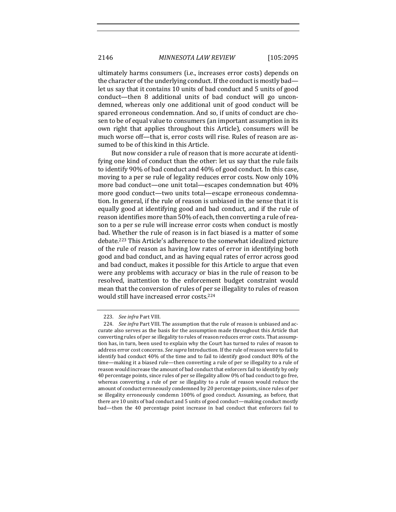ultimately harms consumers (i.e., increases error costs) depends on the character of the underlying conduct. If the conduct is mostly bad let us say that it contains 10 units of bad conduct and 5 units of good conduct—then 8 additional units of bad conduct will go uncondemned, whereas only one additional unit of good conduct will be spared erroneous condemnation. And so, if units of conduct are chosen to be of equal value to consumers (an important assumption in its own right that applies throughout this Article), consumers will be much worse off—that is, error costs will rise. Rules of reason are assumed to be of this kind in this Article.

But now consider a rule of reason that is more accurate at identifying one kind of conduct than the other: let us say that the rule fails to identify 90% of bad conduct and 40% of good conduct. In this case, moving to a per se rule of legality reduces error costs. Now only 10% more bad conduct—one unit total—escapes condemnation but 40% more good conduct—two units total—escape erroneous condemnation. In general, if the rule of reason is unbiased in the sense that it is equally good at identifying good and bad conduct, and if the rule of reason identifies more than 50% of each, then converting a rule of reason to a per se rule will increase error costs when conduct is mostly bad. Whether the rule of reason is in fact biased is a matter of some debate.<sup>223</sup> This Article's adherence to the somewhat idealized picture of the rule of reason as having low rates of error in identifying both good and bad conduct, and as having equal rates of error across good and bad conduct, makes it possible for this Article to argue that even were any problems with accuracy or bias in the rule of reason to be resolved, inattention to the enforcement budget constraint would mean that the conversion of rules of per se illegality to rules of reason would still have increased error costs.<sup>224</sup>

<sup>223.</sup> *See infra Part VIII.* 

<sup>224.</sup> *See infra* Part VIII. The assumption that the rule of reason is unbiased and accurate also serves as the basis for the assumption made throughout this Article that converting rules of per se illegality to rules of reason reduces error costs. That assumption has, in turn, been used to explain why the Court has turned to rules of reason to address error cost concerns. See supra Introduction. If the rule of reason were to fail to identify bad conduct 40% of the time and to fail to identify good conduct 80% of the time—making it a biased rule—then converting a rule of per se illegality to a rule of reason would increase the amount of bad conduct that enforcers fail to identify by only 40 percentage points, since rules of per se illegality allow 0% of bad conduct to go free, whereas converting a rule of per se illegality to a rule of reason would reduce the amount of conduct erroneously condemned by 20 percentage points, since rules of per se illegality erroneously condemn 100% of good conduct. Assuming, as before, that there are 10 units of bad conduct and 5 units of good conduct—making conduct mostly bad—then the 40 percentage point increase in bad conduct that enforcers fail to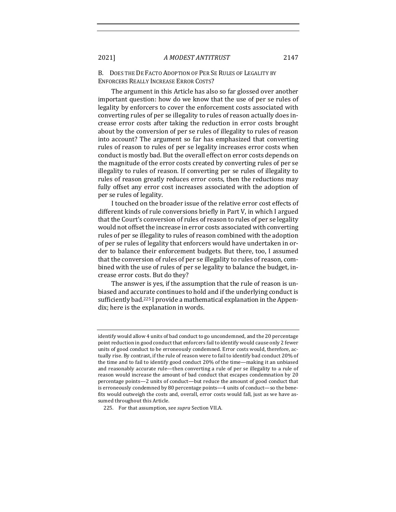B. DOES THE DE FACTO ADOPTION OF PER SE RULES OF LEGALITY BY ENFORCERS REALLY INCREASE ERROR COSTS?

The argument in this Article has also so far glossed over another important question: how do we know that the use of per se rules of legality by enforcers to cover the enforcement costs associated with converting rules of per se illegality to rules of reason actually does increase error costs after taking the reduction in error costs brought about by the conversion of per se rules of illegality to rules of reason into account? The argument so far has emphasized that converting rules of reason to rules of per se legality increases error costs when conduct is mostly bad. But the overall effect on error costs depends on the magnitude of the error costs created by converting rules of per se illegality to rules of reason. If converting per se rules of illegality to rules of reason greatly reduces error costs, then the reductions may fully offset any error cost increases associated with the adoption of per se rules of legality.

I touched on the broader issue of the relative error cost effects of different kinds of rule conversions briefly in Part V, in which I argued that the Court's conversion of rules of reason to rules of per se legality would not offset the increase in error costs associated with converting rules of per se illegality to rules of reason combined with the adoption of per se rules of legality that enforcers would have undertaken in order to balance their enforcement budgets. But there, too, I assumed that the conversion of rules of per se illegality to rules of reason, combined with the use of rules of per se legality to balance the budget, increase error costs. But do they?

The answer is yes, if the assumption that the rule of reason is unbiased and accurate continues to hold and if the underlying conduct is sufficiently bad.<sup>225</sup> I provide a mathematical explanation in the Appendix; here is the explanation in words.

identify would allow 4 units of bad conduct to go uncondemned, and the 20 percentage point reduction in good conduct that enforcers fail to identify would cause only 2 fewer units of good conduct to be erroneously condemned. Error costs would, therefore, actually rise. By contrast, if the rule of reason were to fail to identify bad conduct 20% of the time and to fail to identify good conduct 20% of the time—making it an unbiased and reasonably accurate rule—then converting a rule of per se illegality to a rule of reason would increase the amount of bad conduct that escapes condemnation by 20 percentage points—2 units of conduct—but reduce the amount of good conduct that is erroneously condemned by 80 percentage points-4 units of conduct-so the benefits would outweigh the costs and, overall, error costs would fall, just as we have assumed throughout this Article.

<sup>225.</sup> For that assumption, see *supra* Section VII.A.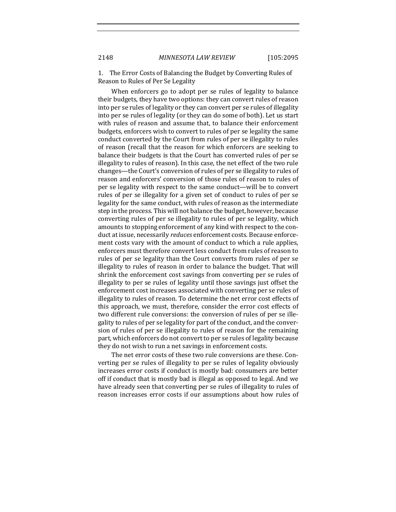1. The Error Costs of Balancing the Budget by Converting Rules of Reason to Rules of Per Se Legality

When enforcers go to adopt per se rules of legality to balance their budgets, they have two options: they can convert rules of reason into per se rules of legality or they can convert per se rules of illegality into per se rules of legality (or they can do some of both). Let us start with rules of reason and assume that, to balance their enforcement budgets, enforcers wish to convert to rules of per se legality the same conduct converted by the Court from rules of per se illegality to rules of reason (recall that the reason for which enforcers are seeking to balance their budgets is that the Court has converted rules of per se illegality to rules of reason). In this case, the net effect of the two rule changes—the Court's conversion of rules of per se illegality to rules of reason and enforcers' conversion of those rules of reason to rules of per se legality with respect to the same conduct—will be to convert rules of per se illegality for a given set of conduct to rules of per se legality for the same conduct, with rules of reason as the intermediate step in the process. This will not balance the budget, however, because converting rules of per se illegality to rules of per se legality, which amounts to stopping enforcement of any kind with respect to the conduct at issue, necessarily *reduces* enforcement costs. Because enforcement costs vary with the amount of conduct to which a rule applies, enforcers must therefore convert less conduct from rules of reason to rules of per se legality than the Court converts from rules of per se illegality to rules of reason in order to balance the budget. That will shrink the enforcement cost savings from converting per se rules of illegality to per se rules of legality until those savings just offset the enforcement cost increases associated with converting per se rules of illegality to rules of reason. To determine the net error cost effects of this approach, we must, therefore, consider the error cost effects of two different rule conversions: the conversion of rules of per se illegality to rules of per se legality for part of the conduct, and the conversion of rules of per se illegality to rules of reason for the remaining part, which enforcers do not convert to per se rules of legality because they do not wish to run a net savings in enforcement costs.

The net error costs of these two rule conversions are these. Converting per se rules of illegality to per se rules of legality obviously increases error costs if conduct is mostly bad: consumers are better off if conduct that is mostly bad is illegal as opposed to legal. And we have already seen that converting per se rules of illegality to rules of reason increases error costs if our assumptions about how rules of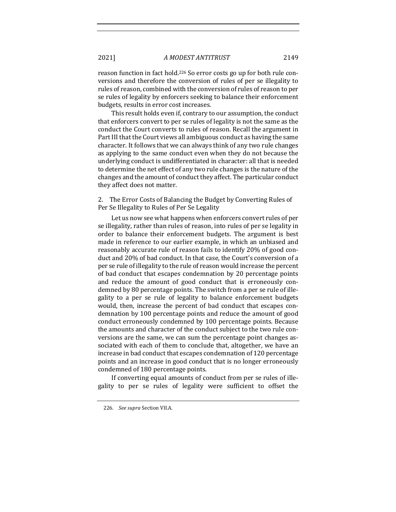reason function in fact hold.<sup>226</sup> So error costs go up for both rule conversions and therefore the conversion of rules of per se illegality to rules of reason, combined with the conversion of rules of reason to per se rules of legality by enforcers seeking to balance their enforcement budgets, results in error cost increases.

This result holds even if, contrary to our assumption, the conduct that enforcers convert to per se rules of legality is not the same as the conduct the Court converts to rules of reason. Recall the argument in Part III that the Court views all ambiguous conduct as having the same character. It follows that we can always think of any two rule changes as applying to the same conduct even when they do not because the underlying conduct is undifferentiated in character: all that is needed to determine the net effect of any two rule changes is the nature of the changes and the amount of conduct they affect. The particular conduct they affect does not matter.

2. The Error Costs of Balancing the Budget by Converting Rules of Per Se Illegality to Rules of Per Se Legality

Let us now see what happens when enforcers convert rules of per se illegality, rather than rules of reason, into rules of per se legality in order to balance their enforcement budgets. The argument is best made in reference to our earlier example, in which an unbiased and reasonably accurate rule of reason fails to identify 20% of good conduct and 20% of bad conduct. In that case, the Court's conversion of a per se rule of illegality to the rule of reason would increase the percent of bad conduct that escapes condemnation by 20 percentage points and reduce the amount of good conduct that is erroneously condemned by 80 percentage points. The switch from a per se rule of illegality to a per se rule of legality to balance enforcement budgets would, then, increase the percent of bad conduct that escapes condemnation by 100 percentage points and reduce the amount of good conduct erroneously condemned by 100 percentage points. Because the amounts and character of the conduct subject to the two rule conversions are the same, we can sum the percentage point changes associated with each of them to conclude that, altogether, we have an increase in bad conduct that escapes condemnation of 120 percentage points and an increase in good conduct that is no longer erroneously condemned of 180 percentage points.

If converting equal amounts of conduct from per se rules of illegality to per se rules of legality were sufficient to offset the

<sup>226.</sup> See supra Section VII.A.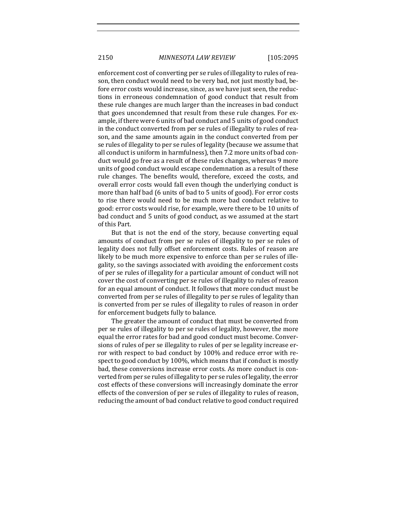enforcement cost of converting per se rules of illegality to rules of reason, then conduct would need to be very bad, not just mostly bad, before error costs would increase, since, as we have just seen, the reductions in erroneous condemnation of good conduct that result from these rule changes are much larger than the increases in bad conduct that goes uncondemned that result from these rule changes. For example, if there were 6 units of bad conduct and 5 units of good conduct in the conduct converted from per se rules of illegality to rules of reason, and the same amounts again in the conduct converted from per se rules of illegality to per se rules of legality (because we assume that all conduct is uniform in harmfulness), then 7.2 more units of bad conduct would go free as a result of these rules changes, whereas 9 more units of good conduct would escape condemnation as a result of these rule changes. The benefits would, therefore, exceed the costs, and overall error costs would fall even though the underlying conduct is more than half bad (6 units of bad to 5 units of good). For error costs to rise there would need to be much more bad conduct relative to good: error costs would rise, for example, were there to be 10 units of bad conduct and 5 units of good conduct, as we assumed at the start of this Part.

But that is not the end of the story, because converting equal amounts of conduct from per se rules of illegality to per se rules of legality does not fully offset enforcement costs. Rules of reason are likely to be much more expensive to enforce than per se rules of illegality, so the savings associated with avoiding the enforcement costs of per se rules of illegality for a particular amount of conduct will not cover the cost of converting per se rules of illegality to rules of reason for an equal amount of conduct. It follows that more conduct must be converted from per se rules of illegality to per se rules of legality than is converted from per se rules of illegality to rules of reason in order for enforcement budgets fully to balance.

The greater the amount of conduct that must be converted from per se rules of illegality to per se rules of legality, however, the more equal the error rates for bad and good conduct must become. Conversions of rules of per se illegality to rules of per se legality increase error with respect to bad conduct by 100% and reduce error with respect to good conduct by 100%, which means that if conduct is mostly bad, these conversions increase error costs. As more conduct is converted from per se rules of illegality to per se rules of legality, the error cost effects of these conversions will increasingly dominate the error effects of the conversion of per se rules of illegality to rules of reason, reducing the amount of bad conduct relative to good conduct required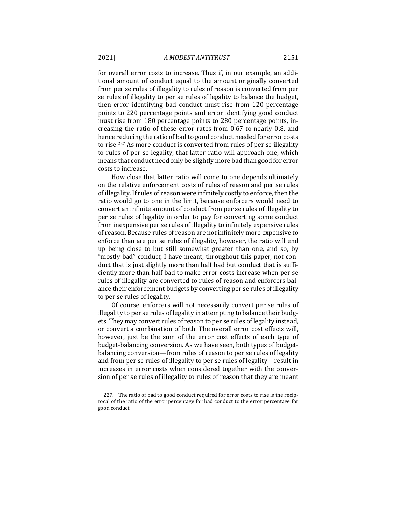for overall error costs to increase. Thus if, in our example, an additional amount of conduct equal to the amount originally converted from per se rules of illegality to rules of reason is converted from per se rules of illegality to per se rules of legality to balance the budget, then error identifying bad conduct must rise from 120 percentage points to 220 percentage points and error identifying good conduct must rise from 180 percentage points to 280 percentage points, increasing the ratio of these error rates from 0.67 to nearly 0.8, and hence reducing the ratio of bad to good conduct needed for error costs to rise.<sup>227</sup> As more conduct is converted from rules of per se illegality to rules of per se legality, that latter ratio will approach one, which means that conduct need only be slightly more bad than good for error costs to increase.

How close that latter ratio will come to one depends ultimately on the relative enforcement costs of rules of reason and per se rules of illegality. If rules of reason were infinitely costly to enforce, then the ratio would go to one in the limit, because enforcers would need to convert an infinite amount of conduct from per se rules of illegality to per se rules of legality in order to pay for converting some conduct from inexpensive per se rules of illegality to infinitely expensive rules of reason. Because rules of reason are not infinitely more expensive to enforce than are per se rules of illegality, however, the ratio will end up being close to but still somewhat greater than one, and so, by "mostly bad" conduct, I have meant, throughout this paper, not conduct that is just slightly more than half bad but conduct that is sufficiently more than half bad to make error costs increase when per se rules of illegality are converted to rules of reason and enforcers balance their enforcement budgets by converting per se rules of illegality to per se rules of legality.

Of course, enforcers will not necessarily convert per se rules of illegality to per se rules of legality in attempting to balance their budgets. They may convert rules of reason to per se rules of legality instead, or convert a combination of both. The overall error cost effects will. however, just be the sum of the error cost effects of each type of budget-balancing conversion. As we have seen, both types of budgetbalancing conversion—from rules of reason to per se rules of legality and from per se rules of illegality to per se rules of legality—result in increases in error costs when considered together with the conversion of per se rules of illegality to rules of reason that they are meant

<sup>227.</sup> The ratio of bad to good conduct required for error costs to rise is the reciprocal of the ratio of the error percentage for bad conduct to the error percentage for good conduct.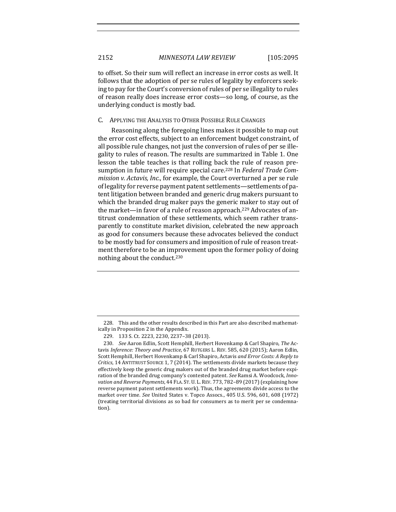to offset. So their sum will reflect an increase in error costs as well. It follows that the adoption of per se rules of legality by enforcers seeking to pay for the Court's conversion of rules of per se illegality to rules of reason really does increase error costs—so long, of course, as the underlying conduct is mostly bad.

## C. APPLYING THE ANALYSIS TO OTHER POSSIBLE RULE CHANGES

Reasoning along the foregoing lines makes it possible to map out the error cost effects, subject to an enforcement budget constraint, of all possible rule changes, not just the conversion of rules of per se illegality to rules of reason. The results are summarized in Table 1. One lesson the table teaches is that rolling back the rule of reason presumption in future will require special care.<sup>228</sup> In *Federal Trade Commission v. Actavis, Inc.,* for example, the Court overturned a per se rule of legality for reverse payment patent settlements—settlements of patent litigation between branded and generic drug makers pursuant to which the branded drug maker pays the generic maker to stay out of the market—in favor of a rule of reason approach.<sup>229</sup> Advocates of antitrust condemnation of these settlements, which seem rather transparently to constitute market division, celebrated the new approach as good for consumers because these advocates believed the conduct to be mostly bad for consumers and imposition of rule of reason treatment therefore to be an improvement upon the former policy of doing nothing about the conduct.<sup>230</sup>

<sup>228.</sup> This and the other results described in this Part are also described mathematically in Proposition 2 in the Appendix.

<sup>229. 133</sup> S. Ct. 2223, 2230, 2237-38 (2013).

<sup>230.</sup> *See* Aaron Edlin, Scott Hemphill, Herbert Hovenkamp & Carl Shapiro, *The* Actavis *Inference: Theory and Practice*, 67 RUTGERS L. REV. 585, 620 (2015); Aaron Edlin, Scott Hemphill, Herbert Hovenkamp & Carl Shapiro, Actavis *and Error Costs: A Reply to Critics*, 14 ANTITRUST SOURCE 1, 7 (2014). The settlements divide markets because they effectively keep the generic drug makers out of the branded drug market before expiration of the branded drug company's contested patent. See Ramsi A. Woodcock, *Inno*vation and Reverse Payments, 44 FLA. ST. U. L. REV. 773, 782-89 (2017) (explaining how reverse payment patent settlements work). Thus, the agreements divide access to the market over time. See United States v. Topco Assocs., 405 U.S. 596, 601, 608 (1972) (treating territorial divisions as so bad for consumers as to merit per se condemnation).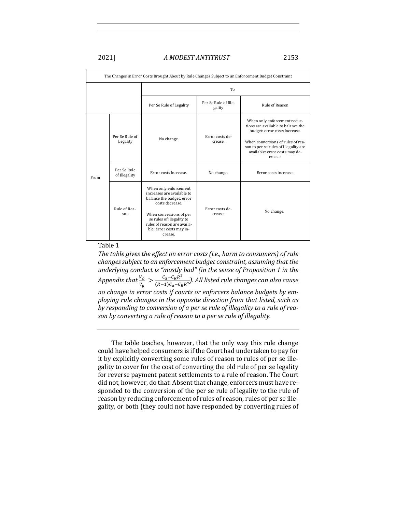| The Changes in Error Costs Brought About by Rule Changes Subject to an Enforcement Budget Constraint |                              |                                                                                                                                                                                                                                   |                                |                                                                                                                                                                                                                                |
|------------------------------------------------------------------------------------------------------|------------------------------|-----------------------------------------------------------------------------------------------------------------------------------------------------------------------------------------------------------------------------------|--------------------------------|--------------------------------------------------------------------------------------------------------------------------------------------------------------------------------------------------------------------------------|
|                                                                                                      |                              | To                                                                                                                                                                                                                                |                                |                                                                                                                                                                                                                                |
|                                                                                                      |                              | Per Se Rule of Legality                                                                                                                                                                                                           | Per Se Rule of Ille-<br>gality | Rule of Reason                                                                                                                                                                                                                 |
| From                                                                                                 | Per Se Rule of<br>Legality   | No change.                                                                                                                                                                                                                        | Error costs de-<br>crease.     | When only enforcement reduc-<br>tions are available to balance the<br>budget: error costs increase.<br>When conversions of rules of rea-<br>son to per se rules of illegality are<br>available: error costs may de-<br>crease. |
|                                                                                                      | Per Se Rule<br>of Illegality | Error costs increase.                                                                                                                                                                                                             | No change.                     | Error costs increase.                                                                                                                                                                                                          |
|                                                                                                      | Rule of Rea-<br>son          | When only enforcement<br>increases are available to<br>balance the budget: error<br>costs decrease.<br>When conversions of per<br>se rules of illegality to<br>rules of reason are availa-<br>ble: error costs may in-<br>crease. | Error costs de-<br>crease.     | No change.                                                                                                                                                                                                                     |

## Table 1

The table gives the effect on error costs (i.e., harm to consumers) of rule *changes subject to an enforcement budget constraint, assuming that the underlying conduct is "mostly bad"* (in the sense of Proposition 1 in the Appendix that  $\frac{V_b}{V_g} > \frac{C_a - C_R R^2}{(R-1)C_a - C_R R^2}$ ). All listed rule changes can also cause *no change in error costs if courts or enforcers balance budgets by em*ploying rule changes in the opposite direction from that listed, such as by responding to conversion of a per se rule of illegality to a rule of rea*son by converting a rule of reason to a per se rule of illegality.* 

The table teaches, however, that the only way this rule change could have helped consumers is if the Court had undertaken to pay for it by explicitly converting some rules of reason to rules of per se illegality to cover for the cost of converting the old rule of per se legality for reverse payment patent settlements to a rule of reason. The Court did not, however, do that. Absent that change, enforcers must have responded to the conversion of the per se rule of legality to the rule of reason by reducing enforcement of rules of reason, rules of per se illegality, or both (they could not have responded by converting rules of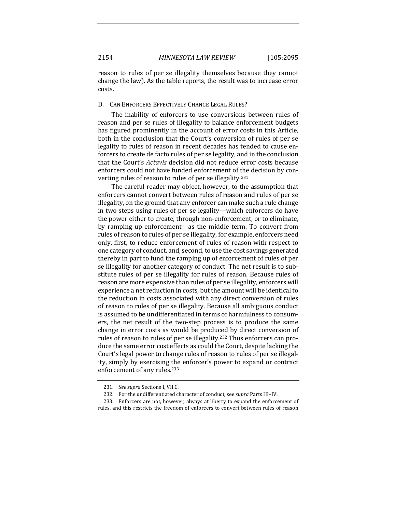reason to rules of per se illegality themselves because they cannot change the law). As the table reports, the result was to increase error costs.

## D. CAN ENFORCERS EFFECTIVELY CHANGE LEGAL RULES?

The inability of enforcers to use conversions between rules of reason and per se rules of illegality to balance enforcement budgets has figured prominently in the account of error costs in this Article, both in the conclusion that the Court's conversion of rules of per se legality to rules of reason in recent decades has tended to cause enforcers to create de facto rules of per se legality, and in the conclusion that the Court's *Actavis* decision did not reduce error costs because enforcers could not have funded enforcement of the decision by converting rules of reason to rules of per se illegality.<sup>231</sup>

The careful reader may object, however, to the assumption that enforcers cannot convert between rules of reason and rules of per se illegality, on the ground that any enforcer can make such a rule change in two steps using rules of per se legality—which enforcers do have the power either to create, through non-enforcement, or to eliminate, by ramping up enforcement—as the middle term. To convert from rules of reason to rules of per se illegality, for example, enforcers need only, first, to reduce enforcement of rules of reason with respect to one category of conduct, and, second, to use the cost savings generated thereby in part to fund the ramping up of enforcement of rules of per se illegality for another category of conduct. The net result is to substitute rules of per se illegality for rules of reason. Because rules of reason are more expensive than rules of per se illegality, enforcers will experience a net reduction in costs, but the amount will be identical to the reduction in costs associated with any direct conversion of rules of reason to rules of per se illegality. Because all ambiguous conduct is assumed to be undifferentiated in terms of harmfulness to consumers, the net result of the two-step process is to produce the same change in error costs as would be produced by direct conversion of rules of reason to rules of per se illegality.<sup>232</sup> Thus enforcers can produce the same error cost effects as could the Court, despite lacking the Court's legal power to change rules of reason to rules of per se illegality, simply by exercising the enforcer's power to expand or contract enforcement of any rules.<sup>233</sup>

<sup>231.</sup> *See supra* Sections I, VII.C.

<sup>232.</sup> For the undifferentiated character of conduct, see *supra* Parts III-IV.

<sup>233.</sup> Enforcers are not, however, always at liberty to expand the enforcement of rules, and this restricts the freedom of enforcers to convert between rules of reason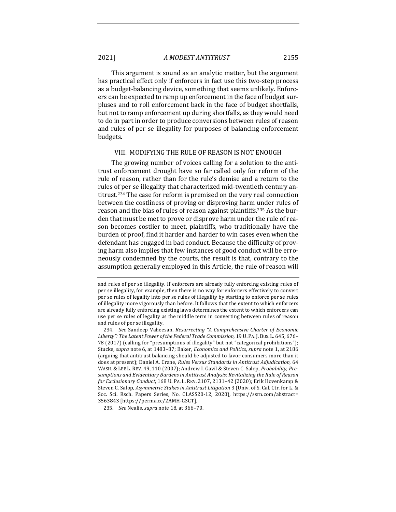This argument is sound as an analytic matter, but the argument has practical effect only if enforcers in fact use this two-step process as a budget-balancing device, something that seems unlikely. Enforcers can be expected to ramp up enforcement in the face of budget surpluses and to roll enforcement back in the face of budget shortfalls, but not to ramp enforcement up during shortfalls, as they would need to do in part in order to produce conversions between rules of reason and rules of per se illegality for purposes of balancing enforcement budgets. 

## VIII. MODIFYING THE RULE OF REASON IS NOT ENOUGH

The growing number of voices calling for a solution to the antitrust enforcement drought have so far called only for reform of the rule of reason, rather than for the rule's demise and a return to the rules of per se illegality that characterized mid-twentieth century antitrust.<sup>234</sup> The case for reform is premised on the very real connection between the costliness of proving or disproving harm under rules of reason and the bias of rules of reason against plaintiffs.<sup>235</sup> As the burden that must be met to prove or disprove harm under the rule of reason becomes costlier to meet, plaintiffs, who traditionally have the burden of proof, find it harder and harder to win cases even when the defendant has engaged in bad conduct. Because the difficulty of proving harm also implies that few instances of good conduct will be erroneously condemned by the courts, the result is that, contrary to the assumption generally employed in this Article, the rule of reason will

235. *See* Nealis, *supra* note 18, at 366-70.

and rules of per se illegality. If enforcers are already fully enforcing existing rules of per se illegality, for example, then there is no way for enforcers effectively to convert per se rules of legality into per se rules of illegality by starting to enforce per se rules of illegality more vigorously than before. It follows that the extent to which enforcers are already fully enforcing existing laws determines the extent to which enforcers can use per se rules of legality as the middle term in converting between rules of reason and rules of per se illegality.

<sup>234.</sup> *See* Sandeep Vaheesan, Resurrecting "A Comprehensive Charter of Economic Liberty": The Latent Power of the Federal Trade Commission, 19 U. PA. J. BUS. L. 645, 676– 78 (2017) (calling for "presumptions of illegality" but not "categorical prohibitions"); Stucke, *supra* note 6, at 1483-87; Baker, *Economics and Politics*, *supra* note 1, at 2186 (arguing that antitrust balancing should be adjusted to favor consumers more than it does at present); Daniel A. Crane, *Rules Versus Standards in Antitrust Adjudication*, 64 WASH. & LEE L. REV. 49, 110 (2007); Andrew I. Gavil & Steven C. Salop, *Probability*, *Pre*sumptions and Evidentiary Burdens in Antitrust Analysis: Revitalizing the Rule of Reason *for Exclusionary Conduct,* 168 U. PA. L. REV. 2107, 2131-42 (2020); Erik Hovenkamp & Steven C. Salop, Asymmetric Stakes in Antitrust Litigation 3 (Univ. of S. Cal. Ctr. for L. & Soc. Sci. Rsch. Papers Series, No. CLASS20-12, 2020), https://ssrn.com/abstract= 3563843 [https://perma.cc/2AMH-GSCT].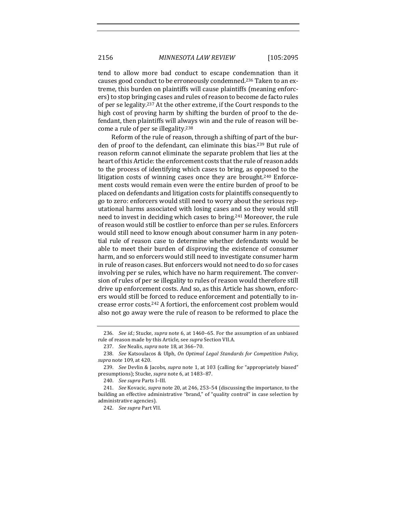tend to allow more bad conduct to escape condemnation than it causes good conduct to be erroneously condemned.<sup>236</sup> Taken to an extreme, this burden on plaintiffs will cause plaintiffs (meaning enforcers) to stop bringing cases and rules of reason to become de facto rules of per se legality.<sup>237</sup> At the other extreme, if the Court responds to the high cost of proving harm by shifting the burden of proof to the defendant, then plaintiffs will always win and the rule of reason will become a rule of per se illegality.<sup>238</sup>

Reform of the rule of reason, through a shifting of part of the burden of proof to the defendant, can eliminate this bias.<sup>239</sup> But rule of reason reform cannot eliminate the separate problem that lies at the heart of this Article: the enforcement costs that the rule of reason adds to the process of identifying which cases to bring, as opposed to the litigation costs of winning cases once they are brought.<sup>240</sup> Enforcement costs would remain even were the entire burden of proof to be placed on defendants and litigation costs for plaintiffs consequently to go to zero: enforcers would still need to worry about the serious reputational harms associated with losing cases and so they would still need to invest in deciding which cases to bring.<sup>241</sup> Moreover, the rule of reason would still be costlier to enforce than per se rules. Enforcers would still need to know enough about consumer harm in any potential rule of reason case to determine whether defendants would be able to meet their burden of disproving the existence of consumer harm, and so enforcers would still need to investigate consumer harm in rule of reason cases. But enforcers would not need to do so for cases involving per se rules, which have no harm requirement. The conversion of rules of per se illegality to rules of reason would therefore still drive up enforcement costs. And so, as this Article has shown, enforcers would still be forced to reduce enforcement and potentially to increase error costs.<sup>242</sup> A fortiori, the enforcement cost problem would also not go away were the rule of reason to be reformed to place the

<sup>236.</sup> *See id.*; Stucke, *supra* note 6, at 1460-65. For the assumption of an unbiased rule of reason made by this Article, see *supra* Section VII.A.

<sup>237.</sup> *See* Nealis, *supra* note 18, at 366-70.

<sup>238.</sup> *See* Katsoulacos & Ulph, *On Optimal Legal Standards for Competition Policy*, *supra* note 109, at 420.

<sup>239.</sup> *See* Devlin & Jacobs, *supra* note 1, at 103 (calling for "appropriately biased" presumptions); Stucke, *supra* note 6, at 1483-87.

<sup>240.</sup> *See supra* Parts I-III.

<sup>241.</sup> *See* Kovacic, *supra* note 20, at 246, 253-54 (discussing the importance, to the building an effective administrative "brand," of "quality control" in case selection by administrative agencies).

<sup>242.</sup> *See supra Part VII.*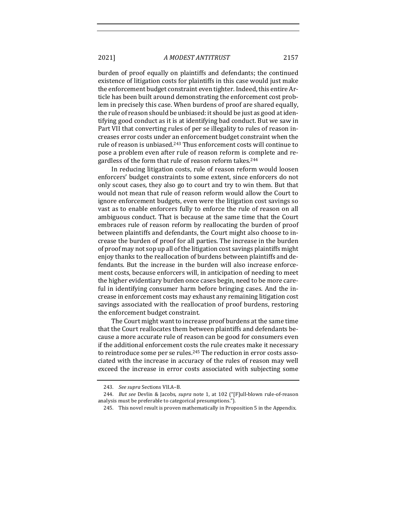burden of proof equally on plaintiffs and defendants; the continued existence of litigation costs for plaintiffs in this case would just make the enforcement budget constraint even tighter. Indeed, this entire Article has been built around demonstrating the enforcement cost problem in precisely this case. When burdens of proof are shared equally, the rule of reason should be unbiased: it should be just as good at identifying good conduct as it is at identifying bad conduct. But we saw in Part VII that converting rules of per se illegality to rules of reason increases error costs under an enforcement budget constraint when the rule of reason is unbiased.<sup>243</sup> Thus enforcement costs will continue to pose a problem even after rule of reason reform is complete and regardless of the form that rule of reason reform takes.<sup>244</sup>

In reducing litigation costs, rule of reason reform would loosen enforcers' budget constraints to some extent, since enforcers do not only scout cases, they also go to court and try to win them. But that would not mean that rule of reason reform would allow the Court to ignore enforcement budgets, even were the litigation cost savings so vast as to enable enforcers fully to enforce the rule of reason on all ambiguous conduct. That is because at the same time that the Court embraces rule of reason reform by reallocating the burden of proof between plaintiffs and defendants, the Court might also choose to increase the burden of proof for all parties. The increase in the burden of proof may not sop up all of the litigation cost savings plaintiffs might enjoy thanks to the reallocation of burdens between plaintiffs and defendants. But the increase in the burden will also increase enforcement costs, because enforcers will, in anticipation of needing to meet the higher evidentiary burden once cases begin, need to be more careful in identifying consumer harm before bringing cases. And the increase in enforcement costs may exhaust any remaining litigation cost savings associated with the reallocation of proof burdens, restoring the enforcement budget constraint.

The Court might want to increase proof burdens at the same time that the Court reallocates them between plaintiffs and defendants because a more accurate rule of reason can be good for consumers even if the additional enforcement costs the rule creates make it necessary to reintroduce some per se rules.<sup>245</sup> The reduction in error costs associated with the increase in accuracy of the rules of reason may well exceed the increase in error costs associated with subjecting some

<sup>243.</sup> *See supra* Sections VII.A–B.

<sup>244.</sup> *But see Devlin & Jacobs, supra note 1, at 102* ("[F]ull-blown rule-of-reason analysis must be preferable to categorical presumptions.").

<sup>245.</sup> This novel result is proven mathematically in Proposition 5 in the Appendix.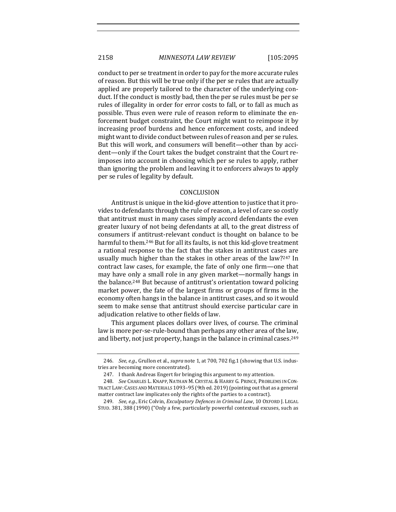conduct to per se treatment in order to pay for the more accurate rules of reason. But this will be true only if the per se rules that are actually applied are properly tailored to the character of the underlying conduct. If the conduct is mostly bad, then the per se rules must be per se rules of illegality in order for error costs to fall, or to fall as much as possible. Thus even were rule of reason reform to eliminate the enforcement budget constraint, the Court might want to reimpose it by increasing proof burdens and hence enforcement costs, and indeed might want to divide conduct between rules of reason and per se rules. But this will work, and consumers will benefit—other than by accident-only if the Court takes the budget constraint that the Court reimposes into account in choosing which per se rules to apply, rather than ignoring the problem and leaving it to enforcers always to apply per se rules of legality by default.

## **CONCLUSION**

Antitrust is unique in the kid-glove attention to justice that it provides to defendants through the rule of reason, a level of care so costly that antitrust must in many cases simply accord defendants the even greater luxury of not being defendants at all, to the great distress of consumers if antitrust-relevant conduct is thought on balance to be harmful to them.<sup>246</sup> But for all its faults, is not this kid-glove treatment a rational response to the fact that the stakes in antitrust cases are usually much higher than the stakes in other areas of the law?<sup>247</sup> In contract law cases, for example, the fate of only one firm-one that may have only a small role in any given market—normally hangs in the balance.<sup>248</sup> But because of antitrust's orientation toward policing market power, the fate of the largest firms or groups of firms in the economy often hangs in the balance in antitrust cases, and so it would seem to make sense that antitrust should exercise particular care in adjudication relative to other fields of law.

This argument places dollars over lives, of course. The criminal law is more per-se-rule-bound than perhaps any other area of the law, and liberty, not just property, hangs in the balance in criminal cases.<sup>249</sup>

<sup>246.</sup> *See, e.g.*, Grullon et al., *supra* note 1, at 700, 702 fig.1 (showing that U.S. industries are becoming more concentrated).

<sup>247.</sup> I thank Andreas Engert for bringing this argument to my attention.

<sup>248.</sup> *See* CHARLES L. KNAPP, NATHAN M. CRYSTAL & HARRY G. PRINCE, PROBLEMS IN CON-TRACT LAW: CASES AND MATERIALS 1093-95 (9th ed. 2019) (pointing out that as a general matter contract law implicates only the rights of the parties to a contract).

<sup>249.</sup> *See, e.g.*, Eric Colvin, *Exculpatory Defences in Criminal Law*, 10 OXFORD J. LEGAL STUD. 381, 388 (1990) ("Only a few, particularly powerful contextual excuses, such as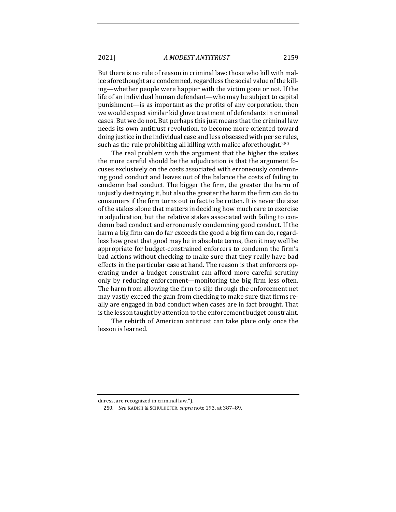But there is no rule of reason in criminal law: those who kill with malice aforethought are condemned, regardless the social value of the killing—whether people were happier with the victim gone or not. If the life of an individual human defendant—who may be subject to capital punishment—is as important as the profits of any corporation, then we would expect similar kid glove treatment of defendants in criminal cases. But we do not. But perhaps this just means that the criminal law needs its own antitrust revolution, to become more oriented toward doing justice in the individual case and less obsessed with per se rules, such as the rule prohibiting all killing with malice aforethought.<sup>250</sup>

The real problem with the argument that the higher the stakes the more careful should be the adjudication is that the argument focuses exclusively on the costs associated with erroneously condemning good conduct and leaves out of the balance the costs of failing to condemn bad conduct. The bigger the firm, the greater the harm of unjustly destroying it, but also the greater the harm the firm can do to consumers if the firm turns out in fact to be rotten. It is never the size of the stakes alone that matters in deciding how much care to exercise in adjudication, but the relative stakes associated with failing to condemn bad conduct and erroneously condemning good conduct. If the harm a big firm can do far exceeds the good a big firm can do, regardless how great that good may be in absolute terms, then it may well be appropriate for budget-constrained enforcers to condemn the firm's bad actions without checking to make sure that they really have bad effects in the particular case at hand. The reason is that enforcers operating under a budget constraint can afford more careful scrutiny only by reducing enforcement—monitoring the big firm less often. The harm from allowing the firm to slip through the enforcement net may vastly exceed the gain from checking to make sure that firms really are engaged in bad conduct when cases are in fact brought. That is the lesson taught by attention to the enforcement budget constraint.

The rebirth of American antitrust can take place only once the lesson is learned.

duress, are recognized in criminal law.").

<sup>250.</sup> *See* KADISH & SCHULHOFER, *supra* note 193, at 387-89.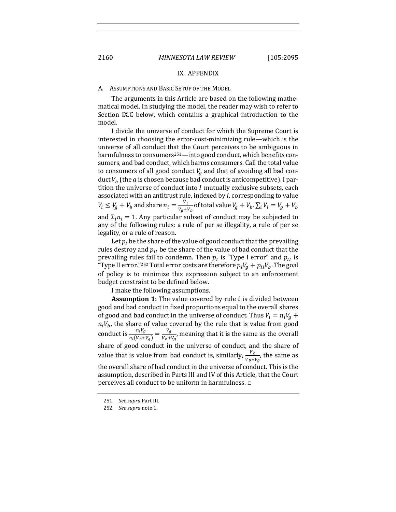#### IX. APPENDIX

#### A. ASSUMPTIONS AND BASIC SETUP OF THE MODEL

The arguments in this Article are based on the following mathematical model. In studying the model, the reader may wish to refer to Section IX.C below, which contains a graphical introduction to the model.

I divide the universe of conduct for which the Supreme Court is interested in choosing the error-cost-minimizing rule—which is the universe of all conduct that the Court perceives to be ambiguous in harmfulness to consumers<sup>251</sup>—into good conduct, which benefits consumers, and bad conduct, which harms consumers. Call the total value to consumers of all good conduct  $V_a$  and that of avoiding all bad conduct  $V<sub>b</sub>$  (the a is chosen because bad conduct is anticompetitive). I partition the universe of conduct into  $I$  mutually exclusive subsets, each associated with an antitrust rule, indexed by  $i$ , corresponding to value  $V_i\le V_g+V_b$  and share  $n_i=\frac{V_i}{V_g+V_b}$  of total value  $V_g+V_b.$   $\sum_iV_i=V_g+V_b$ and  $\Sigma_i n_i = 1$ . Any particular subset of conduct may be subjected to any of the following rules: a rule of per se illegality, a rule of per se legality, or a rule of reason.

Let  $p_l$  be the share of the value of good conduct that the prevailing rules destroy and  $p_{II}$  be the share of the value of bad conduct that the prevailing rules fail to condemn. Then  $p_I$  is "Type I error" and  $p_{II}$  is "Type II error."<sup>252</sup> Total error costs are therefore  $p_l V_g + p_{l l} V_b$ . The goal of policy is to minimize this expression subject to an enforcement budget constraint to be defined below.

I make the following assumptions.

**Assumption 1:** The value covered by rule  $i$  is divided between good and bad conduct in fixed proportions equal to the overall shares of good and bad conduct in the universe of conduct. Thus  $V_i = n_i V_g +$  $n_iV_b$ , the share of value covered by the rule that is value from good conduct is  $\frac{n_i V_g}{n_i (V_b+V_g)} = \frac{V_g}{V_b+V_g}$ , meaning that it is the same as the overall share of good conduct in the universe of conduct, and the share of value that is value from bad conduct is, similarly,  $\frac{V_b}{V_b+V_g}$ , the same as the overall share of bad conduct in the universe of conduct. This is the assumption, described in Parts III and IV of this Article, that the Court perceives all conduct to be uniform in harmfulness.  $\Box$ 

<sup>251.</sup> *See supra* Part III.

<sup>252.</sup> *See supra* note 1.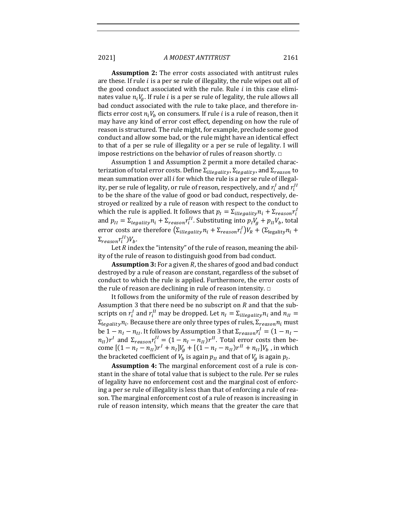**Assumption 2:** The error costs associated with antitrust rules are these. If rule  $i$  is a per se rule of illegality, the rule wipes out all of the good conduct associated with the rule. Rule  $i$  in this case eliminates value  $n_iV_a$ . If rule *i* is a per se rule of legality, the rule allows all bad conduct associated with the rule to take place, and therefore inflicts error cost  $n_i V_h$  on consumers. If rule *i* is a rule of reason, then it may have any kind of error cost effect, depending on how the rule of reason is structured. The rule might, for example, preclude some good conduct and allow some bad, or the rule might have an identical effect to that of a per se rule of illegality or a per se rule of legality. I will impose restrictions on the behavior of rules of reason shortly.  $\Box$ 

Assumption 1 and Assumption 2 permit a more detailed characterization of total error costs. Define  $\Sigma_{i^\text{llegality}}$ ,  $\Sigma_{\text{legality}}$ , and  $\Sigma_{\text{reason}}$  to mean summation over all  $i$  for which the rule is a per se rule of illegality, per se rule of legality, or rule of reason, respectively, and  $r^I_i$  and  $r^{\prime I}_i$ to be the share of the value of good or bad conduct, respectively, destroyed or realized by a rule of reason with respect to the conduct to which the rule is applied. It follows that  $p_l = \Sigma_{itlegality} n_i + \Sigma_{reason} r_i^I$ and  $p_{II} = \sum_{legality} n_i + \sum_{reason} r_i^{II}$ . Substituting into  $p_I V_g + p_{II} V_b$ , total error costs are therefore  $(\Sigma_{\text{iilegality}} n_i + \Sigma_{reason} r_i^I) V_R + (\Sigma_{\text{legality}} n_i +$  $\Sigma_{reason} r_i^{II} V_b$ .

Let  $R$  index the "intensity" of the rule of reason, meaning the ability of the rule of reason to distinguish good from bad conduct.

**Assumption 3:** For a given R, the shares of good and bad conduct destroyed by a rule of reason are constant, regardless of the subset of conduct to which the rule is applied. Furthermore, the error costs of the rule of reason are declining in rule of reason intensity.  $\Box$ 

It follows from the uniformity of the rule of reason described by Assumption 3 that there need be no subscript on  $R$  and that the subscripts on  $r_i^I$  and  $r_i^{II}$  may be dropped. Let  $n_I = \Sigma_{iilegality} n_i$  and  $n_{II} =$  $\Sigma_{\text{legality}}$  *n*<sub>i</sub>. Because there are only three types of rules,  $\Sigma_{\text{reason}}$  *n*<sub>i</sub> must be 1  $n_I$   $n_{II}$ . It follows by Assumption 3 that  $\Sigma_{reason} r_i^I = (1 - n_I - 1)$  $n_{II}$ ) $r^{I}$  and  $\Sigma_{reason}r_{i}^{II} = (1-n_{I}-n_{II})r^{II}$ . Total error costs then become  $[(1 - n_l - n_{l1})r^l + n_l]V_g + [(1 - n_l - n_{l1})r^{l1} + n_{l1}]V_b$ , in which the bracketed coefficient of  $V_b$  is again  $p_{II}$  and that of  $V_a$  is again  $p_I$ .

**Assumption 4:** The marginal enforcement cost of a rule is constant in the share of total value that is subject to the rule. Per se rules of legality have no enforcement cost and the marginal cost of enforcing a per se rule of illegality is less than that of enforcing a rule of reason. The marginal enforcement cost of a rule of reason is increasing in rule of reason intensity, which means that the greater the care that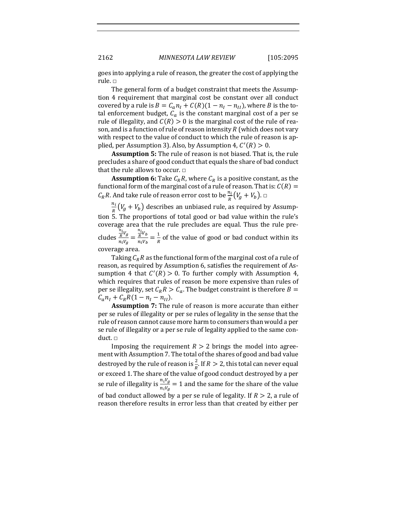goes into applying a rule of reason, the greater the cost of applying the rule. □

The general form of a budget constraint that meets the Assumption 4 requirement that marginal cost be constant over all conduct covered by a rule is  $B = C_a n_I + C(R)(1 - n_I - n_{II})$ , where *B* is the total enforcement budget,  $C_a$  is the constant marginal cost of a per se rule of illegality, and  $C(R) > 0$  is the marginal cost of the rule of reason, and is a function of rule of reason intensity  $R$  (which does not vary with respect to the value of conduct to which the rule of reason is applied, per Assumption 3). Also, by Assumption 4,  $C'(R) > 0$ .

**Assumption 5:** The rule of reason is not biased. That is, the rule precludes a share of good conduct that equals the share of bad conduct that the rule allows to occur.  $\Box$ 

**Assumption 6:** Take  $C_R R$ , where  $C_R$  is a positive constant, as the functional form of the marginal cost of a rule of reason. That is:  $C(R)$  =  $C_R R$ . And take rule of reason error cost to be  $\frac{n_i}{R}(V_g + V_b)$ .  $\Box$ 

 $\frac{n_i}{R}(V_g + V_b)$  describes an unbiased rule, as required by Assumption 5. The proportions of total good or bad value within the rule's coverage area that the rule precludes are equal. Thus the rule precludes  $\frac{n_i v_g}{R}$  $\frac{\frac{n_i}{R}V_g}{n_iV_g} = \frac{\frac{n_i}{R}V_b}{n_iV_b}$  $\frac{A}{R}V_b = \frac{1}{R}$  of the value of good or bad conduct within its coverage area.

Taking  $C_R R$  as the functional form of the marginal cost of a rule of reason, as required by Assumption 6, satisfies the requirement of Assumption 4 that  $C'(R) > 0$ . To further comply with Assumption 4, which requires that rules of reason be more expensive than rules of per se illegality, set  $C_R R > C_a$ . The budget constraint is therefore  $B =$  $C_a n_I + C_R R (1 - n_I - n_{II}).$ 

**Assumption 7:** The rule of reason is more accurate than either per se rules of illegality or per se rules of legality in the sense that the rule of reason cannot cause more harm to consumers than would a per se rule of illegality or a per se rule of legality applied to the same conduct. □

Imposing the requirement  $R > 2$  brings the model into agreement with Assumption 7. The total of the shares of good and bad value destroyed by the rule of reason is  $\frac{2}{R}$ . If  $R > 2$ , this total can never equal or exceed 1. The share of the value of good conduct destroyed by a per se rule of illegality is  $\frac{n_i V_g}{n_i V_g} = 1$  and the same for the share of the value of bad conduct allowed by a per se rule of legality. If  $R > 2$ , a rule of reason therefore results in error less than that created by either per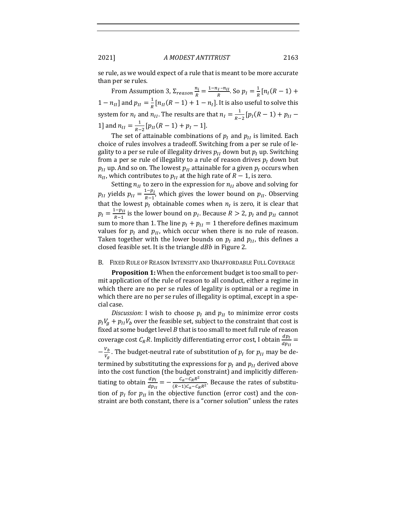se rule, as we would expect of a rule that is meant to be more accurate than per se rules.

From Assumption 3,  $\Sigma_{reason} \frac{n_i}{R} = \frac{1 - n_I - n_{II}}{R}$ . So  $p_I = \frac{1}{R} [n_I(R - 1) +$  $1 - n_{II}$ ] and  $p_{II} = \frac{1}{R} [n_{II}(R-1) + 1 - n_I]$ . It is also useful to solve this system for  $n_l$  and  $n_{II}$ . The results are that  $n_I = \frac{1}{R-2} [p_I(R-1) + p_{II} - p_I]$ 1] and  $n_{II} = \frac{1}{R-2} [p_{II}(R-1) + p_I - 1].$ 

The set of attainable combinations of  $p_i$  and  $p_{ij}$  is limited. Each choice of rules involves a tradeoff. Switching from a per se rule of legality to a per se rule of illegality drives  $p_{II}$  down but  $p_I$  up. Switching from a per se rule of illegality to a rule of reason drives  $p_I$  down but  $p_{II}$  up. And so on. The lowest  $p_{II}$  attainable for a given  $p_I$  occurs when  $n_{II}$ , which contributes to  $p_{II}$  at the high rate of  $R - 1$ , is zero.

Setting  $n_{II}$  to zero in the expression for  $n_{II}$  above and solving for  $p_{II}$  yields  $p_{II} = \frac{1-p_I}{R-1}$ , which gives the lower bound on  $p_{II}$ . Observing that the lowest  $p_l$  obtainable comes when  $n_l$  is zero, it is clear that  $p_I = \frac{1-p_{II}}{R-1}$  is the lower bound on  $p_I$ . Because  $R > 2$ ,  $p_I$  and  $p_{II}$  cannot sum to more than 1. The line  $p_I + p_{II} = 1$  therefore defines maximum values for  $p_l$  and  $p_{ll}$ , which occur when there is no rule of reason. Taken together with the lower bounds on  $p_l$  and  $p_{ll}$ , this defines a closed feasible set. It is the triangle  $dBb$  in Figure 2.

#### B. FIXED RULE OF REASON INTENSITY AND UNAFFORDABLE FULL COVERAGE

**Proposition 1:** When the enforcement budget is too small to permit application of the rule of reason to all conduct, either a regime in which there are no per se rules of legality is optimal or a regime in which there are no per se rules of illegality is optimal, except in a special case.

*Discussion*: I wish to choose  $p_i$  and  $p_{ii}$  to minimize error costs  $p_l V_a + p_{l} V_b$  over the feasible set, subject to the constraint that cost is fixed at some budget level  $B$  that is too small to meet full rule of reason coverage cost  $C_R R$ . Implicitly differentiating error cost, I obtain  $\frac{d p_I}{d p_{II}}$  =  $-\frac{v_b}{v_g}$ . The budget-neutral rate of substitution of  $p_I$  for  $p_{II}$  may be determined by substituting the expressions for  $p_l$  and  $p_{ll}$  derived above into the cost function (the budget constraint) and implicitly differentiating to obtain  $\frac{dp_I}{dp_{II}} = -\frac{C_a - C_R R^2}{(R-1)C_a - C_R R^2}$ . Because the rates of substitution of  $p_I$  for  $p_{II}$  in the objective function (error cost) and the constraint are both constant, there is a "corner solution" unless the rates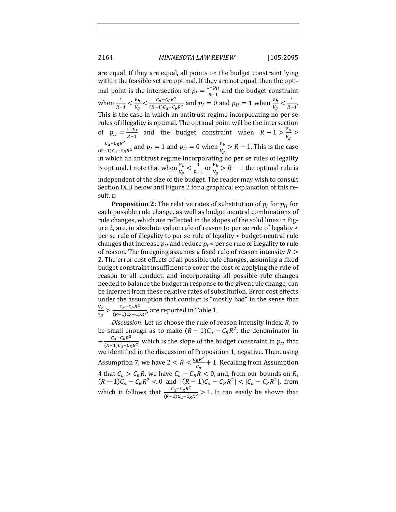are equal. If they are equal, all points on the budget constraint lying within the feasible set are optimal. If they are not equal, then the optimal point is the intersection of  $p_I = \frac{1-p_{II}}{R-1}$  and the budget constraint when  $\frac{1}{R-1} < \frac{v_b}{v_g} < \frac{c_a - c_R R^2}{(R-1)c_a - c_R R^2}$  and  $p_I = 0$  and  $p_{II} = 1$  when  $\frac{v_b}{v_g} < \frac{1}{R-1}$  $\frac{1}{R-1}$ . This is the case in which an antitrust regime incorporating no per se rules of illegality is optimal. The optimal point will be the intersection of  $p_{II} = \frac{1-p_I}{R-1}$  and the budget constraint when  $R - 1 > \frac{V_b}{V_g} >$  $\frac{c_a - c_R R^2}{(R-1)c_a - c_R R^2}$  and  $p_I = 1$  and  $p_{II} = 0$  when  $\frac{v_b}{v_g} > R - 1$ . This is the case in which an antitrust regime incorporating no per se rules of legality is optimal. I note that when  $\frac{v_b}{v_g} < \frac{1}{R-1}$  $\frac{1}{R-1}$  or  $\frac{V_b}{V_a}$  $\frac{v_b}{v_g} > R - 1$  the optimal rule is independent of the size of the budget. The reader may wish to consult Section IX.D below and Figure 2 for a graphical explanation of this result. □

**Proposition 2:** The relative rates of substitution of  $p_l$  for  $p_{l}$  for each possible rule change, as well as budget-neutral combinations of rule changes, which are reflected in the slopes of the solid lines in Figure 2, are, in absolute value: rule of reason to per se rule of legality < per se rule of illegality to per se rule of legality < budget-neutral rule changes that increase  $p_U$  and reduce  $p_I$  < per se rule of illegality to rule of reason. The foregoing assumes a fixed rule of reason intensity  $R >$ 2. The error cost effects of all possible rule changes, assuming a fixed budget constraint insufficient to cover the cost of applying the rule of reason to all conduct, and incorporating all possible rule changes needed to balance the budget in response to the given rule change, can be inferred from these relative rates of substitution. Error cost effects under the assumption that conduct is "mostly bad" in the sense that  $V_b$  $\frac{V_b}{V_g} > \frac{C_a - C_R R^2}{(R-1)C_a - C_R R^2}$ , are reported in Table 1.

*Discussion*: Let us choose the rule of reason intensity index, R, to be small enough as to make  $(R - 1)C_a - C_R R^2$ , the denominator in  $-\frac{C_a-C_R R^2}{(R-1)C_a-C_R R^2}$ , which is the slope of the budget constraint in  $p_{II}$  that we identified in the discussion of Proposition 1, negative. Then, using Assumption 7, we have  $2 < R < \frac{c_R R^2}{c_a} + 1$ . Recalling from Assumption 4 that  $C_a > C_R R$ , we have  $C_a - C_R R < 0$ , and, from our bounds on R,  $(R-1)C_a - C_R R^2 < 0$  and  $|(R-1)C_a - C_R R^2| < |C_a - C_R R^2|$ , from which it follows that  $\frac{C_a - C_R R^2}{(R-1)C_a - C_R R^2} > 1$ . It can easily be shown that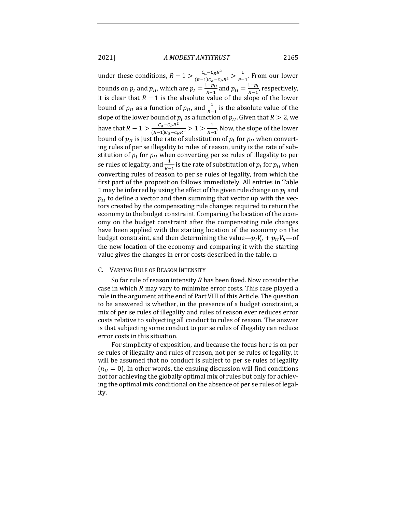under these conditions,  $R - 1 > \frac{c_a - c_R R^2}{(R-1)c_a - c_R R^2} > \frac{1}{R-1}$  $\frac{1}{R-1}$ . From our lower bounds on  $p_I$  and  $p_{II}$ , which are  $p_I = \frac{1 - p_{II}}{R - 1}$  and  $p_{II} = \frac{1 - p_I}{R - 1}$ , respectively, it is clear that  $R - 1$  is the absolute value of the slope of the lower bound of  $p_{II}$  as a function of  $p_{II}$ , and  $\frac{1}{p_{-1}}$  is the absolute value of the so and or  $p_H$  as a fanction of  $p_H$ , and  $p_{-1}$  is and associate value of the lower bound of  $p_I$  as a function of  $p_{II}$ . Given that  $R > 2$ , we have that  $R - 1 > \frac{c_a - c_R R^2}{(R - 1)c_a - c_R R^2} > 1 > \frac{1}{R - 1}$  $\frac{1}{R-1}$ . Now, the slope of the lower bound of  $p_{II}$  is just the rate of substitution of  $p_I$  for  $p_{II}$  when converting rules of per se illegality to rules of reason, unity is the rate of substitution of  $p_I$  for  $p_{II}$  when converting per se rules of illegality to per se rules of legality, and  $\frac{1}{R-1}$  is the rate of substitution of  $p_I$  for  $p_{II}$  when converting rules of reason to per se rules of legality, from which the first part of the proposition follows immediately. All entries in Table 1 may be inferred by using the effect of the given rule change on  $p<sub>I</sub>$  and  $p_{II}$  to define a vector and then summing that vector up with the vectors created by the compensating rule changes required to return the economy to the budget constraint. Comparing the location of the economy on the budget constraint after the compensating rule changes have been applied with the starting location of the economy on the budget constraint, and then determining the value— $p_I V_g + p_{II} V_b$ —of the new location of the economy and comparing it with the starting value gives the changes in error costs described in the table.  $\Box$ 

#### C. VARYING RULE OF REASON INTENSITY

So far rule of reason intensity  $R$  has been fixed. Now consider the case in which  $R$  may vary to minimize error costs. This case played a role in the argument at the end of Part VIII of this Article. The question to be answered is whether, in the presence of a budget constraint, a mix of per se rules of illegality and rules of reason ever reduces error costs relative to subjecting all conduct to rules of reason. The answer is that subjecting some conduct to per se rules of illegality can reduce error costs in this situation.

For simplicity of exposition, and because the focus here is on per se rules of illegality and rules of reason, not per se rules of legality, it will be assumed that no conduct is subject to per se rules of legality  $(n_{II} = 0)$ . In other words, the ensuing discussion will find conditions not for achieving the globally optimal mix of rules but only for achieving the optimal mix conditional on the absence of per se rules of legality.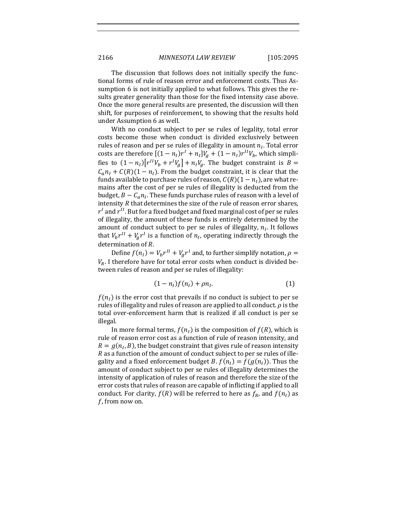The discussion that follows does not initially specify the functional forms of rule of reason error and enforcement costs. Thus Assumption 6 is not initially applied to what follows. This gives the results greater generality than those for the fixed intensity case above. Once the more general results are presented, the discussion will then shift, for purposes of reinforcement, to showing that the results hold under Assumption 6 as well.

With no conduct subject to per se rules of legality, total error costs become those when conduct is divided exclusively between rules of reason and per se rules of illegality in amount  $n_I$ . Total error costs are therefore  $[(1 - n_l)r^l + n_l]V_q + (1 - n_l)r^{l}V_b$ , which simplifies to  $(1 - n_I)\left[r^{II}V_b + r^IV_g\right] + n_I V_g$ . The budget constraint is  $B =$  $C_a n_I + C(R)(1 - n_I)$ . From the budget constraint, it is clear that the funds available to purchase rules of reason,  $C(R)(1 - n<sub>I</sub>)$ , are what remains after the cost of per se rules of illegality is deducted from the budget,  $B - C_a n_I$ . These funds purchase rules of reason with a level of intensity  $R$  that determines the size of the rule of reason error shares,  $r<sup>I</sup>$  and  $r<sup>II</sup>$ . But for a fixed budget and fixed marginal cost of per se rules of illegality, the amount of these funds is entirely determined by the amount of conduct subject to per se rules of illegality,  $n_I$ . It follows that  $V_b r^{II} + V_a r^I$  is a function of  $n_I$ , operating indirectly through the determination of *.* 

Define  $f(n_l) = V_b r^{lI} + V_a r^l$  and, to further simplify notation,  $\rho =$  $V_R$ . I therefore have for total error costs when conduct is divided between rules of reason and per se rules of illegality:

$$
(1-n_l)f(n_l)+\rho n_l.\t\t(1)
$$

 $f(n_l)$  is the error cost that prevails if no conduct is subject to per se rules of illegality and rules of reason are applied to all conduct.  $\rho$  is the total over-enforcement harm that is realized if all conduct is per se illegal. 

In more formal terms,  $f(n_l)$  is the composition of  $f(R)$ , which is rule of reason error cost as a function of rule of reason intensity, and  $R = g(n_L, B)$ , the budget constraint that gives rule of reason intensity  $R$  as a function of the amount of conduct subject to per se rules of illegality and a fixed enforcement budget *B*.  $f(n_1) = f(g(n_1))$ . Thus the amount of conduct subject to per se rules of illegality determines the intensity of application of rules of reason and therefore the size of the error costs that rules of reason are capable of inflicting if applied to all conduct. For clarity,  $f(R)$  will be referred to here as  $f_R$ , and  $f(n_l)$  as  $f$ , from now on.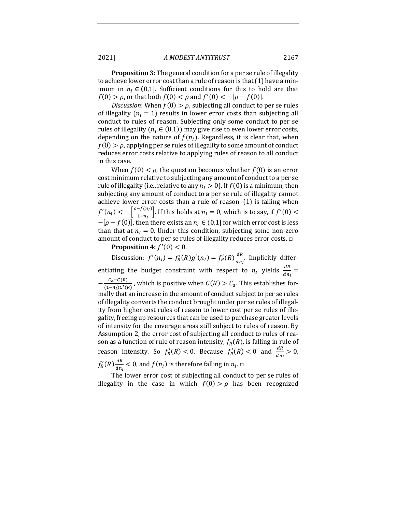**Proposition 3:** The general condition for a per se rule of illegality to achieve lower error cost than a rule of reason is that  $(1)$  have a minimum in  $n_i \in (0,1]$ . Sufficient conditions for this to hold are that  $f(0) > \rho$ , or that both  $f(0) < \rho$  and  $f'(0) < -[\rho - f(0)].$ 

*Discussion*: When  $f(0) > \rho$ , subjecting all conduct to per se rules of illegality ( $n_l = 1$ ) results in lower error costs than subjecting all conduct to rules of reason. Subjecting only some conduct to per se rules of illegality ( $n_i \in (0,1)$ ) may give rise to even lower error costs, depending on the nature of  $f(n)$ . Regardless, it is clear that, when  $f(0) > \rho$ , applying per se rules of illegality to some amount of conduct reduces error costs relative to applying rules of reason to all conduct in this case.

When  $f(0) < \rho$ , the question becomes whether  $f(0)$  is an error cost minimum relative to subjecting any amount of conduct to a per se rule of illegality (i.e., relative to any  $n<sub>I</sub> > 0$ ). If  $f(0)$  is a minimum, then subjecting any amount of conduct to a per se rule of illegality cannot achieve lower error costs than a rule of reason.  $(1)$  is falling when  $f'(n_1) < -\left[\frac{\rho - f(n_1)}{1 - n_1}\right]$  $\left[\frac{-f(n_l)}{1-n_l}\right]$ . If this holds at  $n_l = 0$ , which is to say, if  $f'(0) <$  $-[ \rho - f(0) ]$ , then there exists an  $n_I \in (0,1]$  for which error cost is less than that at  $n_1 = 0$ . Under this condition, subjecting some non-zero amount of conduct to per se rules of illegality reduces error costs.  $\Box$ 

**Proposition 4:**  $f'(0) < 0$ .

Discussion:  $f'(n_1) = f'_R(R)g'(n_1) = f'_R(R)\frac{dR}{dn_1}$ . Implicitly differentiating the budget constraint with respect to  $n_I$  yields  $\frac{dR}{dn}$  =  $dn_I$  $-\frac{C_a-C(R)}{(1-n_l)c'(R)}$ , which is positive when  $C(R) > C_a$ . This establishes formally that an increase in the amount of conduct subject to per se rules of illegality converts the conduct brought under per se rules of illegality from higher cost rules of reason to lower cost per se rules of illegality, freeing up resources that can be used to purchase greater levels of intensity for the coverage areas still subject to rules of reason. By Assumption 2, the error cost of subjecting all conduct to rules of reason as a function of rule of reason intensity,  $f_R(R)$ , is falling in rule of reason intensity. So  $f'_R(R) < 0$ . Because  $f'_R(R) < 0$  and  $\frac{dR}{dn_1} > 0$ ,  $f'_R(R) \frac{dR}{dn_I}$  < 0, and  $f(n_I)$  is therefore falling in  $n_I$ .  $\Box$ 

The lower error cost of subjecting all conduct to per se rules of illegality in the case in which  $f(0) > \rho$  has been recognized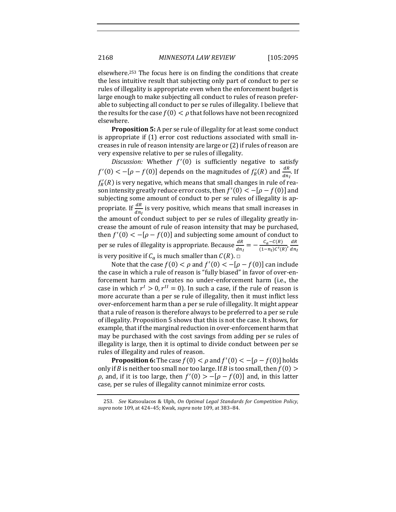elsewhere.<sup>253</sup> The focus here is on finding the conditions that create the less intuitive result that subjecting only part of conduct to per se rules of illegality is appropriate even when the enforcement budget is large enough to make subjecting all conduct to rules of reason preferable to subjecting all conduct to per se rules of illegality. I believe that the results for the case  $f(0) < \rho$  that follows have not been recognized elsewhere.

**Proposition 5:** A per se rule of illegality for at least some conduct is appropriate if  $(1)$  error cost reductions associated with small increases in rule of reason intensity are large or  $(2)$  if rules of reason are very expensive relative to per se rules of illegality.

Discussion: Whether  $f'(0)$  is sufficiently negative to satisfy  $f'(0) < -[\rho - f(0)]$  depends on the magnitudes of  $f'_R(R)$  and  $\frac{dR}{dn_I}$ . If  $f'_R(R)$  is very negative, which means that small changes in rule of reason intensity greatly reduce error costs, then  $f'(0) < -[\rho - f(0)]$  and subjecting some amount of conduct to per se rules of illegality is appropriate. If  $\frac{dR}{dn_l}$  is very positive, which means that small increases in the amount of conduct subject to per se rules of illegality greatly increase the amount of rule of reason intensity that may be purchased, then  $f'(0) < -[\rho - f(0)]$  and subjecting some amount of conduct to per se rules of illegality is appropriate. Because  $\frac{dR}{dn_l} = -\frac{C_a - C(R)}{(1-n_l)C'(R)}\frac{dR}{dn_l}$  $dn_I$ is very positive if  $C_a$  is much smaller than  $C(R)$ .  $\Box$ 

Note that the case  $f(0) < \rho$  and  $f'(0) < -[\rho - f(0)]$  can include the case in which a rule of reason is "fully biased" in favor of over-enforcement harm and creates no under-enforcement harm (i.e., the case in which  $r^I > 0$ ,  $r^I = 0$ ). In such a case, if the rule of reason is more accurate than a per se rule of illegality, then it must inflict less over-enforcement harm than a per se rule of illegality. It might appear that a rule of reason is therefore always to be preferred to a per se rule of illegality. Proposition 5 shows that this is not the case. It shows, for example, that if the marginal reduction in over-enforcement harm that may be purchased with the cost savings from adding per se rules of illegality is large, then it is optimal to divide conduct between per se rules of illegality and rules of reason.

**Proposition 6:** The case  $f(0) < \rho$  and  $f'(0) < -[\rho - f(0)]$  holds only if B is neither too small nor too large. If B is too small, then  $f(0)$  >  $\rho$ , and, if it is too large, then  $f'(0) > -[\rho - f(0)]$  and, in this latter case, per se rules of illegality cannot minimize error costs.

<sup>253.</sup> *See* Katsoulacos & Ulph, *On Optimal Legal Standards for Competition Policy*, *supra* note 109, at 424-45; Kwak, *supra* note 109, at 383-84.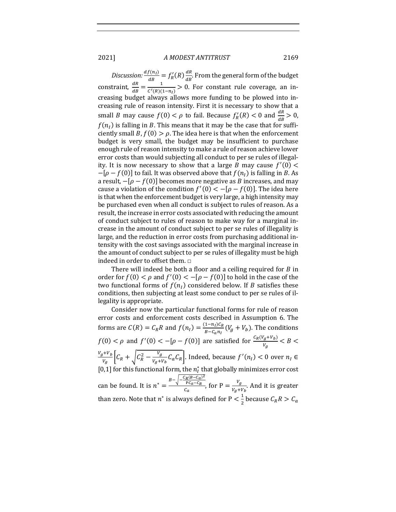*Discussion:*  $\frac{df(n_l)}{dB} = f'_R(R) \frac{dR}{dB}$ . From the general form of the budget constraint,  $\frac{dR}{dB} = \frac{1}{C'(R)(1-n_I)} > 0$ . For constant rule coverage, an increasing budget always allows more funding to be plowed into increasing rule of reason intensity. First it is necessary to show that a small *B* may cause  $f(0) < \rho$  to fail. Because  $f'_R(R) < 0$  and  $\frac{dR}{dB} > 0$ ,  $f(n_i)$  is falling in B. This means that it may be the case that for sufficiently small B,  $f(0) > \rho$ . The idea here is that when the enforcement budget is very small, the budget may be insufficient to purchase enough rule of reason intensity to make a rule of reason achieve lower error costs than would subjecting all conduct to per se rules of illegality. It is now necessary to show that a large B may cause  $f'(0)$  <  $-[ \rho - f(0)]$  to fail. It was observed above that  $f(n_i)$  is falling in B. As a result,  $-[p - f(0)]$  becomes more negative as *B* increases, and may cause a violation of the condition  $f'(0) < -[\rho - f(0)]$ . The idea here is that when the enforcement budget is very large, a high intensity may be purchased even when all conduct is subject to rules of reason. As a result, the increase in error costs associated with reducing the amount of conduct subject to rules of reason to make way for a marginal increase in the amount of conduct subject to per se rules of illegality is large, and the reduction in error costs from purchasing additional intensity with the cost savings associated with the marginal increase in the amount of conduct subject to per se rules of illegality must be high indeed in order to offset them.  $\Box$ 

There will indeed be both a floor and a ceiling required for  $B$  in order for  $f(0) < \rho$  and  $f'(0) < -[\rho - f(0)]$  to hold in the case of the two functional forms of  $f(n_l)$  considered below. If B satisfies these conditions, then subjecting at least some conduct to per se rules of illegality is appropriate.

Consider now the particular functional forms for rule of reason error costs and enforcement costs described in Assumption 6. The forms are  $C(R) = C_R R$  and  $f(n_I) = \frac{(1 - n_I)C_R}{B - C_a n_I} (V_g + V_b)$ . The conditions  $f(0) < \rho$  and  $f'(0) < -[\rho - f(0)]$  are satisfied for  $\frac{C_R(V_g + V_b)}{V_g} < B < 1$  $V_g + V_b$  $\frac{V_{B}+V_{b}}{V_{g}}\Big[{\cal C}_{R}+\sqrt{{\cal C}_{R}^{2}-\frac{V_{g}}{V_{g}+V_{b}}{\cal C}_{a}{\cal C}_{R}}\Big].$  Indeed, because  $f'(n_{I}) < 0$  over  $n_{I} \in {\cal C}_{R}$ [0,1] for this functional form, the  $n_I^*$  that globally minimizes error cost can be found. It is  $n^* = \frac{B - \sqrt{\frac{C_R (B - C_a)^2}{PC_a - C_R}}}{\sqrt{\frac{C_R (B - C_a)^2}{C_a}}}}$  $\frac{Fc_a - c_R}{c_a}$ , for P =  $\frac{V_g}{V_g + V_b}$ . And it is greater than zero. Note that  $n^*$  is always defined for P  $\lt \frac{1}{2}$  $\frac{1}{2}$  because  $C_R R > C_a$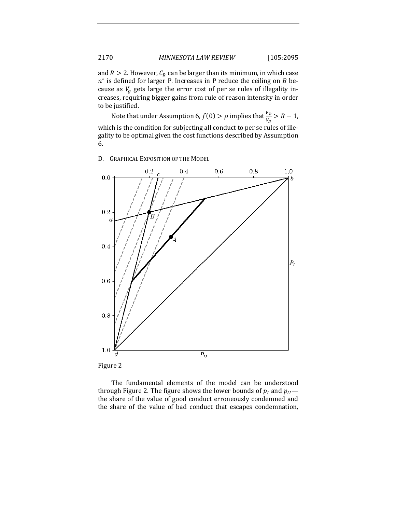and  $R > 2$ . However,  $C_R$  can be larger than its minimum, in which case  $n^*$  is defined for larger P. Increases in P reduce the ceiling on B because as  $V_a$  gets large the error cost of per se rules of illegality increases, requiring bigger gains from rule of reason intensity in order to be justified.

Note that under Assumption 6,  $f(0) > \rho$  implies that  $\frac{v_b}{v_g} > R - 1$ , which is the condition for subjecting all conduct to per se rules of illegality to be optimal given the cost functions described by Assumption 6.

 $0.6$  $0.8$  $1.0$  $0.2$  $0.4$  $0.0$ h  $0.2$  $\epsilon$  $0.4$  $p_{\tilde{l}}$  $0.6$  $0.8$  $1.0$  $P_{II}$ d

D. GRAPHICAL EXPOSITION OF THE MODEL



The fundamental elements of the model can be understood through Figure 2. The figure shows the lower bounds of  $p_I$  and  $p_{II}$  the share of the value of good conduct erroneously condemned and the share of the value of bad conduct that escapes condemnation,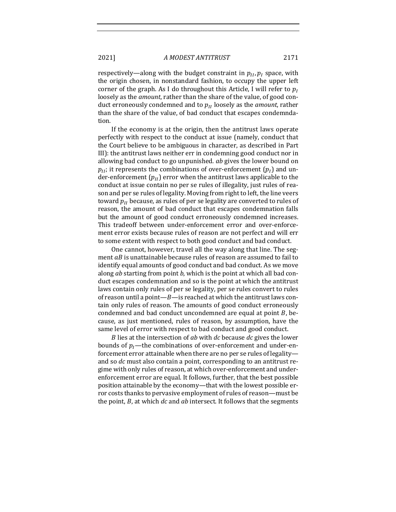respectively—along with the budget constraint in  $p_{II}, p_I$  space, with the origin chosen, in nonstandard fashion, to occupy the upper left corner of the graph. As I do throughout this Article, I will refer to  $p_I$ loosely as the *amount*, rather than the share of the value, of good conduct erroneously condemned and to  $p_{II}$  loosely as the *amount*, rather than the share of the value, of bad conduct that escapes condemndation. 

If the economy is at the origin, then the antitrust laws operate perfectly with respect to the conduct at issue (namely, conduct that the Court believe to be ambiguous in character, as described in Part III): the antitrust laws neither err in condemning good conduct nor in allowing bad conduct to go unpunished. *ab* gives the lower bound on  $p_{II}$ ; it represents the combinations of over-enforcement  $(p_I)$  and under-enforcement  $(p_{II})$  error when the antitrust laws applicable to the conduct at issue contain no per se rules of illegality, just rules of reason and per se rules of legality. Moving from right to left, the line veers toward  $p_{II}$  because, as rules of per se legality are converted to rules of reason, the amount of bad conduct that escapes condemnation falls but the amount of good conduct erroneously condemned increases. This tradeoff between under-enforcement error and over-enforcement error exists because rules of reason are not perfect and will err to some extent with respect to both good conduct and bad conduct.

One cannot, however, travel all the way along that line. The segment  $aB$  is unattainable because rules of reason are assumed to fail to identify equal amounts of good conduct and bad conduct. As we move along *ab* starting from point *b*, which is the point at which all bad conduct escapes condemnation and so is the point at which the antitrust laws contain only rules of per se legality, per se rules convert to rules of reason until a point— $B$ —is reached at which the antitrust laws contain only rules of reason. The amounts of good conduct erroneously condemned and bad conduct uncondemned are equal at point  $B$ , because, as just mentioned, rules of reason, by assumption, have the same level of error with respect to bad conduct and good conduct.

B lies at the intersection of *ab* with *dc* because *dc* gives the lower bounds of  $p_i$ —the combinations of over-enforcement and under-enforcement error attainable when there are no per se rules of legalityand so *dc* must also contain a point, corresponding to an antitrust regime with only rules of reason, at which over-enforcement and underenforcement error are equal. It follows, further, that the best possible position attainable by the economy—that with the lowest possible error costs thanks to pervasive employment of rules of reason—must be the point, *B*, at which *dc* and *ab* intersect. It follows that the segments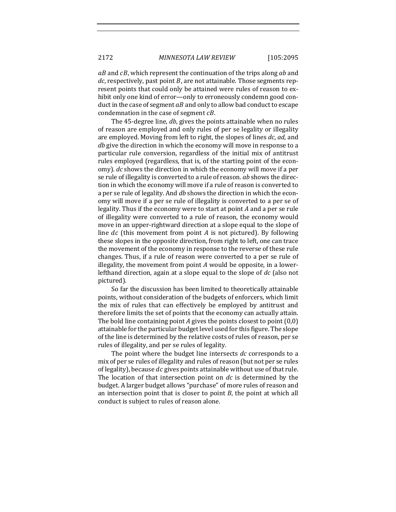$aB$  and  $cB$ , which represent the continuation of the trips along  $ab$  and  $dc$ , respectively, past point  $B$ , are not attainable. Those segments represent points that could only be attained were rules of reason to exhibit only one kind of error—only to erroneously condemn good conduct in the case of segment  $aB$  and only to allow bad conduct to escape condemnation in the case of segment  $cB$ .

The 45-degree line, *db*, gives the points attainable when no rules of reason are employed and only rules of per se legality or illegality are employed. Moving from left to right, the slopes of lines dc, ad, and *db* give the direction in which the economy will move in response to a particular rule conversion, regardless of the initial mix of antitrust rules employed (regardless, that is, of the starting point of the economy). *dc* shows the direction in which the economy will move if a per se rule of illegality is converted to a rule of reason. *ab* shows the direction in which the economy will move if a rule of reason is converted to a per se rule of legality. And *db* shows the direction in which the economy will move if a per se rule of illegality is converted to a per se of legality. Thus if the economy were to start at point  $A$  and a per se rule of illegality were converted to a rule of reason, the economy would move in an upper-rightward direction at a slope equal to the slope of line  $dc$  (this movement from point A is not pictured). By following these slopes in the opposite direction, from right to left, one can trace the movement of the economy in response to the reverse of these rule changes. Thus, if a rule of reason were converted to a per se rule of illegality, the movement from point  $A$  would be opposite, in a lowerlefthand direction, again at a slope equal to the slope of dc (also not pictured).

So far the discussion has been limited to theoretically attainable points, without consideration of the budgets of enforcers, which limit the mix of rules that can effectively be employed by antitrust and therefore limits the set of points that the economy can actually attain. The bold line containing point *A* gives the points closest to point  $(0,0)$ attainable for the particular budget level used for this figure. The slope of the line is determined by the relative costs of rules of reason, per se rules of illegality, and per se rules of legality.

The point where the budget line intersects *dc* corresponds to a mix of per se rules of illegality and rules of reason (but not per se rules of legality), because  $dc$  gives points attainable without use of that rule. The location of that intersection point on *dc* is determined by the budget. A larger budget allows "purchase" of more rules of reason and an intersection point that is closer to point  $B$ , the point at which all conduct is subject to rules of reason alone.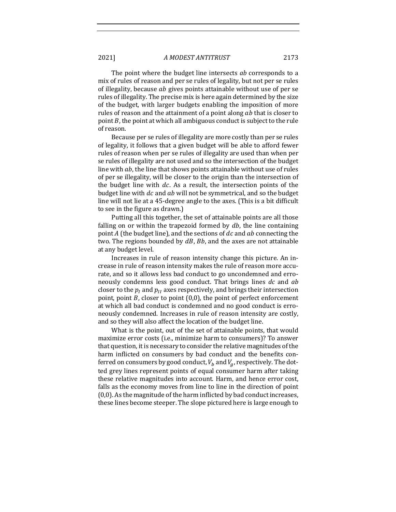The point where the budget line intersects *ab* corresponds to a mix of rules of reason and per se rules of legality, but not per se rules of illegality, because  $ab$  gives points attainable without use of per se rules of illegality. The precise mix is here again determined by the size of the budget, with larger budgets enabling the imposition of more rules of reason and the attainment of a point along  $ab$  that is closer to point  $B$ , the point at which all ambiguous conduct is subject to the rule of reason.

Because per se rules of illegality are more costly than per se rules of legality, it follows that a given budget will be able to afford fewer rules of reason when per se rules of illegality are used than when per se rules of illegality are not used and so the intersection of the budget line with  $ab$ , the line that shows points attainable without use of rules of per se illegality, will be closer to the origin than the intersection of the budget line with  $dc$ . As a result, the intersection points of the budget line with  $dc$  and  $ab$  will not be symmetrical, and so the budget line will not lie at a 45-degree angle to the axes. (This is a bit difficult to see in the figure as drawn.)

Putting all this together, the set of attainable points are all those falling on or within the trapezoid formed by  $db$ , the line containing point A (the budget line), and the sections of  $dc$  and  $ab$  connecting the two. The regions bounded by  $dB$ ,  $Bb$ , and the axes are not attainable at any budget level.

Increases in rule of reason intensity change this picture. An increase in rule of reason intensity makes the rule of reason more accurate, and so it allows less bad conduct to go uncondemned and erroneously condemns less good conduct. That brings lines *dc* and *ab* closer to the  $p_l$  and  $p_l$  axes respectively, and brings their intersection point, point  $B$ , closer to point  $(0,0)$ , the point of perfect enforcement at which all bad conduct is condemned and no good conduct is erroneously condemned. Increases in rule of reason intensity are costly, and so they will also affect the location of the budget line.

What is the point, out of the set of attainable points, that would maximize error costs (i.e., minimize harm to consumers)? To answer that question, it is necessary to consider the relative magnitudes of the harm inflicted on consumers by bad conduct and the benefits conferred on consumers by good conduct,  $V_b$  and  $V_g$ , respectively. The dotted grey lines represent points of equal consumer harm after taking these relative magnitudes into account. Harm, and hence error cost, falls as the economy moves from line to line in the direction of point  $(0,0)$ . As the magnitude of the harm inflicted by bad conduct increases, these lines become steeper. The slope pictured here is large enough to